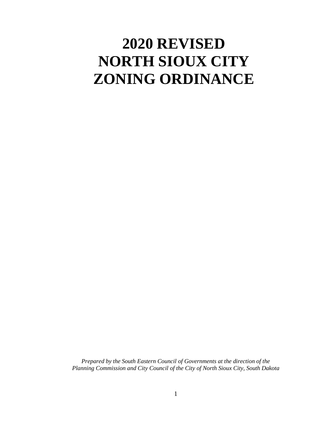# **2020 REVISED NORTH SIOUX CITY ZONING ORDINANCE**

*Prepared by the South Eastern Council of Governments at the direction of the Planning Commission and City Council of the City of North Sioux City, South Dakota*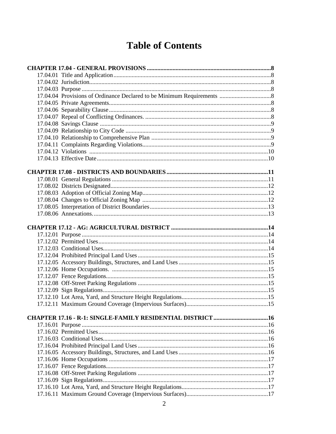# **Table of Contents**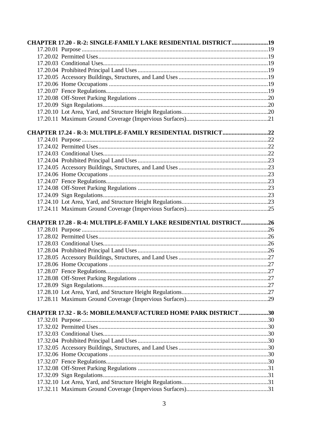| <b>CHAPTER 17.20 - R-2: SINGLE-FAMILY LAKE RESIDENTIAL DISTRICT19</b>   |  |
|-------------------------------------------------------------------------|--|
|                                                                         |  |
|                                                                         |  |
|                                                                         |  |
|                                                                         |  |
|                                                                         |  |
|                                                                         |  |
|                                                                         |  |
|                                                                         |  |
|                                                                         |  |
|                                                                         |  |
|                                                                         |  |
| CHAPTER 17.24 - R-3: MULTIPLE-FAMILY RESIDENTIAL DISTRICT22             |  |
|                                                                         |  |
|                                                                         |  |
|                                                                         |  |
|                                                                         |  |
|                                                                         |  |
|                                                                         |  |
|                                                                         |  |
|                                                                         |  |
|                                                                         |  |
|                                                                         |  |
|                                                                         |  |
|                                                                         |  |
|                                                                         |  |
| <b>CHAPTER 17.28 - R-4: MULTIPLE-FAMILY LAKE RESIDENTIAL DISTRICT26</b> |  |
|                                                                         |  |
|                                                                         |  |
|                                                                         |  |
|                                                                         |  |
|                                                                         |  |
|                                                                         |  |
|                                                                         |  |
|                                                                         |  |
|                                                                         |  |
|                                                                         |  |
|                                                                         |  |
|                                                                         |  |
| CHAPTER 17.32 - R-5: MOBILE/MANUFACTURED HOME PARK DISTRICT 30          |  |
|                                                                         |  |
|                                                                         |  |
|                                                                         |  |
|                                                                         |  |
|                                                                         |  |
|                                                                         |  |
|                                                                         |  |
|                                                                         |  |
|                                                                         |  |
|                                                                         |  |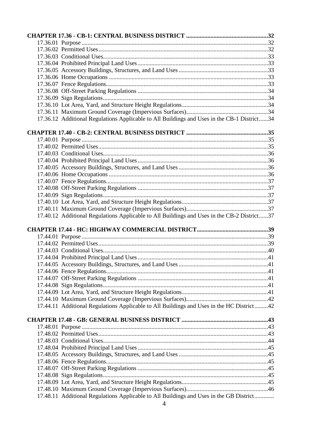| 17.36.12 Additional Regulations Applicable to All Buildings and Uses in the CB-1 District34 |  |
|---------------------------------------------------------------------------------------------|--|
|                                                                                             |  |
|                                                                                             |  |
|                                                                                             |  |
|                                                                                             |  |
|                                                                                             |  |
|                                                                                             |  |
|                                                                                             |  |
|                                                                                             |  |
|                                                                                             |  |
|                                                                                             |  |
|                                                                                             |  |
|                                                                                             |  |
| 17.40.12 Additional Regulations Applicable to All Buildings and Uses in the CB-2 District37 |  |
|                                                                                             |  |
|                                                                                             |  |
|                                                                                             |  |
|                                                                                             |  |
|                                                                                             |  |
|                                                                                             |  |
|                                                                                             |  |
|                                                                                             |  |
|                                                                                             |  |
|                                                                                             |  |
|                                                                                             |  |
|                                                                                             |  |
|                                                                                             |  |
| 17.44.11 Additional Regulations Applicable to All Buildings and Uses in the HC District42   |  |
|                                                                                             |  |
|                                                                                             |  |
|                                                                                             |  |
|                                                                                             |  |
|                                                                                             |  |
|                                                                                             |  |
|                                                                                             |  |
|                                                                                             |  |
|                                                                                             |  |
|                                                                                             |  |
| 17.48.11 Additional Regulations Applicable to All Buildings and Uses in the GB District     |  |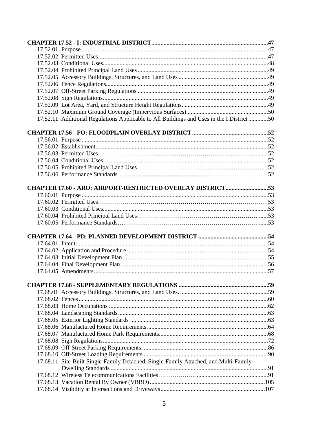| 17.52.11 Additional Regulations Applicable to All Buildings and Uses in the I District 50 |  |
|-------------------------------------------------------------------------------------------|--|
|                                                                                           |  |
|                                                                                           |  |
|                                                                                           |  |
|                                                                                           |  |
|                                                                                           |  |
|                                                                                           |  |
|                                                                                           |  |
| <b>CHAPTER 17.60 - ARO: AIRPORT-RESTRICTED OVERLAY DISTRICT53</b>                         |  |
|                                                                                           |  |
|                                                                                           |  |
|                                                                                           |  |
|                                                                                           |  |
|                                                                                           |  |
|                                                                                           |  |
|                                                                                           |  |
|                                                                                           |  |
|                                                                                           |  |
|                                                                                           |  |
|                                                                                           |  |
|                                                                                           |  |
|                                                                                           |  |
|                                                                                           |  |
|                                                                                           |  |
|                                                                                           |  |
|                                                                                           |  |
|                                                                                           |  |
|                                                                                           |  |
|                                                                                           |  |
|                                                                                           |  |
|                                                                                           |  |
|                                                                                           |  |
|                                                                                           |  |
| 17.68.11 Site-Built Single-Family Detached, Single-Family Attached, and Multi-Family      |  |
|                                                                                           |  |
|                                                                                           |  |
|                                                                                           |  |
|                                                                                           |  |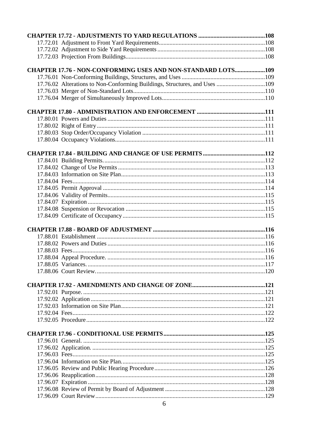| <b>CHAPTER 17.76 - NON-CONFORMING USES AND NON-STANDARD LOTS109</b>        |  |
|----------------------------------------------------------------------------|--|
|                                                                            |  |
| 17.76.02 Alterations to Non-Conforming Buildings, Structures, and Uses 109 |  |
|                                                                            |  |
|                                                                            |  |
|                                                                            |  |
|                                                                            |  |
|                                                                            |  |
|                                                                            |  |
|                                                                            |  |
|                                                                            |  |
|                                                                            |  |
|                                                                            |  |
|                                                                            |  |
|                                                                            |  |
|                                                                            |  |
|                                                                            |  |
|                                                                            |  |
|                                                                            |  |
|                                                                            |  |
|                                                                            |  |
|                                                                            |  |
|                                                                            |  |
|                                                                            |  |
|                                                                            |  |
|                                                                            |  |
|                                                                            |  |
|                                                                            |  |
|                                                                            |  |
|                                                                            |  |
|                                                                            |  |
|                                                                            |  |
|                                                                            |  |
|                                                                            |  |
|                                                                            |  |
|                                                                            |  |
|                                                                            |  |
|                                                                            |  |
|                                                                            |  |
|                                                                            |  |
|                                                                            |  |
|                                                                            |  |
|                                                                            |  |
|                                                                            |  |
|                                                                            |  |
|                                                                            |  |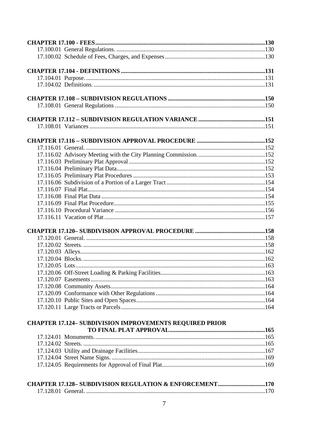| <b>CHAPTER 17.124- SUBDIVISION IMPROVEMENTS REQUIRED PRIOR</b>     |  |
|--------------------------------------------------------------------|--|
|                                                                    |  |
|                                                                    |  |
|                                                                    |  |
|                                                                    |  |
|                                                                    |  |
|                                                                    |  |
|                                                                    |  |
| <b>CHAPTER 17.128- SUBDIVISION REGULATION &amp; ENFORCEMENT170</b> |  |
|                                                                    |  |
|                                                                    |  |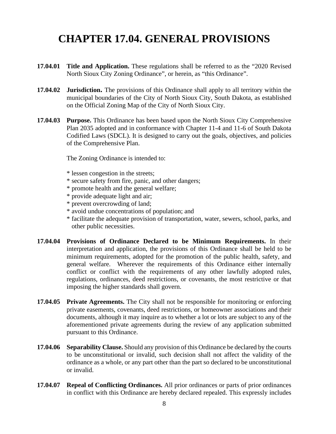# **CHAPTER 17.04. GENERAL PROVISIONS**

- **17.04.01 Title and Application.** These regulations shall be referred to as the "2020 Revised North Sioux City Zoning Ordinance", or herein, as "this Ordinance".
- **17.04.02 Jurisdiction.** The provisions of this Ordinance shall apply to all territory within the municipal boundaries of the City of North Sioux City, South Dakota, as established on the Official Zoning Map of the City of North Sioux City.
- **17.04.03 Purpose.** This Ordinance has been based upon the North Sioux City Comprehensive Plan 2035 adopted and in conformance with Chapter 11-4 and 11-6 of South Dakota Codified Laws (SDCL). It is designed to carry out the goals, objectives, and policies of the Comprehensive Plan.

The Zoning Ordinance is intended to:

- \* lessen congestion in the streets;
- \* secure safety from fire, panic, and other dangers;
- \* promote health and the general welfare;
- \* provide adequate light and air;
- \* prevent overcrowding of land;
- \* avoid undue concentrations of population; and
- \* facilitate the adequate provision of transportation, water, sewers, school, parks, and other public necessities.
- **17.04.04 Provisions of Ordinance Declared to be Minimum Requirements.** In their interpretation and application, the provisions of this Ordinance shall be held to be minimum requirements, adopted for the promotion of the public health, safety, and general welfare. Wherever the requirements of this Ordinance either internally conflict or conflict with the requirements of any other lawfully adopted rules, regulations, ordinances, deed restrictions, or covenants, the most restrictive or that imposing the higher standards shall govern.
- **17.04.05 Private Agreements.** The City shall not be responsible for monitoring or enforcing private easements, covenants, deed restrictions, or homeowner associations and their documents, although it may inquire as to whether a lot or lots are subject to any of the aforementioned private agreements during the review of any application submitted pursuant to this Ordinance.
- **17.04.06 Separability Clause.** Should any provision of this Ordinance be declared by the courts to be unconstitutional or invalid, such decision shall not affect the validity of the ordinance as a whole, or any part other than the part so declared to be unconstitutional or invalid.
- **17.04.07 Repeal of Conflicting Ordinances.** All prior ordinances or parts of prior ordinances in conflict with this Ordinance are hereby declared repealed. This expressly includes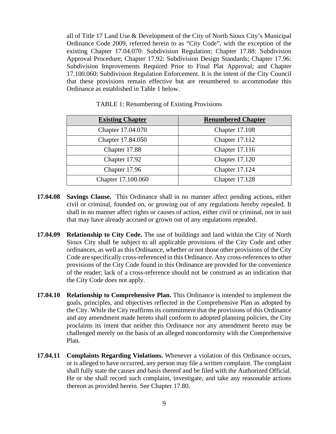all of Title 17 Land Use & Development of the City of North Sioux City's Municipal Ordinance Code 2009, referred herein to as "City Code", with the exception of the existing Chapter 17.04.070: Subdivision Regulation; Chapter 17.88: Subdivision Approval Procedure; Chapter 17.92: Subdivision Design Standards; Chapter 17.96: Subdivision Improvements Required Prior to Final Plat Approval; and Chapter 17.100.060: Subdivision Regulation Enforcement. It is the intent of the City Council that these provisions remain effective but are renumbered to accommodate this Ordinance as established in Table 1 below.

| <b>Existing Chapter</b> | <b>Renumbered Chapter</b> |
|-------------------------|---------------------------|
| Chapter 17.04.070       | Chapter 17.108            |
| Chapter 17.84.050       | Chapter 17.112            |
| Chapter 17.88           | Chapter 17.116            |
| Chapter 17.92           | Chapter 17.120            |
| Chapter 17.96           | Chapter 17.124            |
| Chapter 17.100.060      | Chapter 17.128            |

TABLE 1: Renumbering of Existing Provisions

- **17.04.08 Savings Clause.** This Ordinance shall in no manner affect pending actions, either civil or criminal, founded on, or growing out of any regulations hereby repealed. It shall in no manner affect rights or causes of action, either civil or criminal, not in suit that may have already accrued or grown out of any regulations repealed.
- **17.04.09 Relationship to City Code.** The use of buildings and land within the City of North Sioux City shall be subject to all applicable provisions of the City Code and other ordinances, as well as this Ordinance, whether or not those other provisions of the City Code are specifically cross-referenced in this Ordinance. Any cross-references to other provisions of the City Code found in this Ordinance are provided for the convenience of the reader; lack of a cross-reference should not be construed as an indication that the City Code does not apply.
- **17.04.10 Relationship to Comprehensive Plan.** This Ordinance is intended to implement the goals, principles, and objectives reflected in the Comprehensive Plan as adopted by the City. While the City reaffirms its commitment that the provisions of this Ordinance and any amendment made hereto shall conform to adopted planning policies, the City proclaims its intent that neither this Ordinance nor any amendment hereto may be challenged merely on the basis of an alleged nonconformity with the Comprehensive Plan.
- **17.04.11 Complaints Regarding Violations.** Whenever a violation of this Ordinance occurs, or is alleged to have occurred, any person may file a written complaint. The complaint shall fully state the causes and basis thereof and be filed with the Authorized Official. He or she shall record such complaint, investigate, and take any reasonable actions thereon as provided herein. See Chapter 17.80.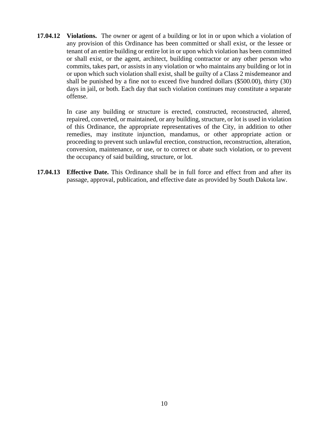**17.04.12 Violations.** The owner or agent of a building or lot in or upon which a violation of any provision of this Ordinance has been committed or shall exist, or the lessee or tenant of an entire building or entire lot in or upon which violation has been committed or shall exist, or the agent, architect, building contractor or any other person who commits, takes part, or assists in any violation or who maintains any building or lot in or upon which such violation shall exist, shall be guilty of a Class 2 misdemeanor and shall be punished by a fine not to exceed five hundred dollars (\$500.00), thirty (30) days in jail, or both. Each day that such violation continues may constitute a separate offense.

> In case any building or structure is erected, constructed, reconstructed, altered, repaired, converted, or maintained, or any building, structure, or lot is used in violation of this Ordinance, the appropriate representatives of the City, in addition to other remedies, may institute injunction, mandamus, or other appropriate action or proceeding to prevent such unlawful erection, construction, reconstruction, alteration, conversion, maintenance, or use, or to correct or abate such violation, or to prevent the occupancy of said building, structure, or lot.

**17.04.13 Effective Date.** This Ordinance shall be in full force and effect from and after its passage, approval, publication, and effective date as provided by South Dakota law.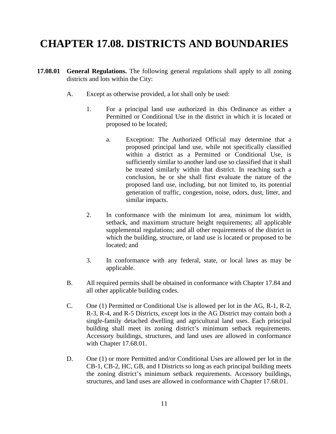# **CHAPTER 17.08. DISTRICTS AND BOUNDARIES**

- **17.08.01 General Regulations.** The following general regulations shall apply to all zoning districts and lots within the City:
	- A. Except as otherwise provided, a lot shall only be used:
		- 1. For a principal land use authorized in this Ordinance as either a Permitted or Conditional Use in the district in which it is located or proposed to be located;
			- a. Exception: The Authorized Official may determine that a proposed principal land use, while not specifically classified within a district as a Permitted or Conditional Use, is sufficiently similar to another land use so classified that it shall be treated similarly within that district. In reaching such a conclusion, he or she shall first evaluate the nature of the proposed land use, including, but not limited to, its potential generation of traffic, congestion, noise, odors, dust, litter, and similar impacts.
		- 2. In conformance with the minimum lot area, minimum lot width, setback, and maximum structure height requirements; all applicable supplemental regulations; and all other requirements of the district in which the building, structure, or land use is located or proposed to be located; and
		- 3. In conformance with any federal, state, or local laws as may be applicable.
	- B. All required permits shall be obtained in conformance with Chapter 17.84 and all other applicable building codes.
	- C. One (1) Permitted or Conditional Use is allowed per lot in the AG, R-1, R-2, R-3, R-4, and R-5 Districts, except lots in the AG District may contain both a single-family detached dwelling and agricultural land uses. Each principal building shall meet its zoning district's minimum setback requirements. Accessory buildings, structures, and land uses are allowed in conformance with Chapter 17.68.01.
	- D. One (1) or more Permitted and/or Conditional Uses are allowed per lot in the CB-1, CB-2, HC, GB, and I Districts so long as each principal building meets the zoning district's minimum setback requirements. Accessory buildings, structures, and land uses are allowed in conformance with Chapter 17.68.01.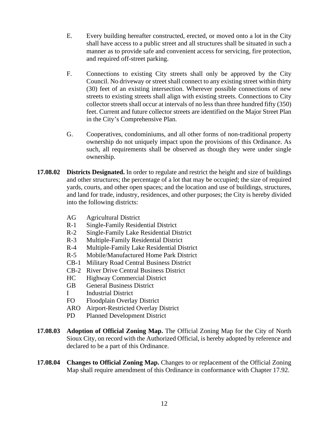- E. Every building hereafter constructed, erected, or moved onto a lot in the City shall have access to a public street and all structures shall be situated in such a manner as to provide safe and convenient access for servicing, fire protection, and required off-street parking.
- F. Connections to existing City streets shall only be approved by the City Council. No driveway or street shall connect to any existing street within thirty (30) feet of an existing intersection. Wherever possible connections of new streets to existing streets shall align with existing streets. Connections to City collector streets shall occur at intervals of no less than three hundred fifty (350) feet. Current and future collector streets are identified on the Major Street Plan in the City's Comprehensive Plan.
- G. Cooperatives, condominiums, and all other forms of non-traditional property ownership do not uniquely impact upon the provisions of this Ordinance. As such, all requirements shall be observed as though they were under single ownership.
- **17.08.02 Districts Designated.** In order to regulate and restrict the height and size of buildings and other structures; the percentage of a lot that may be occupied; the size of required yards, courts, and other open spaces; and the location and use of buildings, structures, and land for trade, industry, residences, and other purposes; the City is hereby divided into the following districts:
	- AG Agricultural District
	- R-1 Single-Family Residential District
	- R-2 Single-Family Lake Residential District
	- R-3 Multiple-Family Residential District
	- R-4 Multiple-Family Lake Residential District
	- R-5 Mobile/Manufactured Home Park District
	- CB-1 Military Road Central Business District
	- CB-2 River Drive Central Business District
	- HC Highway Commercial District
	- GB General Business District
	- I Industrial District
	- FO Floodplain Overlay District
	- ARO Airport-Restricted Overlay District
	- PD Planned Development District
- **17.08.03 Adoption of Official Zoning Map.** The Official Zoning Map for the City of North Sioux City, on record with the Authorized Official, is hereby adopted by reference and declared to be a part of this Ordinance.
- **17.08.04** Changes to Official Zoning Map. Changes to or replacement of the Official Zoning Map shall require amendment of this Ordinance in conformance with Chapter 17.92.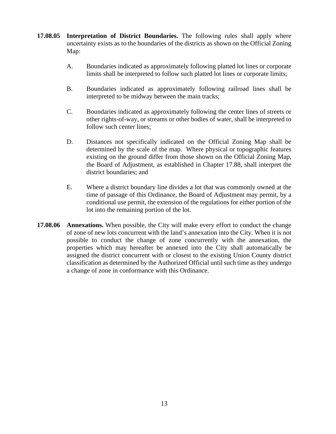- **17.08.05 Interpretation of District Boundaries.** The following rules shall apply where uncertainty exists as to the boundaries of the districts as shown on the Official Zoning Map:
	- A. Boundaries indicated as approximately following platted lot lines or corporate limits shall be interpreted to follow such platted lot lines or corporate limits;
	- B. Boundaries indicated as approximately following railroad lines shall be interpreted to be midway between the main tracks;
	- C. Boundaries indicated as approximately following the center lines of streets or other rights-of-way, or streams or other bodies of water, shall be interpreted to follow such center lines;
	- D. Distances not specifically indicated on the Official Zoning Map shall be determined by the scale of the map. Where physical or topographic features existing on the ground differ from those shown on the Official Zoning Map, the Board of Adjustment, as established in Chapter 17.88, shall interpret the district boundaries; and
	- E. Where a district boundary line divides a lot that was commonly owned at the time of passage of this Ordinance, the Board of Adjustment may permit, by a conditional use permit, the extension of the regulations for either portion of the lot into the remaining portion of the lot.
- **17.08.06 Annexations.** When possible, the City will make every effort to conduct the change of zone of new lots concurrent with the land's annexation into the City. When it is not possible to conduct the change of zone concurrently with the annexation, the properties which may hereafter be annexed into the City shall automatically be assigned the district concurrent with or closest to the existing Union County district classification as determined by the Authorized Official until such time as they undergo a change of zone in conformance with this Ordinance.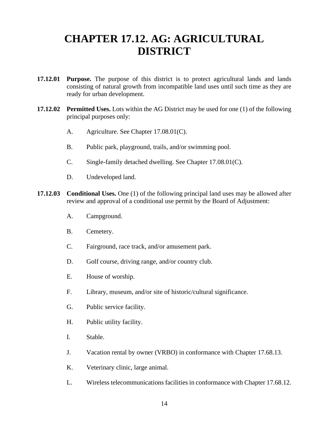# **CHAPTER 17.12. AG: AGRICULTURAL DISTRICT**

- **17.12.01 Purpose.** The purpose of this district is to protect agricultural lands and lands consisting of natural growth from incompatible land uses until such time as they are ready for urban development.
- **17.12.02 Permitted Uses.** Lots within the AG District may be used for one (1) of the following principal purposes only:
	- A. Agriculture. See Chapter 17.08.01(C).
	- B. Public park, playground, trails, and/or swimming pool.
	- C. Single-family detached dwelling. See Chapter 17.08.01(C).
	- D. Undeveloped land.
- **17.12.03** Conditional Uses. One (1) of the following principal land uses may be allowed after review and approval of a conditional use permit by the Board of Adjustment:
	- A. Campground.
	- B. Cemetery.
	- C. Fairground, race track, and/or amusement park.
	- D. Golf course, driving range, and/or country club.
	- E. House of worship.
	- F. Library, museum, and/or site of historic/cultural significance.
	- G. Public service facility.
	- H. Public utility facility.
	- I. Stable.
	- J. Vacation rental by owner (VRBO) in conformance with Chapter 17.68.13.
	- K. Veterinary clinic, large animal.
	- L. Wireless telecommunications facilities in conformance with Chapter 17.68.12.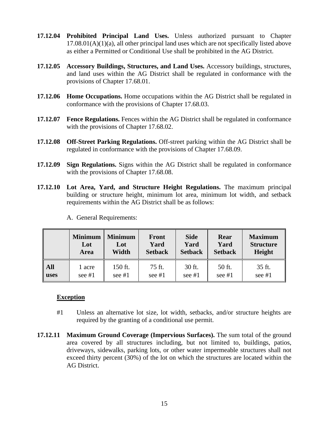- **17.12.04 Prohibited Principal Land Uses.** Unless authorized pursuant to Chapter  $17.08.01(A)(1)(a)$ , all other principal land uses which are not specifically listed above as either a Permitted or Conditional Use shall be prohibited in the AG District.
- **17.12.05 Accessory Buildings, Structures, and Land Uses.** Accessory buildings, structures, and land uses within the AG District shall be regulated in conformance with the provisions of Chapter 17.68.01.
- **17.12.06 Home Occupations.** Home occupations within the AG District shall be regulated in conformance with the provisions of Chapter 17.68.03.
- **17.12.07 Fence Regulations.** Fences within the AG District shall be regulated in conformance with the provisions of Chapter 17.68.02.
- **17.12.08 Off-Street Parking Regulations.** Off-street parking within the AG District shall be regulated in conformance with the provisions of Chapter 17.68.09.
- **17.12.09 Sign Regulations.** Signs within the AG District shall be regulated in conformance with the provisions of Chapter 17.68.08.
- **17.12.10 Lot Area, Yard, and Structure Height Regulations.** The maximum principal building or structure height, minimum lot area, minimum lot width, and setback requirements within the AG District shall be as follows:

|            | <b>Minimum</b> | <b>Minimum</b> | <b>Front</b>   | <b>Side</b>    | Rear           | <b>Maximum</b>   |
|------------|----------------|----------------|----------------|----------------|----------------|------------------|
|            | Lot            | Lot            | Yard           | Yard           | Yard           | <b>Structure</b> |
|            | <b>Area</b>    | Width          | <b>Setback</b> | <b>Setback</b> | <b>Setback</b> | Height           |
| <b>All</b> | 1 acre         | 150 ft.        | 75 ft.         | 30 ft.         | 50 ft.         | 35 ft.           |
| uses       | see $#1$       | see $#1$       | see $#1$       | see $#1$       | see $#1$       | see #1           |

A. General Requirements:

- #1 Unless an alternative lot size, lot width, setbacks, and/or structure heights are required by the granting of a conditional use permit.
- **17.12.11 Maximum Ground Coverage (Impervious Surfaces).** The sum total of the ground area covered by all structures including, but not limited to, buildings, patios, driveways, sidewalks, parking lots, or other water impermeable structures shall not exceed thirty percent (30%) of the lot on which the structures are located within the AG District.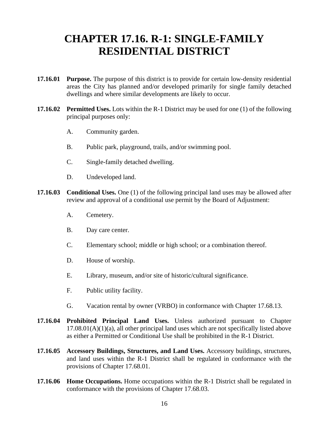### **CHAPTER 17.16. R-1: SINGLE-FAMILY RESIDENTIAL DISTRICT**

- **17.16.01 Purpose.** The purpose of this district is to provide for certain low-density residential areas the City has planned and/or developed primarily for single family detached dwellings and where similar developments are likely to occur.
- **17.16.02 Permitted Uses.** Lots within the R-1 District may be used for one (1) of the following principal purposes only:
	- A. Community garden.
	- B. Public park, playground, trails, and/or swimming pool.
	- C. Single-family detached dwelling.
	- D. Undeveloped land.
- **17.16.03** Conditional Uses. One (1) of the following principal land uses may be allowed after review and approval of a conditional use permit by the Board of Adjustment:
	- A. Cemetery.
	- B. Day care center.
	- C. Elementary school; middle or high school; or a combination thereof.
	- D. House of worship.
	- E. Library, museum, and/or site of historic/cultural significance.
	- F. Public utility facility.
	- G. Vacation rental by owner (VRBO) in conformance with Chapter 17.68.13.
- **17.16.04 Prohibited Principal Land Uses.** Unless authorized pursuant to Chapter  $17.08.01(A)(1)(a)$ , all other principal land uses which are not specifically listed above as either a Permitted or Conditional Use shall be prohibited in the R-1 District.
- **17.16.05 Accessory Buildings, Structures, and Land Uses.** Accessory buildings, structures, and land uses within the R-1 District shall be regulated in conformance with the provisions of Chapter 17.68.01.
- **17.16.06 Home Occupations.** Home occupations within the R-1 District shall be regulated in conformance with the provisions of Chapter 17.68.03.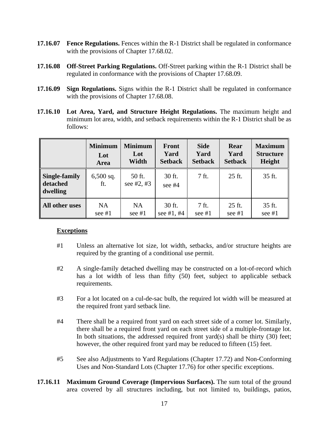- **17.16.07 Fence Regulations.** Fences within the R-1 District shall be regulated in conformance with the provisions of Chapter 17.68.02.
- **17.16.08 Off-Street Parking Regulations.** Off-Street parking within the R-1 District shall be regulated in conformance with the provisions of Chapter 17.68.09.
- **17.16.09 Sign Regulations.** Signs within the R-1 District shall be regulated in conformance with the provisions of Chapter 17.68.08.
- **17.16.10 Lot Area, Yard, and Structure Height Regulations.** The maximum height and minimum lot area, width, and setback requirements within the R-1 District shall be as follows:

|                                               | <b>Minimum</b>     | <b>Minimum</b>         | <b>Front</b>     | <b>Side</b>    | Rear           | <b>Maximum</b>   |
|-----------------------------------------------|--------------------|------------------------|------------------|----------------|----------------|------------------|
|                                               | Lot                | Lot                    | Yard             | Yard           | Yard           | <b>Structure</b> |
|                                               | <b>Area</b>        | Width                  | <b>Setback</b>   | <b>Setback</b> | <b>Setback</b> | Height           |
| Single-family<br>detached<br>$\vert$ dwelling | $6,500$ sq.<br>ft. | 50 ft.<br>see $#2, #3$ | 30 ft.<br>see #4 | 7 ft.          | 25 ft.         | 35 ft.           |
| All other uses                                | <b>NA</b>          | <b>NA</b>              | 30 ft.           | 7 ft.          | 25 ft.         | 35 ft.           |
|                                               | see #1             | see $#1$               | see #1, #4       | see #1         | see #1         | see #1           |

- #1 Unless an alternative lot size, lot width, setbacks, and/or structure heights are required by the granting of a conditional use permit.
- #2 A single-family detached dwelling may be constructed on a lot-of-record which has a lot width of less than fifty (50) feet, subject to applicable setback requirements.
- #3 For a lot located on a cul-de-sac bulb, the required lot width will be measured at the required front yard setback line.
- #4 There shall be a required front yard on each street side of a corner lot. Similarly, there shall be a required front yard on each street side of a multiple-frontage lot. In both situations, the addressed required front yard(s) shall be thirty  $(30)$  feet; however, the other required front yard may be reduced to fifteen (15) feet.
- #5 See also Adjustments to Yard Regulations (Chapter 17.72) and Non-Conforming Uses and Non-Standard Lots (Chapter 17.76) for other specific exceptions.
- **17.16.11 Maximum Ground Coverage (Impervious Surfaces).** The sum total of the ground area covered by all structures including, but not limited to, buildings, patios,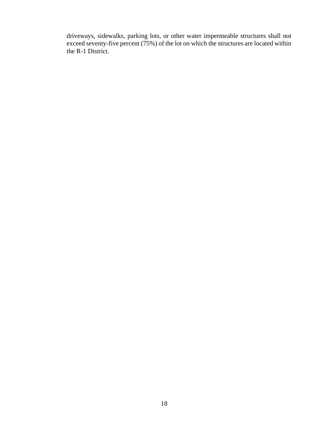driveways, sidewalks, parking lots, or other water impermeable structures shall not exceed seventy-five percent (75%) of the lot on which the structures are located within the R-1 District.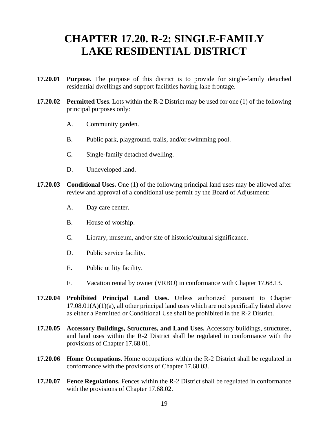### **CHAPTER 17.20. R-2: SINGLE-FAMILY LAKE RESIDENTIAL DISTRICT**

- **17.20.01 Purpose.** The purpose of this district is to provide for single-family detached residential dwellings and support facilities having lake frontage.
- **17.20.02 Permitted Uses.** Lots within the R-2 District may be used for one (1) of the following principal purposes only:
	- A. Community garden.
	- B. Public park, playground, trails, and/or swimming pool.
	- C. Single-family detached dwelling.
	- D. Undeveloped land.
- **17.20.03** Conditional Uses. One (1) of the following principal land uses may be allowed after review and approval of a conditional use permit by the Board of Adjustment:
	- A. Day care center.
	- B. House of worship.
	- C. Library, museum, and/or site of historic/cultural significance.
	- D. Public service facility.
	- E. Public utility facility.
	- F. Vacation rental by owner (VRBO) in conformance with Chapter 17.68.13.
- **17.20.04 Prohibited Principal Land Uses.** Unless authorized pursuant to Chapter  $17.08.01(A)(1)(a)$ , all other principal land uses which are not specifically listed above as either a Permitted or Conditional Use shall be prohibited in the R-2 District.
- **17.20.05 Accessory Buildings, Structures, and Land Uses.** Accessory buildings, structures, and land uses within the R-2 District shall be regulated in conformance with the provisions of Chapter 17.68.01.
- **17.20.06 Home Occupations.** Home occupations within the R-2 District shall be regulated in conformance with the provisions of Chapter 17.68.03.
- **17.20.07 Fence Regulations.** Fences within the R-2 District shall be regulated in conformance with the provisions of Chapter 17.68.02.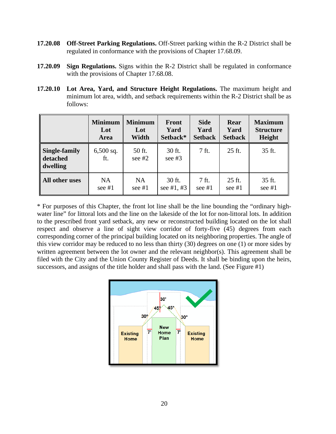- **17.20.08 Off-Street Parking Regulations.** Off-Street parking within the R-2 District shall be regulated in conformance with the provisions of Chapter 17.68.09.
- **17.20.09 Sign Regulations.** Signs within the R-2 District shall be regulated in conformance with the provisions of Chapter 17.68.08.
- **17.20.10 Lot Area, Yard, and Structure Height Regulations.** The maximum height and minimum lot area, width, and setback requirements within the R-2 District shall be as follows:

|                                       | <b>Minimum</b>     | <b>Minimum</b>     | <b>Front</b>       | <b>Side</b>    | Rear           | <b>Maximum</b>   |
|---------------------------------------|--------------------|--------------------|--------------------|----------------|----------------|------------------|
|                                       | Lot                | Lot                | Yard               | Yard           | Yard           | <b>Structure</b> |
|                                       | Area               | Width              | Setback*           | <b>Setback</b> | <b>Setback</b> | Height           |
| Single-family<br>detached<br>dwelling | $6,500$ sq.<br>ft. | 50 ft.<br>see $#2$ | 30 ft.<br>see $#3$ | 7 ft.          | 25 ft.         | 35 ft.           |
| All other uses                        | NA.                | <b>NA</b>          | 30 ft.             | 7 ft.          | 25 ft.         | 35 ft.           |
|                                       | see $#1$           | see $#1$           | see #1, #3         | see $#1$       | see $#1$       | see $#1$         |

\* For purposes of this Chapter, the front lot line shall be the line bounding the "ordinary highwater line" for littoral lots and the line on the lakeside of the lot for non-littoral lots. In addition to the prescribed front yard setback, any new or reconstructed building located on the lot shall respect and observe a line of sight view corridor of forty-five (45) degrees from each corresponding corner of the principal building located on its neighboring properties. The angle of this view corridor may be reduced to no less than thirty (30) degrees on one (1) or more sides by written agreement between the lot owner and the relevant neighbor(s). This agreement shall be filed with the City and the Union County Register of Deeds. It shall be binding upon the heirs, successors, and assigns of the title holder and shall pass with the land. (See Figure #1)

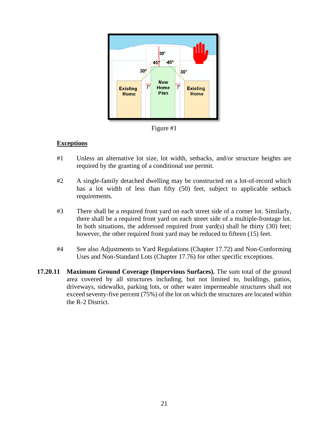

Figure #1

- #1 Unless an alternative lot size, lot width, setbacks, and/or structure heights are required by the granting of a conditional use permit.
- #2 A single-family detached dwelling may be constructed on a lot-of-record which has a lot width of less than fifty (50) feet, subject to applicable setback requirements.
- #3 There shall be a required front yard on each street side of a corner lot. Similarly, there shall be a required front yard on each street side of a multiple-frontage lot. In both situations, the addressed required front  $\text{vard}(s)$  shall be thirty (30) feet; however, the other required front yard may be reduced to fifteen (15) feet.
- #4 See also Adjustments to Yard Regulations (Chapter 17.72) and Non-Conforming Uses and Non-Standard Lots (Chapter 17.76) for other specific exceptions.
- **17.20.11 Maximum Ground Coverage (Impervious Surfaces).** The sum total of the ground area covered by all structures including, but not limited to, buildings, patios, driveways, sidewalks, parking lots, or other water impermeable structures shall not exceed seventy-five percent (75%) of the lot on which the structures are located within the R-2 District.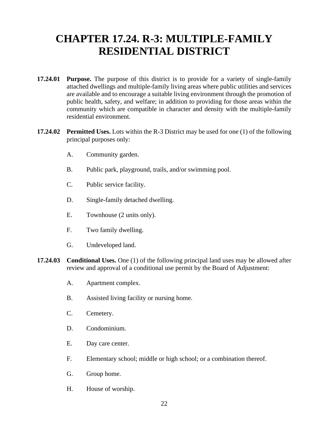# **CHAPTER 17.24. R-3: MULTIPLE-FAMILY RESIDENTIAL DISTRICT**

- **17.24.01 Purpose.** The purpose of this district is to provide for a variety of single-family attached dwellings and multiple-family living areas where public utilities and services are available and to encourage a suitable living environment through the promotion of public health, safety, and welfare; in addition to providing for those areas within the community which are compatible in character and density with the multiple-family residential environment.
- **17.24.02 Permitted Uses.** Lots within the R-3 District may be used for one (1) of the following principal purposes only:
	- A. Community garden.
	- B. Public park, playground, trails, and/or swimming pool.
	- C. Public service facility.
	- D. Single-family detached dwelling.
	- E. Townhouse (2 units only).
	- F. Two family dwelling.
	- G. Undeveloped land.
- **17.24.03** Conditional Uses. One (1) of the following principal land uses may be allowed after review and approval of a conditional use permit by the Board of Adjustment:
	- A. Apartment complex.
	- B. Assisted living facility or nursing home.
	- C. Cemetery.
	- D. Condominium.
	- E. Day care center.
	- F. Elementary school; middle or high school; or a combination thereof.
	- G. Group home.
	- H. House of worship.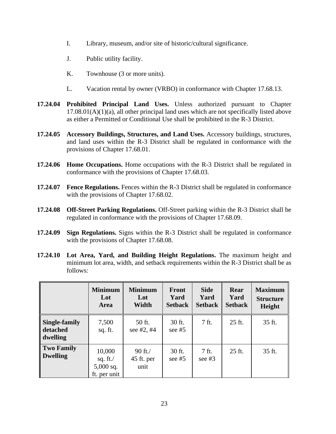- I. Library, museum, and/or site of historic/cultural significance.
- J. Public utility facility.
- K. Townhouse (3 or more units).
- L. Vacation rental by owner (VRBO) in conformance with Chapter 17.68.13.
- **17.24.04 Prohibited Principal Land Uses.** Unless authorized pursuant to Chapter  $17.08.01(A)(1)(a)$ , all other principal land uses which are not specifically listed above as either a Permitted or Conditional Use shall be prohibited in the R-3 District.
- **17.24.05 Accessory Buildings, Structures, and Land Uses.** Accessory buildings, structures, and land uses within the R-3 District shall be regulated in conformance with the provisions of Chapter 17.68.01.
- **17.24.06 Home Occupations.** Home occupations with the R-3 District shall be regulated in conformance with the provisions of Chapter 17.68.03.
- **17.24.07 Fence Regulations.** Fences within the R-3 District shall be regulated in conformance with the provisions of Chapter 17.68.02.
- **17.24.08 Off-Street Parking Regulations.** Off-Street parking within the R-3 District shall be regulated in conformance with the provisions of Chapter 17.68.09.
- **17.24.09 Sign Regulations.** Signs within the R-3 District shall be regulated in conformance with the provisions of Chapter 17.68.08.
- **17.24.10 Lot Area, Yard, and Building Height Regulations.** The maximum height and minimum lot area, width, and setback requirements within the R-3 District shall be as follows:

|                                       | <b>Minimum</b><br>Lot<br>Area                        | <b>Minimum</b><br>Lot<br>Width     | Front<br>Yard<br><b>Setback</b> | <b>Side</b><br>Yard<br><b>Setback</b> | Rear<br>Yard<br><b>Setback</b> | <b>Maximum</b><br><b>Structure</b><br>Height |
|---------------------------------------|------------------------------------------------------|------------------------------------|---------------------------------|---------------------------------------|--------------------------------|----------------------------------------------|
| Single-family<br>detached<br>dwelling | 7,500<br>sq. ft.                                     | 50 ft.<br>see $#2, #4$             | 30 ft.<br>see $#5$              | 7 ft.                                 | 25 ft.                         | 35 ft.                                       |
| Two Family<br><b>Dwelling</b>         | 10,000<br>sq. ft. $/$<br>$5,000$ sq.<br>ft. per unit | $90$ ft. $/$<br>45 ft. per<br>unit | 30 ft.<br>see $#5$              | 7 ft.<br>see $#3$                     | 25 ft.                         | 35 ft.                                       |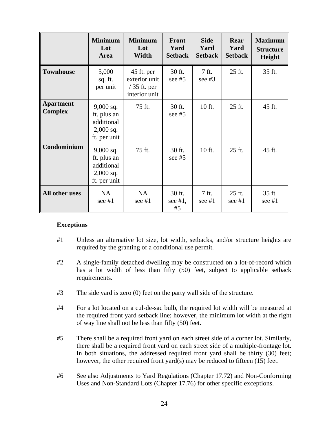|                                    | <b>Minimum</b><br>Lot<br>Area                                           | <b>Minimum</b><br>Lot<br>Width                                | <b>Front</b><br>Yard<br><b>Setback</b> | <b>Side</b><br>Yard<br><b>Setback</b> | Rear<br>Yard<br><b>Setback</b> | <b>Maximum</b><br><b>Structure</b><br>Height |
|------------------------------------|-------------------------------------------------------------------------|---------------------------------------------------------------|----------------------------------------|---------------------------------------|--------------------------------|----------------------------------------------|
| <b>Townhouse</b>                   | 5,000<br>sq. ft.<br>per unit                                            | 45 ft. per<br>exterior unit<br>$/35$ ft. per<br>interior unit | 30 ft.<br>see $#5$                     | 7 ft.<br>see $#3$                     | 25 ft.                         | 35 ft.                                       |
| <b>Apartment</b><br><b>Complex</b> | $9,000$ sq.<br>ft. plus an<br>additional<br>$2,000$ sq.<br>ft. per unit | 75 ft.                                                        | 30 ft.<br>see $#5$                     | 10 ft.                                | 25 ft.                         | 45 ft.                                       |
| Condominium                        | $9,000$ sq.<br>ft. plus an<br>additional<br>$2,000$ sq.<br>ft. per unit | 75 ft.                                                        | 30 ft.<br>see $#5$                     | 10 ft.                                | 25 ft.                         | 45 ft.                                       |
| All other uses                     | <b>NA</b><br>see $#1$                                                   | NA<br>see $#1$                                                | 30 ft.<br>see $#1$ ,<br>#5             | 7 ft.<br>see $#1$                     | 25 ft.<br>see $#1$             | 35 ft.<br>see $#1$                           |

- #1 Unless an alternative lot size, lot width, setbacks, and/or structure heights are required by the granting of a conditional use permit.
- #2 A single-family detached dwelling may be constructed on a lot-of-record which has a lot width of less than fifty (50) feet, subject to applicable setback requirements.
- #3 The side yard is zero (0) feet on the party wall side of the structure.
- #4 For a lot located on a cul-de-sac bulb, the required lot width will be measured at the required front yard setback line; however, the minimum lot width at the right of way line shall not be less than fifty (50) feet.
- #5 There shall be a required front yard on each street side of a corner lot. Similarly, there shall be a required front yard on each street side of a multiple-frontage lot. In both situations, the addressed required front yard shall be thirty (30) feet; however, the other required front yard(s) may be reduced to fifteen (15) feet.
- #6 See also Adjustments to Yard Regulations (Chapter 17.72) and Non-Conforming Uses and Non-Standard Lots (Chapter 17.76) for other specific exceptions.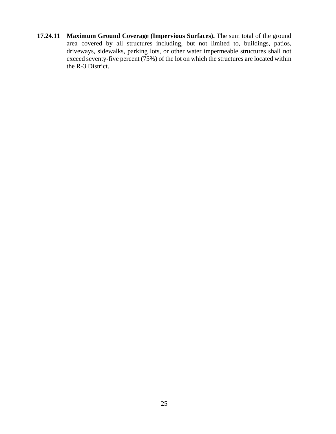**17.24.11 Maximum Ground Coverage (Impervious Surfaces).** The sum total of the ground area covered by all structures including, but not limited to, buildings, patios, driveways, sidewalks, parking lots, or other water impermeable structures shall not exceed seventy-five percent (75%) of the lot on which the structures are located within the R-3 District.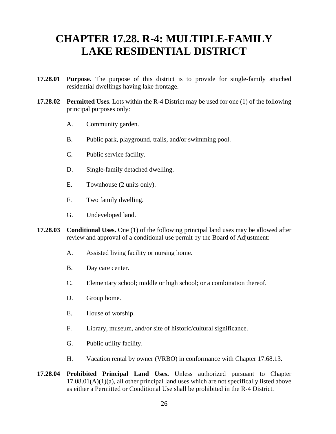### **CHAPTER 17.28. R-4: MULTIPLE-FAMILY LAKE RESIDENTIAL DISTRICT**

- **17.28.01 Purpose.** The purpose of this district is to provide for single-family attached residential dwellings having lake frontage.
- **17.28.02 Permitted Uses.** Lots within the R-4 District may be used for one (1) of the following principal purposes only:
	- A. Community garden.
	- B. Public park, playground, trails, and/or swimming pool.
	- C. Public service facility.
	- D. Single-family detached dwelling.
	- E. Townhouse (2 units only).
	- F. Two family dwelling.
	- G. Undeveloped land.
- **17.28.03** Conditional Uses. One (1) of the following principal land uses may be allowed after review and approval of a conditional use permit by the Board of Adjustment:
	- A. Assisted living facility or nursing home.
	- B. Day care center.
	- C. Elementary school; middle or high school; or a combination thereof.
	- D. Group home.
	- E. House of worship.
	- F. Library, museum, and/or site of historic/cultural significance.
	- G. Public utility facility.
	- H. Vacation rental by owner (VRBO) in conformance with Chapter 17.68.13.
- **17.28.04 Prohibited Principal Land Uses.** Unless authorized pursuant to Chapter  $17.08.01(A)(1)(a)$ , all other principal land uses which are not specifically listed above as either a Permitted or Conditional Use shall be prohibited in the R-4 District.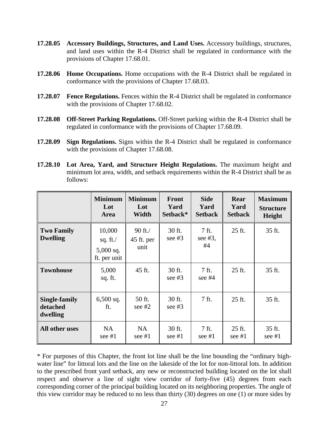- **17.28.05 Accessory Buildings, Structures, and Land Uses.** Accessory buildings, structures, and land uses within the R-4 District shall be regulated in conformance with the provisions of Chapter 17.68.01.
- **17.28.06 Home Occupations.** Home occupations with the R-4 District shall be regulated in conformance with the provisions of Chapter 17.68.03.
- **17.28.07 Fence Regulations.** Fences within the R-4 District shall be regulated in conformance with the provisions of Chapter 17.68.02.
- **17.28.08 Off-Street Parking Regulations.** Off-Street parking within the R-4 District shall be regulated in conformance with the provisions of Chapter 17.68.09.
- **17.28.09 Sign Regulations.** Signs within the R-4 District shall be regulated in conformance with the provisions of Chapter 17.68.08.
- **17.28.10 Lot Area, Yard, and Structure Height Regulations.** The maximum height and minimum lot area, width, and setback requirements within the R-4 District shall be as follows:

|                                              | <b>Minimum</b><br>Lot<br>Area                        | <b>Minimum</b><br>Lot<br>Width  | <b>Front</b><br>Yard<br>Setback* | <b>Side</b><br>Yard<br><b>Setback</b> | Rear<br>Yard<br><b>Setback</b> | <b>Maximum</b><br><b>Structure</b><br>Height |
|----------------------------------------------|------------------------------------------------------|---------------------------------|----------------------------------|---------------------------------------|--------------------------------|----------------------------------------------|
| <b>Two Family</b><br><b>Dwelling</b>         | 10,000<br>sq. ft. $/$<br>$5,000$ sq.<br>ft. per unit | $90$ ft./<br>45 ft. per<br>unit | 30 ft.<br>see $#3$               | 7 ft.<br>see $#3$ ,<br>#4             | 25 ft.                         | 35 ft.                                       |
| <b>Townhouse</b>                             | 5,000<br>sq. ft.                                     | 45 ft.                          | 30 ft.<br>see $#3$               | 7 ft.<br>see $#4$                     | 25 ft.                         | 35 ft.                                       |
| <b>Single-family</b><br>detached<br>dwelling | $6,500$ sq.<br>ft.                                   | 50 ft.<br>see $#2$              | 30 ft.<br>see $#3$               | 7 ft.                                 | 25 ft.                         | 35 ft.                                       |
| All other uses                               | NA<br>see #1                                         | <b>NA</b><br>see #1             | 30 ft.<br>see #1                 | 7 ft.<br>see #1                       | 25 ft.<br>see #1               | 35 ft.<br>see #1                             |

\* For purposes of this Chapter, the front lot line shall be the line bounding the "ordinary highwater line" for littoral lots and the line on the lakeside of the lot for non-littoral lots. In addition to the prescribed front yard setback, any new or reconstructed building located on the lot shall respect and observe a line of sight view corridor of forty-five (45) degrees from each corresponding corner of the principal building located on its neighboring properties. The angle of this view corridor may be reduced to no less than thirty (30) degrees on one (1) or more sides by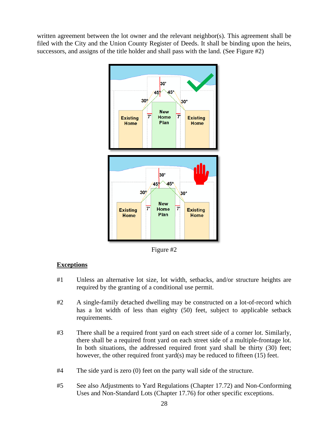written agreement between the lot owner and the relevant neighbor(s). This agreement shall be filed with the City and the Union County Register of Deeds. It shall be binding upon the heirs, successors, and assigns of the title holder and shall pass with the land. (See Figure #2)



Figure #2

- #1 Unless an alternative lot size, lot width, setbacks, and/or structure heights are required by the granting of a conditional use permit.
- #2 A single-family detached dwelling may be constructed on a lot-of-record which has a lot width of less than eighty (50) feet, subject to applicable setback requirements.
- #3 There shall be a required front yard on each street side of a corner lot. Similarly, there shall be a required front yard on each street side of a multiple-frontage lot. In both situations, the addressed required front yard shall be thirty (30) feet; however, the other required front yard(s) may be reduced to fifteen (15) feet.
- #4 The side yard is zero (0) feet on the party wall side of the structure.
- #5 See also Adjustments to Yard Regulations (Chapter 17.72) and Non-Conforming Uses and Non-Standard Lots (Chapter 17.76) for other specific exceptions.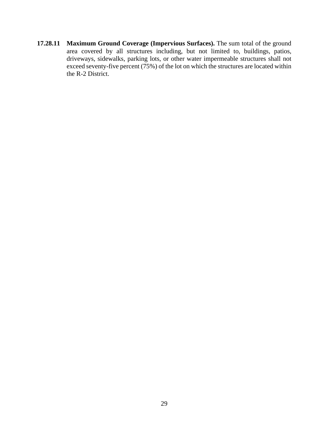**17.28.11 Maximum Ground Coverage (Impervious Surfaces).** The sum total of the ground area covered by all structures including, but not limited to, buildings, patios, driveways, sidewalks, parking lots, or other water impermeable structures shall not exceed seventy-five percent (75%) of the lot on which the structures are located within the R-2 District.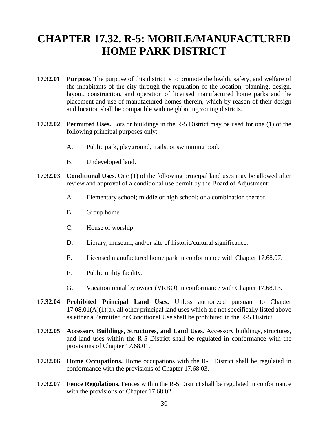# **CHAPTER 17.32. R-5: MOBILE/MANUFACTURED HOME PARK DISTRICT**

- **17.32.01 Purpose.** The purpose of this district is to promote the health, safety, and welfare of the inhabitants of the city through the regulation of the location, planning, design, layout, construction, and operation of licensed manufactured home parks and the placement and use of manufactured homes therein, which by reason of their design and location shall be compatible with neighboring zoning districts.
- **17.32.02 Permitted Uses.** Lots or buildings in the R-5 District may be used for one (1) of the following principal purposes only:
	- A. Public park, playground, trails, or swimming pool.
	- B. Undeveloped land.
- **17.32.03** Conditional Uses. One (1) of the following principal land uses may be allowed after review and approval of a conditional use permit by the Board of Adjustment:
	- A. Elementary school; middle or high school; or a combination thereof.
	- B. Group home.
	- C. House of worship.
	- D. Library, museum, and/or site of historic/cultural significance.
	- E. Licensed manufactured home park in conformance with Chapter 17.68.07.
	- F. Public utility facility.
	- G. Vacation rental by owner (VRBO) in conformance with Chapter 17.68.13.
- **17.32.04 Prohibited Principal Land Uses.** Unless authorized pursuant to Chapter  $17.08.01(A)(1)(a)$ , all other principal land uses which are not specifically listed above as either a Permitted or Conditional Use shall be prohibited in the R-5 District.
- **17.32.05 Accessory Buildings, Structures, and Land Uses.** Accessory buildings, structures, and land uses within the R-5 District shall be regulated in conformance with the provisions of Chapter 17.68.01.
- **17.32.06 Home Occupations.** Home occupations with the R-5 District shall be regulated in conformance with the provisions of Chapter 17.68.03.
- **17.32.07 Fence Regulations.** Fences within the R-5 District shall be regulated in conformance with the provisions of Chapter 17.68.02.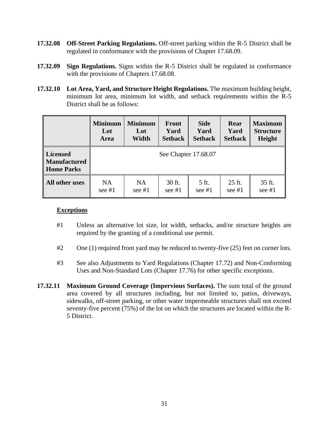- **17.32.08 Off-Street Parking Regulations.** Off-street parking within the R-5 District shall be regulated in conformance with the provisions of Chapter 17.68.09.
- **17.32.09 Sign Regulations.** Signs within the R-5 District shall be regulated in conformance with the provisions of Chapters 17.68.08.
- **17.32.10 Lot Area, Yard, and Structure Height Regulations.** The maximum building height, minimum lot area, minimum lot width, and setback requirements within the R-5 District shall be as follows:

|                                                      | <b>Minimum</b> | <b>Minimum</b> | Front                | <b>Side</b>    | Rear           | <b>Maximum</b>   |
|------------------------------------------------------|----------------|----------------|----------------------|----------------|----------------|------------------|
|                                                      | Lot            | Lot            | Yard                 | Yard           | Yard           | <b>Structure</b> |
|                                                      | <b>Area</b>    | Width          | <b>Setback</b>       | <b>Setback</b> | <b>Setback</b> | Height           |
| Licensed<br><b>Manufactured</b><br><b>Home Parks</b> |                |                | See Chapter 17.68.07 |                |                |                  |
| All other uses                                       | NA.            | <b>NA</b>      | 30 ft.               | 5 ft.          | 25 ft.         | 35 ft.           |
|                                                      | see $#1$       | see $#1$       | see $#1$             | see $#1$       | see $#1$       | see $#1$         |

- #1 Unless an alternative lot size, lot width, setbacks, and/or structure heights are required by the granting of a conditional use permit.
- #2 One (1) required front yard may be reduced to twenty-five (25) feet on corner lots.
- #3 See also Adjustments to Yard Regulations (Chapter 17.72) and Non-Conforming Uses and Non-Standard Lots (Chapter 17.76) for other specific exceptions.
- **17.32.11 Maximum Ground Coverage (Impervious Surfaces).** The sum total of the ground area covered by all structures including, but not limited to, patios, driveways, sidewalks, off-street parking, or other water impermeable structures shall not exceed seventy-five percent (75%) of the lot on which the structures are located within the R-5 District.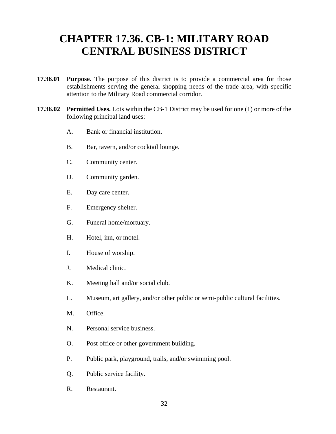### **CHAPTER 17.36. CB-1: MILITARY ROAD CENTRAL BUSINESS DISTRICT**

- **17.36.01 Purpose.** The purpose of this district is to provide a commercial area for those establishments serving the general shopping needs of the trade area, with specific attention to the Military Road commercial corridor.
- **17.36.02 Permitted Uses.** Lots within the CB-1 District may be used for one (1) or more of the following principal land uses:
	- A. Bank or financial institution.
	- B. Bar, tavern, and/or cocktail lounge.
	- C. Community center.
	- D. Community garden.
	- E. Day care center.
	- F. Emergency shelter.
	- G. Funeral home/mortuary.
	- H. Hotel, inn, or motel.
	- I. House of worship.
	- J. Medical clinic.
	- K. Meeting hall and/or social club.
	- L. Museum, art gallery, and/or other public or semi-public cultural facilities.
	- M. Office.
	- N. Personal service business.
	- O. Post office or other government building.
	- P. Public park, playground, trails, and/or swimming pool.
	- Q. Public service facility.
	- R. Restaurant.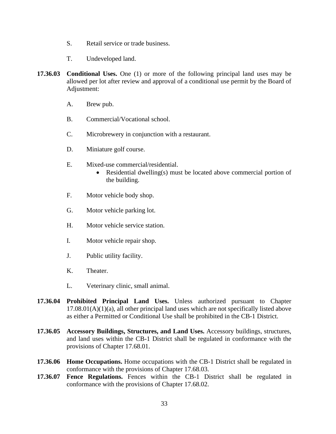- S. Retail service or trade business.
- T. Undeveloped land.
- **17.36.03 Conditional Uses.** One (1) or more of the following principal land uses may be allowed per lot after review and approval of a conditional use permit by the Board of Adjustment:
	- A. Brew pub.
	- B. Commercial/Vocational school.
	- C. Microbrewery in conjunction with a restaurant.
	- D. Miniature golf course.
	- E. Mixed-use commercial/residential.
		- Residential dwelling(s) must be located above commercial portion of the building.
	- F. Motor vehicle body shop.
	- G. Motor vehicle parking lot.
	- H. Motor vehicle service station.
	- I. Motor vehicle repair shop.
	- J. Public utility facility.
	- K. Theater.
	- L. Veterinary clinic, small animal.
- **17.36.04 Prohibited Principal Land Uses.** Unless authorized pursuant to Chapter  $17.08.01(A)(1)(a)$ , all other principal land uses which are not specifically listed above as either a Permitted or Conditional Use shall be prohibited in the CB-1 District.
- **17.36.05 Accessory Buildings, Structures, and Land Uses.** Accessory buildings, structures, and land uses within the CB-1 District shall be regulated in conformance with the provisions of Chapter 17.68.01.
- **17.36.06 Home Occupations.** Home occupations with the CB-1 District shall be regulated in conformance with the provisions of Chapter 17.68.03.
- **17.36.07 Fence Regulations.** Fences within the CB-1 District shall be regulated in conformance with the provisions of Chapter 17.68.02.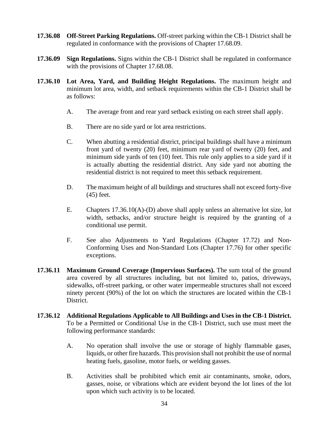- **17.36.08 Off-Street Parking Regulations.** Off-street parking within the CB-1 District shall be regulated in conformance with the provisions of Chapter 17.68.09.
- **17.36.09 Sign Regulations.** Signs within the CB-1 District shall be regulated in conformance with the provisions of Chapter 17.68.08.
- **17.36.10 Lot Area, Yard, and Building Height Regulations.** The maximum height and minimum lot area, width, and setback requirements within the CB-1 District shall be as follows:
	- A. The average front and rear yard setback existing on each street shall apply.
	- B. There are no side yard or lot area restrictions.
	- C. When abutting a residential district, principal buildings shall have a minimum front yard of twenty (20) feet, minimum rear yard of twenty (20) feet, and minimum side yards of ten (10) feet. This rule only applies to a side yard if it is actually abutting the residential district. Any side yard not abutting the residential district is not required to meet this setback requirement.
	- D. The maximum height of all buildings and structures shall not exceed forty-five (45) feet.
	- E. Chapters 17.36.10(A)-(D) above shall apply unless an alternative lot size, lot width, setbacks, and/or structure height is required by the granting of a conditional use permit.
	- F. See also Adjustments to Yard Regulations (Chapter 17.72) and Non-Conforming Uses and Non-Standard Lots (Chapter 17.76) for other specific exceptions.
- **17.36.11 Maximum Ground Coverage (Impervious Surfaces).** The sum total of the ground area covered by all structures including, but not limited to, patios, driveways, sidewalks, off-street parking, or other water impermeable structures shall not exceed ninety percent (90%) of the lot on which the structures are located within the CB-1 District.
- **17.36.12 Additional Regulations Applicable to All Buildings and Uses in the CB-1 District.**  To be a Permitted or Conditional Use in the CB-1 District, such use must meet the following performance standards:
	- A. No operation shall involve the use or storage of highly flammable gases, liquids, or other fire hazards. This provision shall not prohibit the use of normal heating fuels, gasoline, motor fuels, or welding gasses.
	- B. Activities shall be prohibited which emit air contaminants, smoke, odors, gasses, noise, or vibrations which are evident beyond the lot lines of the lot upon which such activity is to be located.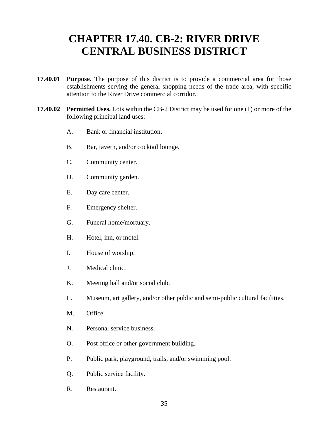### **CHAPTER 17.40. CB-2: RIVER DRIVE CENTRAL BUSINESS DISTRICT**

- **17.40.01 Purpose.** The purpose of this district is to provide a commercial area for those establishments serving the general shopping needs of the trade area, with specific attention to the River Drive commercial corridor.
- **17.40.02 Permitted Uses.** Lots within the CB-2 District may be used for one (1) or more of the following principal land uses:
	- A. Bank or financial institution.
	- B. Bar, tavern, and/or cocktail lounge.
	- C. Community center.
	- D. Community garden.
	- E. Day care center.
	- F. Emergency shelter.
	- G. Funeral home/mortuary.
	- H. Hotel, inn, or motel.
	- I. House of worship.
	- J. Medical clinic.
	- K. Meeting hall and/or social club.
	- L. Museum, art gallery, and/or other public and semi-public cultural facilities.
	- M. Office.
	- N. Personal service business.
	- O. Post office or other government building.
	- P. Public park, playground, trails, and/or swimming pool.
	- Q. Public service facility.
	- R. Restaurant.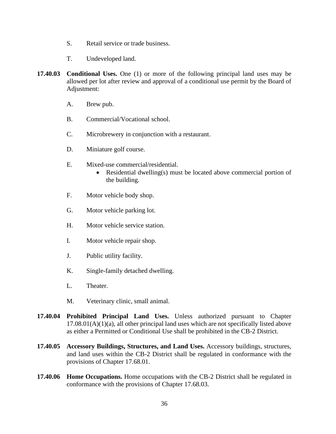- S. Retail service or trade business.
- T. Undeveloped land.
- **17.40.03 Conditional Uses.** One (1) or more of the following principal land uses may be allowed per lot after review and approval of a conditional use permit by the Board of Adjustment:
	- A. Brew pub.
	- B. Commercial/Vocational school.
	- C. Microbrewery in conjunction with a restaurant.
	- D. Miniature golf course.
	- E. Mixed-use commercial/residential.
		- Residential dwelling(s) must be located above commercial portion of the building.
	- F. Motor vehicle body shop.
	- G. Motor vehicle parking lot.
	- H. Motor vehicle service station.
	- I. Motor vehicle repair shop.
	- J. Public utility facility.
	- K. Single-family detached dwelling.
	- L. Theater.
	- M. Veterinary clinic, small animal.
- **17.40.04 Prohibited Principal Land Uses.** Unless authorized pursuant to Chapter  $17.08.01(A)(1)(a)$ , all other principal land uses which are not specifically listed above as either a Permitted or Conditional Use shall be prohibited in the CB-2 District.
- **17.40.05 Accessory Buildings, Structures, and Land Uses.** Accessory buildings, structures, and land uses within the CB-2 District shall be regulated in conformance with the provisions of Chapter 17.68.01.
- **17.40.06 Home Occupations.** Home occupations with the CB-2 District shall be regulated in conformance with the provisions of Chapter 17.68.03.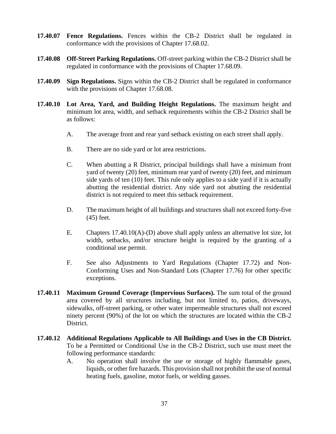- **17.40.07 Fence Regulations.** Fences within the CB-2 District shall be regulated in conformance with the provisions of Chapter 17.68.02.
- **17.40.08 Off-Street Parking Regulations.** Off-street parking within the CB-2 District shall be regulated in conformance with the provisions of Chapter 17.68.09.
- **17.40.09 Sign Regulations.** Signs within the CB-2 District shall be regulated in conformance with the provisions of Chapter 17.68.08.
- **17.40.10 Lot Area, Yard, and Building Height Regulations.** The maximum height and minimum lot area, width, and setback requirements within the CB-2 District shall be as follows:
	- A. The average front and rear yard setback existing on each street shall apply.
	- B. There are no side yard or lot area restrictions.
	- C. When abutting a R District, principal buildings shall have a minimum front yard of twenty (20) feet, minimum rear yard of twenty (20) feet, and minimum side yards of ten (10) feet. This rule only applies to a side yard if it is actually abutting the residential district. Any side yard not abutting the residential district is not required to meet this setback requirement.
	- D. The maximum height of all buildings and structures shall not exceed forty-five (45) feet.
	- E. Chapters 17.40.10(A)-(D) above shall apply unless an alternative lot size, lot width, setbacks, and/or structure height is required by the granting of a conditional use permit.
	- F. See also Adjustments to Yard Regulations (Chapter 17.72) and Non-Conforming Uses and Non-Standard Lots (Chapter 17.76) for other specific exceptions.
- **17.40.11 Maximum Ground Coverage (Impervious Surfaces).** The sum total of the ground area covered by all structures including, but not limited to, patios, driveways, sidewalks, off-street parking, or other water impermeable structures shall not exceed ninety percent (90%) of the lot on which the structures are located within the CB-2 District.
- **17.40.12 Additional Regulations Applicable to All Buildings and Uses in the CB District.**  To be a Permitted or Conditional Use in the CB-2 District, such use must meet the following performance standards:
	- A. No operation shall involve the use or storage of highly flammable gases, liquids, or other fire hazards. This provision shall not prohibit the use of normal heating fuels, gasoline, motor fuels, or welding gasses.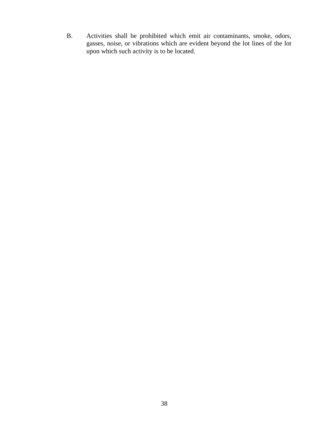B. Activities shall be prohibited which emit air contaminants, smoke, odors, gasses, noise, or vibrations which are evident beyond the lot lines of the lot upon which such activity is to be located.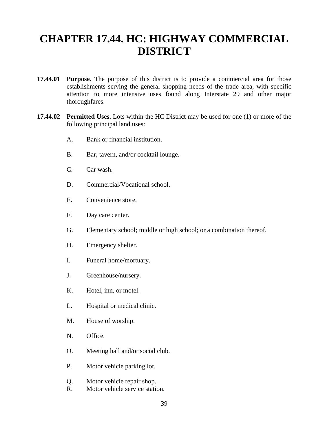### **CHAPTER 17.44. HC: HIGHWAY COMMERCIAL DISTRICT**

- **17.44.01 Purpose.** The purpose of this district is to provide a commercial area for those establishments serving the general shopping needs of the trade area, with specific attention to more intensive uses found along Interstate 29 and other major thoroughfares.
- **17.44.02 Permitted Uses.** Lots within the HC District may be used for one (1) or more of the following principal land uses:
	- A. Bank or financial institution.
	- B. Bar, tavern, and/or cocktail lounge.
	- C. Car wash.
	- D. Commercial/Vocational school.
	- E. Convenience store.
	- F. Day care center.
	- G. Elementary school; middle or high school; or a combination thereof.
	- H. Emergency shelter.
	- I. Funeral home/mortuary.
	- J. Greenhouse/nursery.
	- K. Hotel, inn, or motel.
	- L. Hospital or medical clinic.
	- M. House of worship.
	- N. Office.
	- O. Meeting hall and/or social club.
	- P. Motor vehicle parking lot.
	- Q. Motor vehicle repair shop.
	- R. Motor vehicle service station.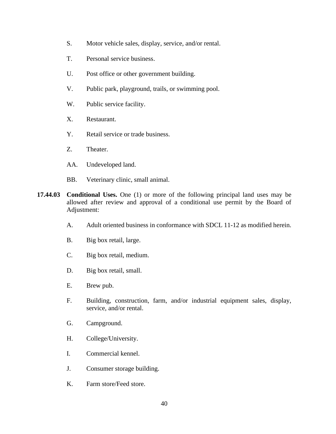- S. Motor vehicle sales, display, service, and/or rental.
- T. Personal service business.
- U. Post office or other government building.
- V. Public park, playground, trails, or swimming pool.
- W. Public service facility.
- X. Restaurant.
- Y. Retail service or trade business.
- Z. Theater.
- AA. Undeveloped land.
- BB. Veterinary clinic, small animal.
- **17.44.03 Conditional Uses.** One (1) or more of the following principal land uses may be allowed after review and approval of a conditional use permit by the Board of Adjustment:
	- A. Adult oriented business in conformance with SDCL 11-12 as modified herein.
	- B. Big box retail, large.
	- C. Big box retail, medium.
	- D. Big box retail, small.
	- E. Brew pub.
	- F. Building, construction, farm, and/or industrial equipment sales, display, service, and/or rental.
	- G. Campground.
	- H. College/University.
	- I. Commercial kennel.
	- J. Consumer storage building.
	- K. Farm store/Feed store.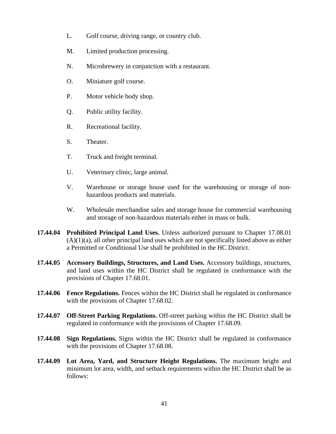- L. Golf course, driving range, or country club.
- M. Limited production processing.
- N. Microbrewery in conjunction with a restaurant.
- O. Miniature golf course.
- P. Motor vehicle body shop.
- Q. Public utility facility.
- R. Recreational facility.
- S. Theater.
- T. Truck and freight terminal.
- U. Veterinary clinic, large animal.
- V. Warehouse or storage house used for the warehousing or storage of nonhazardous products and materials.
- W. Wholesale merchandise sales and storage house for commercial warehousing and storage of non-hazardous materials either in mass or bulk.
- **17.44.04 Prohibited Principal Land Uses.** Unless authorized pursuant to Chapter 17.08.01  $(A)(1)(a)$ , all other principal land uses which are not specifically listed above as either a Permitted or Conditional Use shall be prohibited in the HC District.
- **17.44.05 Accessory Buildings, Structures, and Land Uses.** Accessory buildings, structures, and land uses within the HC District shall be regulated in conformance with the provisions of Chapter 17.68.01.
- **17.44.06 Fence Regulations.** Fences within the HC District shall be regulated in conformance with the provisions of Chapter 17.68.02.
- **17.44.07 Off-Street Parking Regulations.** Off-street parking within the HC District shall be regulated in conformance with the provisions of Chapter 17.68.09.
- **17.44.08 Sign Regulations.** Signs within the HC District shall be regulated in conformance with the provisions of Chapter 17.68.08.
- **17.44.09 Lot Area, Yard, and Structure Height Regulations.** The maximum height and minimum lot area, width, and setback requirements within the HC District shall be as follows: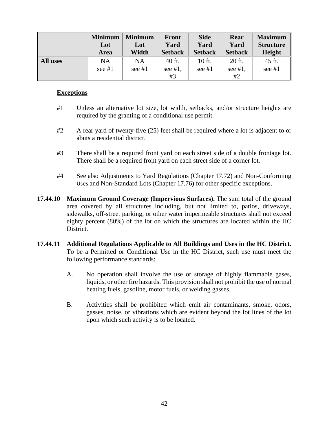|                 | <b>Minimum</b>        | <b>Minimum</b>        | <b>Front</b>               | <b>Side</b>        | Rear                       | <b>Maximum</b>     |
|-----------------|-----------------------|-----------------------|----------------------------|--------------------|----------------------------|--------------------|
|                 | Lot                   | Lot                   | Yard                       | Yard               | Yard                       | <b>Structure</b>   |
|                 | <b>Area</b>           | Width                 | <b>Setback</b>             | <b>Setback</b>     | <b>Setback</b>             | <b>Height</b>      |
| <b>All uses</b> | <b>NA</b><br>see $#1$ | <b>NA</b><br>see $#1$ | 40 ft.<br>see $#1$ ,<br>#3 | 10 ft.<br>see $#1$ | 20 ft.<br>see $#1$ ,<br>#2 | 45 ft.<br>see $#1$ |

#### **Exceptions**

- #1 Unless an alternative lot size, lot width, setbacks, and/or structure heights are required by the granting of a conditional use permit.
- #2 A rear yard of twenty-five (25) feet shall be required where a lot is adjacent to or abuts a residential district.
- #3 There shall be a required front yard on each street side of a double frontage lot. There shall be a required front yard on each street side of a corner lot.
- #4 See also Adjustments to Yard Regulations (Chapter 17.72) and Non-Conforming Uses and Non-Standard Lots (Chapter 17.76) for other specific exceptions.
- **17.44.10 Maximum Ground Coverage (Impervious Surfaces).** The sum total of the ground area covered by all structures including, but not limited to, patios, driveways, sidewalks, off-street parking, or other water impermeable structures shall not exceed eighty percent (80%) of the lot on which the structures are located within the HC District.
- **17.44.11 Additional Regulations Applicable to All Buildings and Uses in the HC District.**  To be a Permitted or Conditional Use in the HC District, such use must meet the following performance standards:
	- A. No operation shall involve the use or storage of highly flammable gases, liquids, or other fire hazards. This provision shall not prohibit the use of normal heating fuels, gasoline, motor fuels, or welding gasses.
	- B. Activities shall be prohibited which emit air contaminants, smoke, odors, gasses, noise, or vibrations which are evident beyond the lot lines of the lot upon which such activity is to be located.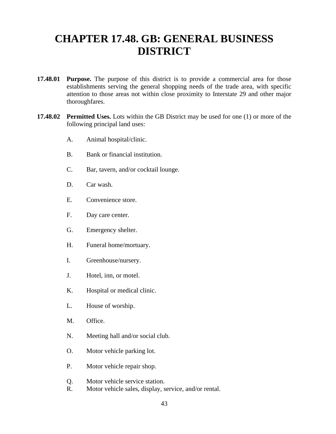### **CHAPTER 17.48. GB: GENERAL BUSINESS DISTRICT**

- **17.48.01 Purpose.** The purpose of this district is to provide a commercial area for those establishments serving the general shopping needs of the trade area, with specific attention to those areas not within close proximity to Interstate 29 and other major thoroughfares.
- **17.48.02 Permitted Uses.** Lots within the GB District may be used for one (1) or more of the following principal land uses:
	- A. Animal hospital/clinic.
	- B. Bank or financial institution.
	- C. Bar, tavern, and/or cocktail lounge.
	- D. Car wash.
	- E. Convenience store.
	- F. Day care center.
	- G. Emergency shelter.
	- H. Funeral home/mortuary.
	- I. Greenhouse/nursery.
	- J. Hotel, inn, or motel.
	- K. Hospital or medical clinic.
	- L. House of worship.
	- M. Office.
	- N. Meeting hall and/or social club.
	- O. Motor vehicle parking lot.
	- P. Motor vehicle repair shop.
	- Q. Motor vehicle service station.
	- R. Motor vehicle sales, display, service, and/or rental.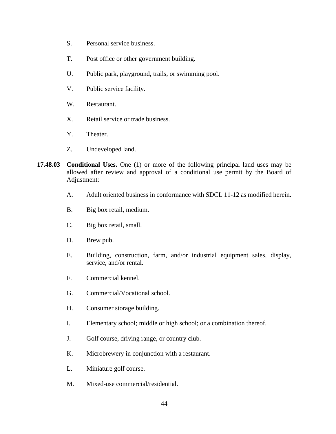- S. Personal service business.
- T. Post office or other government building.
- U. Public park, playground, trails, or swimming pool.
- V. Public service facility.
- W. Restaurant.
- X. Retail service or trade business.
- Y. Theater.
- Z. Undeveloped land.
- **17.48.03 Conditional Uses.** One (1) or more of the following principal land uses may be allowed after review and approval of a conditional use permit by the Board of Adjustment:
	- A. Adult oriented business in conformance with SDCL 11-12 as modified herein.
	- B. Big box retail, medium.
	- C. Big box retail, small.
	- D. Brew pub.
	- E. Building, construction, farm, and/or industrial equipment sales, display, service, and/or rental.
	- F. Commercial kennel.
	- G. Commercial/Vocational school.
	- H. Consumer storage building.
	- I. Elementary school; middle or high school; or a combination thereof.
	- J. Golf course, driving range, or country club.
	- K. Microbrewery in conjunction with a restaurant.
	- L. Miniature golf course.
	- M. Mixed-use commercial/residential.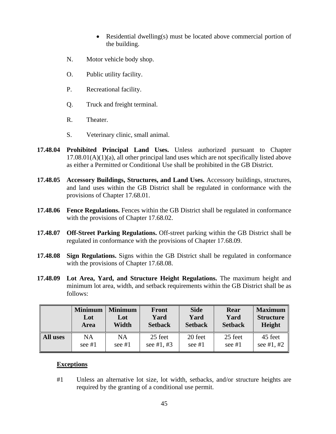- Residential dwelling(s) must be located above commercial portion of the building.
- N. Motor vehicle body shop.
- O. Public utility facility.
- P. Recreational facility.
- Q. Truck and freight terminal.
- R. Theater.
- S. Veterinary clinic, small animal.
- **17.48.04 Prohibited Principal Land Uses.** Unless authorized pursuant to Chapter  $17.08.01(A)(1)(a)$ , all other principal land uses which are not specifically listed above as either a Permitted or Conditional Use shall be prohibited in the GB District.
- **17.48.05 Accessory Buildings, Structures, and Land Uses.** Accessory buildings, structures, and land uses within the GB District shall be regulated in conformance with the provisions of Chapter 17.68.01.
- **17.48.06 Fence Regulations.** Fences within the GB District shall be regulated in conformance with the provisions of Chapter 17.68.02.
- **17.48.07 Off-Street Parking Regulations.** Off-street parking within the GB District shall be regulated in conformance with the provisions of Chapter 17.68.09.
- **17.48.08 Sign Regulations.** Signs within the GB District shall be regulated in conformance with the provisions of Chapter 17.68.08.
- **17.48.09 Lot Area, Yard, and Structure Height Regulations.** The maximum height and minimum lot area, width, and setback requirements within the GB District shall be as follows:

|                 | <b>Minimum</b> | <b>Minimum</b> | <b>Front</b>   | <b>Side</b>    | Rear           | <b>Maximum</b>   |
|-----------------|----------------|----------------|----------------|----------------|----------------|------------------|
|                 | Lot            | Lot            | Yard           | Yard           | Yard           | <b>Structure</b> |
|                 | Area           | Width          | <b>Setback</b> | <b>Setback</b> | <b>Setback</b> | Height           |
| <b>All uses</b> | <b>NA</b>      | NA             | 25 feet        | 20 feet        | 25 feet        | 45 feet          |
|                 | see $#1$       | see $#1$       | see #1, #3     | see $#1$       | see $#1$       | see #1, #2       |

#### **Exceptions**

#1 Unless an alternative lot size, lot width, setbacks, and/or structure heights are required by the granting of a conditional use permit.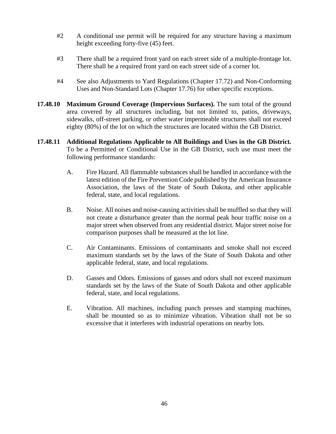- #2 A conditional use permit will be required for any structure having a maximum height exceeding forty-five (45) feet.
- #3 There shall be a required front yard on each street side of a multiple-frontage lot. There shall be a required front yard on each street side of a corner lot.
- #4 See also Adjustments to Yard Regulations (Chapter 17.72) and Non-Conforming Uses and Non-Standard Lots (Chapter 17.76) for other specific exceptions.
- **17.48.10 Maximum Ground Coverage (Impervious Surfaces).** The sum total of the ground area covered by all structures including, but not limited to, patios, driveways, sidewalks, off-street parking, or other water impermeable structures shall not exceed eighty (80%) of the lot on which the structures are located within the GB District.
- **17.48.11 Additional Regulations Applicable to All Buildings and Uses in the GB District.**  To be a Permitted or Conditional Use in the GB District, such use must meet the following performance standards:
	- A. Fire Hazard. All flammable substances shall be handled in accordance with the latest edition of the Fire Prevention Code published by the American Insurance Association, the laws of the State of South Dakota, and other applicable federal, state, and local regulations.
	- B. Noise. All noises and noise-causing activities shall be muffled so that they will not create a disturbance greater than the normal peak hour traffic noise on a major street when observed from any residential district. Major street noise for comparison purposes shall be measured at the lot line.
	- C. Air Contaminants. Emissions of contaminants and smoke shall not exceed maximum standards set by the laws of the State of South Dakota and other applicable federal, state, and local regulations.
	- D. Gasses and Odors. Emissions of gasses and odors shall not exceed maximum standards set by the laws of the State of South Dakota and other applicable federal, state, and local regulations.
	- E. Vibration. All machines, including punch presses and stamping machines, shall be mounted so as to minimize vibration. Vibration shall not be so excessive that it interferes with industrial operations on nearby lots.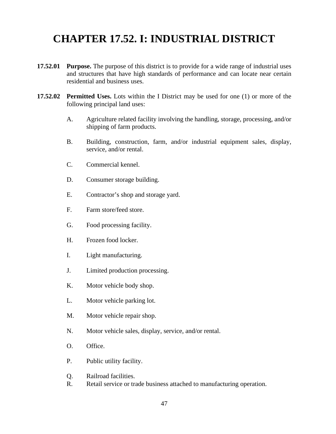# **CHAPTER 17.52. I: INDUSTRIAL DISTRICT**

- **17.52.01 Purpose.** The purpose of this district is to provide for a wide range of industrial uses and structures that have high standards of performance and can locate near certain residential and business uses.
- **17.52.02 Permitted Uses.** Lots within the I District may be used for one (1) or more of the following principal land uses:
	- A. Agriculture related facility involving the handling, storage, processing, and/or shipping of farm products.
	- B. Building, construction, farm, and/or industrial equipment sales, display, service, and/or rental.
	- C. Commercial kennel.
	- D. Consumer storage building.
	- E. Contractor's shop and storage yard.
	- F. Farm store/feed store.
	- G. Food processing facility.
	- H. Frozen food locker.
	- I. Light manufacturing.
	- J. Limited production processing.
	- K. Motor vehicle body shop.
	- L. Motor vehicle parking lot.
	- M. Motor vehicle repair shop.
	- N. Motor vehicle sales, display, service, and/or rental.
	- O. Office.
	- P. Public utility facility.
	- Q. Railroad facilities.
	- R. Retail service or trade business attached to manufacturing operation.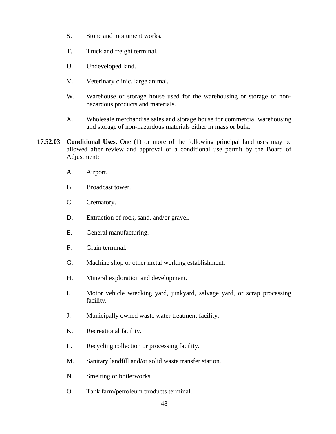- S. Stone and monument works.
- T. Truck and freight terminal.
- U. Undeveloped land.
- V. Veterinary clinic, large animal.
- W. Warehouse or storage house used for the warehousing or storage of nonhazardous products and materials.
- X. Wholesale merchandise sales and storage house for commercial warehousing and storage of non-hazardous materials either in mass or bulk.
- **17.52.03 Conditional Uses.** One (1) or more of the following principal land uses may be allowed after review and approval of a conditional use permit by the Board of Adjustment:
	- A. Airport.
	- B. Broadcast tower.
	- C. Crematory.
	- D. Extraction of rock, sand, and/or gravel.
	- E. General manufacturing.
	- F. Grain terminal.
	- G. Machine shop or other metal working establishment.
	- H. Mineral exploration and development.
	- I. Motor vehicle wrecking yard, junkyard, salvage yard, or scrap processing facility.
	- J. Municipally owned waste water treatment facility.
	- K. Recreational facility.
	- L. Recycling collection or processing facility.
	- M. Sanitary landfill and/or solid waste transfer station.
	- N. Smelting or boilerworks.
	- O. Tank farm/petroleum products terminal.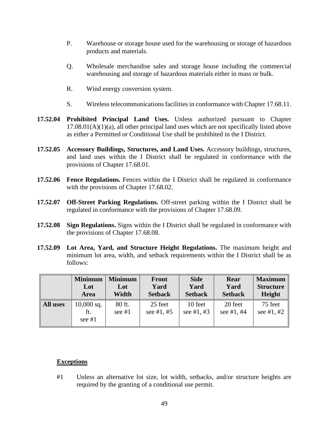- P. Warehouse or storage house used for the warehousing or storage of hazardous products and materials.
- Q. Wholesale merchandise sales and storage house including the commercial warehousing and storage of hazardous materials either in mass or bulk.
- R. Wind energy conversion system.
- S. Wireless telecommunications facilities in conformance with Chapter 17.68.11.
- **17.52.04 Prohibited Principal Land Uses.** Unless authorized pursuant to Chapter  $17.08.01(A)(1)(a)$ , all other principal land uses which are not specifically listed above as either a Permitted or Conditional Use shall be prohibited in the I District.
- **17.52.05 Accessory Buildings, Structures, and Land Uses.** Accessory buildings, structures, and land uses within the I District shall be regulated in conformance with the provisions of Chapter 17.68.01.
- **17.52.06 Fence Regulations.** Fences within the I District shall be regulated in conformance with the provisions of Chapter 17.68.02.
- **17.52.07 Off-Street Parking Regulations.** Off-street parking within the I District shall be regulated in conformance with the provisions of Chapter 17.68.09.
- **17.52.08 Sign Regulations.** Signs within the I District shall be regulated in conformance with the provisions of Chapter 17.68.08.
- **17.52.09 Lot Area, Yard, and Structure Height Regulations.** The maximum height and minimum lot area, width, and setback requirements within the I District shall be as follows:

|          | <b>Minimum</b>                  | <b>Minimum</b>     | <b>Front</b>            | <b>Side</b>           | Rear                    | <b>Maximum</b>        |
|----------|---------------------------------|--------------------|-------------------------|-----------------------|-------------------------|-----------------------|
|          | Lot                             | Lot                | Yard                    | Yard                  | Yard                    | <b>Structure</b>      |
|          | Area                            | Width              | <b>Setback</b>          | <b>Setback</b>        | <b>Setback</b>          | Height                |
| All uses | $10,000$ sq.<br>ft.<br>see $#1$ | 80 ft.<br>see $#1$ | 25 feet<br>see $#1, #5$ | 10 feet<br>see #1, #3 | 20 feet<br>see $#1, #4$ | 75 feet<br>see #1, #2 |

#### **Exceptions**

#1 Unless an alternative lot size, lot width, setbacks, and/or structure heights are required by the granting of a conditional use permit.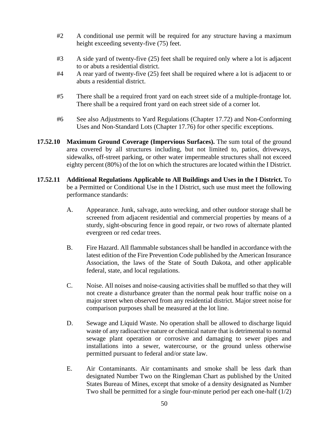- #2 A conditional use permit will be required for any structure having a maximum height exceeding seventy-five (75) feet.
- #3 A side yard of twenty-five (25) feet shall be required only where a lot is adjacent to or abuts a residential district.
- #4 A rear yard of twenty-five (25) feet shall be required where a lot is adjacent to or abuts a residential district.
- #5 There shall be a required front yard on each street side of a multiple-frontage lot. There shall be a required front yard on each street side of a corner lot.
- #6 See also Adjustments to Yard Regulations (Chapter 17.72) and Non-Conforming Uses and Non-Standard Lots (Chapter 17.76) for other specific exceptions.
- **17.52.10 Maximum Ground Coverage (Impervious Surfaces).** The sum total of the ground area covered by all structures including, but not limited to, patios, driveways, sidewalks, off-street parking, or other water impermeable structures shall not exceed eighty percent (80%) of the lot on which the structures are located within the I District.
- **17.52.11 Additional Regulations Applicable to All Buildings and Uses in the I District.** To be a Permitted or Conditional Use in the I District, such use must meet the following performance standards:
	- A. Appearance. Junk, salvage, auto wrecking, and other outdoor storage shall be screened from adjacent residential and commercial properties by means of a sturdy, sight-obscuring fence in good repair, or two rows of alternate planted evergreen or red cedar trees.
	- B. Fire Hazard. All flammable substances shall be handled in accordance with the latest edition of the Fire Prevention Code published by the American Insurance Association, the laws of the State of South Dakota, and other applicable federal, state, and local regulations.
	- C. Noise. All noises and noise-causing activities shall be muffled so that they will not create a disturbance greater than the normal peak hour traffic noise on a major street when observed from any residential district. Major street noise for comparison purposes shall be measured at the lot line.
	- D. Sewage and Liquid Waste. No operation shall be allowed to discharge liquid waste of any radioactive nature or chemical nature that is detrimental to normal sewage plant operation or corrosive and damaging to sewer pipes and installations into a sewer, watercourse, or the ground unless otherwise permitted pursuant to federal and/or state law.
	- E. Air Contaminants. Air contaminants and smoke shall be less dark than designated Number Two on the Ringleman Chart as published by the United States Bureau of Mines, except that smoke of a density designated as Number Two shall be permitted for a single four-minute period per each one-half  $(1/2)$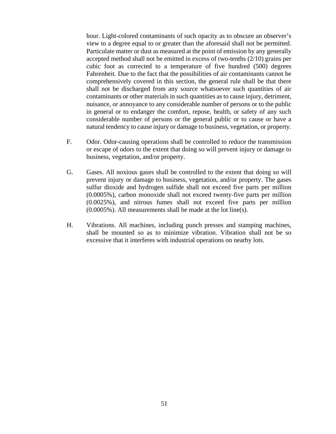hour. Light-colored contaminants of such opacity as to obscure an observer's view to a degree equal to or greater than the aforesaid shall not be permitted. Particulate matter or dust as measured at the point of emission by any generally accepted method shall not be emitted in excess of two-tenths (2/10) grains per cubic foot as corrected to a temperature of five hundred (500) degrees Fahrenheit. Due to the fact that the possibilities of air contaminants cannot be comprehensively covered in this section, the general rule shall be that there shall not be discharged from any source whatsoever such quantities of air contaminants or other materials in such quantities as to cause injury, detriment, nuisance, or annoyance to any considerable number of persons or to the public in general or to endanger the comfort, repose, health, or safety of any such considerable number of persons or the general public or to cause or have a natural tendency to cause injury or damage to business, vegetation, or property.

- F. Odor. Odor-causing operations shall be controlled to reduce the transmission or escape of odors to the extent that doing so will prevent injury or damage to business, vegetation, and/or property.
- G. Gases. All noxious gases shall be controlled to the extent that doing so will prevent injury or damage to business, vegetation, and/or property. The gases sulfur dioxide and hydrogen sulfide shall not exceed five parts per million (0.0005%), carbon monoxide shall not exceed twenty-five parts per million (0.0025%), and nitrous fumes shall not exceed five parts per million (0.0005%). All measurements shall be made at the lot line(s).
- H. Vibrations. All machines, including punch presses and stamping machines, shall be mounted so as to minimize vibration. Vibration shall not be so excessive that it interferes with industrial operations on nearby lots.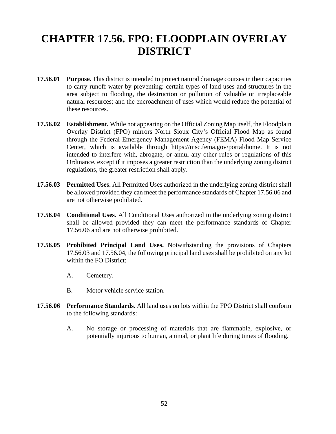# **CHAPTER 17.56. FPO: FLOODPLAIN OVERLAY DISTRICT**

- **17.56.01 Purpose.** This district is intended to protect natural drainage courses in their capacities to carry runoff water by preventing: certain types of land uses and structures in the area subject to flooding, the destruction or pollution of valuable or irreplaceable natural resources; and the encroachment of uses which would reduce the potential of these resources.
- **17.56.02 Establishment.** While not appearing on the Official Zoning Map itself, the Floodplain Overlay District (FPO) mirrors North Sioux City's Official Flood Map as found through the Federal Emergency Management Agency (FEMA) Flood Map Service Center, which is available through [https://msc.fema.gov/portal/home.](https://msc.fema.gov/portal/home) It is not intended to interfere with, abrogate, or annul any other rules or regulations of this Ordinance, except if it imposes a greater restriction than the underlying zoning district regulations, the greater restriction shall apply.
- **17.56.03 Permitted Uses.** All Permitted Uses authorized in the underlying zoning district shall be allowed provided they can meet the performance standards of Chapter 17.56.06 and are not otherwise prohibited.
- **17.56.04 Conditional Uses.** All Conditional Uses authorized in the underlying zoning district shall be allowed provided they can meet the performance standards of Chapter 17.56.06 and are not otherwise prohibited.
- **17.56.05 Prohibited Principal Land Uses.** Notwithstanding the provisions of Chapters 17.56.03 and 17.56.04, the following principal land uses shall be prohibited on any lot within the FO District:
	- A. Cemetery.
	- B. Motor vehicle service station.
- **17.56.06 Performance Standards.** All land uses on lots within the FPO District shall conform to the following standards:
	- A. No storage or processing of materials that are flammable, explosive, or potentially injurious to human, animal, or plant life during times of flooding.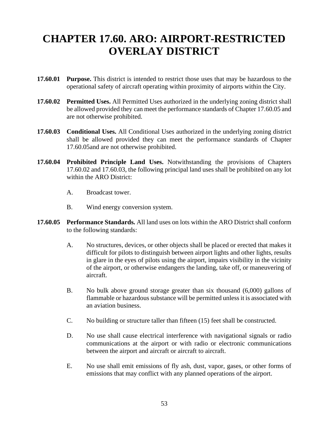# **CHAPTER 17.60. ARO: AIRPORT-RESTRICTED OVERLAY DISTRICT**

- **17.60.01 Purpose.** This district is intended to restrict those uses that may be hazardous to the operational safety of aircraft operating within proximity of airports within the City.
- **17.60.02 Permitted Uses.** All Permitted Uses authorized in the underlying zoning district shall be allowed provided they can meet the performance standards of Chapter 17.60.05 and are not otherwise prohibited.
- **17.60.03 Conditional Uses.** All Conditional Uses authorized in the underlying zoning district shall be allowed provided they can meet the performance standards of Chapter 17.60.05and are not otherwise prohibited.
- **17.60.04 Prohibited Principle Land Uses.** Notwithstanding the provisions of Chapters 17.60.02 and 17.60.03, the following principal land uses shall be prohibited on any lot within the ARO District:
	- A. Broadcast tower.
	- B. Wind energy conversion system.
- **17.60.05 Performance Standards.** All land uses on lots within the ARO District shall conform to the following standards:
	- A. No structures, devices, or other objects shall be placed or erected that makes it difficult for pilots to distinguish between airport lights and other lights, results in glare in the eyes of pilots using the airport, impairs visibility in the vicinity of the airport, or otherwise endangers the landing, take off, or maneuvering of aircraft.
	- B. No bulk above ground storage greater than six thousand (6,000) gallons of flammable or hazardous substance will be permitted unlessit is associated with an aviation business.
	- C. No building or structure taller than fifteen (15) feet shall be constructed.
	- D. No use shall cause electrical interference with navigational signals or radio communications at the airport or with radio or electronic communications between the airport and aircraft or aircraft to aircraft.
	- E. No use shall emit emissions of fly ash, dust, vapor, gases, or other forms of emissions that may conflict with any planned operations of the airport.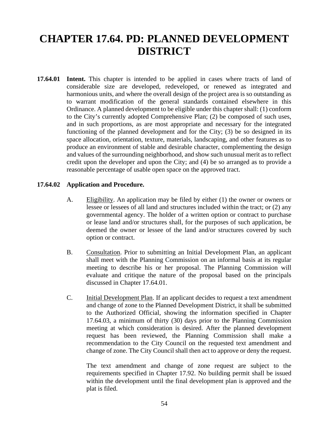# **CHAPTER 17.64. PD: PLANNED DEVELOPMENT DISTRICT**

**17.64.01 Intent.** This chapter is intended to be applied in cases where tracts of land of considerable size are developed, redeveloped, or renewed as integrated and harmonious units, and where the overall design of the project area is so outstanding as to warrant modification of the general standards contained elsewhere in this Ordinance. A planned development to be eligible under this chapter shall: (1) conform to the City's currently adopted Comprehensive Plan; (2) be composed of such uses, and in such proportions, as are most appropriate and necessary for the integrated functioning of the planned development and for the City; (3) be so designed in its space allocation, orientation, texture, materials, landscaping, and other features as to produce an environment of stable and desirable character, complementing the design and values of the surrounding neighborhood, and show such unusual merit as to reflect credit upon the developer and upon the City; and (4) be so arranged as to provide a reasonable percentage of usable open space on the approved tract.

#### **17.64.02 Application and Procedure.**

- A. Eligibility. An application may be filed by either (1) the owner or owners or lessee or lessees of all land and structures included within the tract; or (2) any governmental agency. The holder of a written option or contract to purchase or lease land and/or structures shall, for the purposes of such application, be deemed the owner or lessee of the land and/or structures covered by such option or contract.
- B. Consultation. Prior to submitting an Initial Development Plan, an applicant shall meet with the Planning Commission on an informal basis at its regular meeting to describe his or her proposal. The Planning Commission will evaluate and critique the nature of the proposal based on the principals discussed in Chapter 17.64.01.
- C. Initial Development Plan. If an applicant decides to request a text amendment and change of zone to the Planned Development District, it shall be submitted to the Authorized Official, showing the information specified in Chapter 17.64.03, a minimum of thirty (30) days prior to the Planning Commission meeting at which consideration is desired. After the planned development request has been reviewed, the Planning Commission shall make a recommendation to the City Council on the requested text amendment and change of zone. The City Council shall then act to approve or deny the request.

The text amendment and change of zone request are subject to the requirements specified in Chapter 17.92. No building permit shall be issued within the development until the final development plan is approved and the plat is filed.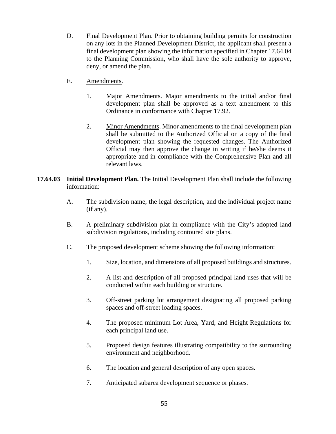- D. Final Development Plan. Prior to obtaining building permits for construction on any lots in the Planned Development District, the applicant shall present a final development plan showing the information specified in Chapter 17.64.04 to the Planning Commission, who shall have the sole authority to approve, deny, or amend the plan.
- E. Amendments.
	- 1. Major Amendments. Major amendments to the initial and/or final development plan shall be approved as a text amendment to this Ordinance in conformance with Chapter 17.92.
	- 2. Minor Amendments. Minor amendments to the final development plan shall be submitted to the Authorized Official on a copy of the final development plan showing the requested changes. The Authorized Official may then approve the change in writing if he/she deems it appropriate and in compliance with the Comprehensive Plan and all relevant laws.
- **17.64.03 Initial Development Plan.** The Initial Development Plan shall include the following information:
	- A. The subdivision name, the legal description, and the individual project name (if any).
	- B. A preliminary subdivision plat in compliance with the City's adopted land subdivision regulations, including contoured site plans.
	- C. The proposed development scheme showing the following information:
		- 1. Size, location, and dimensions of all proposed buildings and structures.
		- 2. A list and description of all proposed principal land uses that will be conducted within each building or structure.
		- 3. Off-street parking lot arrangement designating all proposed parking spaces and off-street loading spaces.
		- 4. The proposed minimum Lot Area, Yard, and Height Regulations for each principal land use.
		- 5. Proposed design features illustrating compatibility to the surrounding environment and neighborhood.
		- 6. The location and general description of any open spaces.
		- 7. Anticipated subarea development sequence or phases.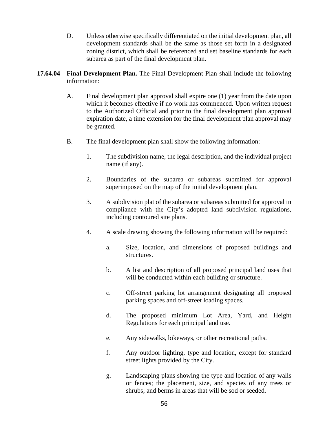- D. Unless otherwise specifically differentiated on the initial development plan, all development standards shall be the same as those set forth in a designated zoning district, which shall be referenced and set baseline standards for each subarea as part of the final development plan.
- **17.64.04 Final Development Plan.** The Final Development Plan shall include the following information:
	- A. Final development plan approval shall expire one (1) year from the date upon which it becomes effective if no work has commenced. Upon written request to the Authorized Official and prior to the final development plan approval expiration date, a time extension for the final development plan approval may be granted.
	- B. The final development plan shall show the following information:
		- 1. The subdivision name, the legal description, and the individual project name (if any).
		- 2. Boundaries of the subarea or subareas submitted for approval superimposed on the map of the initial development plan.
		- 3. A subdivision plat of the subarea or subareas submitted for approval in compliance with the City's adopted land subdivision regulations, including contoured site plans.
		- 4. A scale drawing showing the following information will be required:
			- a. Size, location, and dimensions of proposed buildings and structures.
			- b. A list and description of all proposed principal land uses that will be conducted within each building or structure.
			- c. Off-street parking lot arrangement designating all proposed parking spaces and off-street loading spaces.
			- d. The proposed minimum Lot Area, Yard, and Height Regulations for each principal land use.
			- e. Any sidewalks, bikeways, or other recreational paths.
			- f. Any outdoor lighting, type and location, except for standard street lights provided by the City.
			- g. Landscaping plans showing the type and location of any walls or fences; the placement, size, and species of any trees or shrubs; and berms in areas that will be sod or seeded.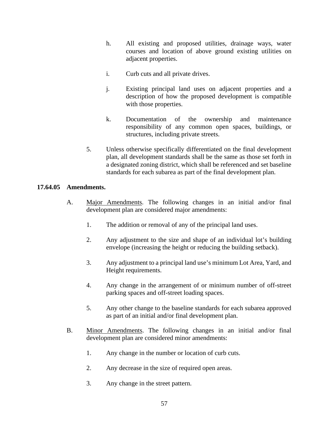- h. All existing and proposed utilities, drainage ways, water courses and location of above ground existing utilities on adjacent properties.
- i. Curb cuts and all private drives.
- j. Existing principal land uses on adjacent properties and a description of how the proposed development is compatible with those properties.
- k. Documentation of the ownership and maintenance responsibility of any common open spaces, buildings, or structures, including private streets.
- 5. Unless otherwise specifically differentiated on the final development plan, all development standards shall be the same as those set forth in a designated zoning district, which shall be referenced and set baseline standards for each subarea as part of the final development plan.

### **17.64.05 Amendments.**

- A. Major Amendments. The following changes in an initial and/or final development plan are considered major amendments:
	- 1. The addition or removal of any of the principal land uses.
	- 2. Any adjustment to the size and shape of an individual lot's building envelope (increasing the height or reducing the building setback).
	- 3. Any adjustment to a principal land use's minimum Lot Area, Yard, and Height requirements.
	- 4. Any change in the arrangement of or minimum number of off-street parking spaces and off-street loading spaces.
	- 5. Any other change to the baseline standards for each subarea approved as part of an initial and/or final development plan.
- B. Minor Amendments. The following changes in an initial and/or final development plan are considered minor amendments:
	- 1. Any change in the number or location of curb cuts.
	- 2. Any decrease in the size of required open areas.
	- 3. Any change in the street pattern.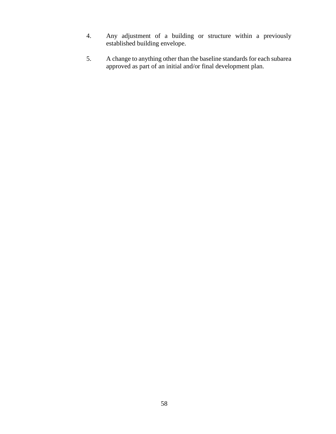- 4. Any adjustment of a building or structure within a previously established building envelope.
- 5. A change to anything other than the baseline standards for each subarea approved as part of an initial and/or final development plan.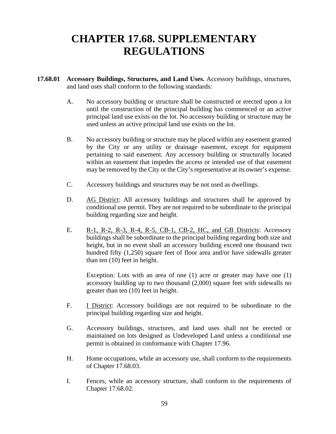# **CHAPTER 17.68. SUPPLEMENTARY REGULATIONS**

- **17.68.01 Accessory Buildings, Structures, and Land Uses.** Accessory buildings, structures, and land uses shall conform to the following standards:
	- A. No accessory building or structure shall be constructed or erected upon a lot until the construction of the principal building has commenced or an active principal land use exists on the lot. No accessory building or structure may be used unless an active principal land use exists on the lot.
	- B. No accessory building or structure may be placed within any easement granted by the City or any utility or drainage easement, except for equipment pertaining to said easement. Any accessory building or structurally located within an easement that impedes the access or intended use of that easement may be removed by the City or the City's representative at its owner's expense.
	- C. Accessory buildings and structures may be not used as dwellings.
	- D. AG District: All accessory buildings and structures shall be approved by conditional use permit. They are not required to be subordinate to the principal building regarding size and height.
	- E. R-1, R-2, R-3, R-4, R-5, CB-1, CB-2, HC, and GB Districts: Accessory buildings shall be subordinate to the principal building regarding both size and height, but in no event shall an accessory building exceed one thousand two hundred fifty (1,250) square feet of floor area and/or have sidewalls greater than ten (10) feet in height.

Exception: Lots with an area of one (1) acre or greater may have one (1) accessory building up to two thousand (2,000) square feet with sidewalls no greater than ten (10) feet in height.

- F. I District: Accessory buildings are not required to be subordinate to the principal building regarding size and height.
- G. Accessory buildings, structures, and land uses shall not be erected or maintained on lots designed as Undeveloped Land unless a conditional use permit is obtained in conformance with Chapter 17.96.
- H. Home occupations, while an accessory use, shall conform to the requirements of Chapter 17.68.03.
- I. Fences, while an accessory structure, shall conform to the requirements of Chapter 17.68.02.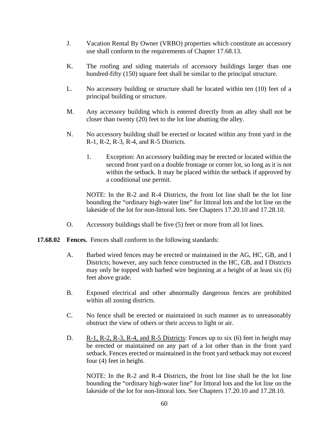- J. Vacation Rental By Owner (VRBO) properties which constitute an accessory use shall conform to the requirements of Chapter 17.68.13.
- K. The roofing and siding materials of accessory buildings larger than one hundred-fifty (150) square feet shall be similar to the principal structure.
- L. No accessory building or structure shall be located within ten (10) feet of a principal building or structure.
- M. Any accessory building which is entered directly from an alley shall not be closer than twenty (20) feet to the lot line abutting the alley.
- N. No accessory building shall be erected or located within any front yard in the R-1, R-2, R-3, R-4, and R-5 Districts.
	- 1. Exception: An accessory building may be erected or located within the second front yard on a double frontage or corner lot, so long as it is not within the setback. It may be placed within the setback if approved by a conditional use permit.

NOTE: In the R-2 and R-4 Districts, the front lot line shall be the lot line bounding the "ordinary high-water line" for littoral lots and the lot line on the lakeside of the lot for non-littoral lots. See Chapters 17.20.10 and 17.28.10.

- O. Accessory buildings shall be five (5) feet or more from all lot lines.
- **17.68.02 Fences.** Fences shall conform to the following standards:
	- A. Barbed wired fences may be erected or maintained in the AG, HC, GB, and I Districts; however, any such fence constructed in the HC, GB, and I Districts may only be topped with barbed wire beginning at a height of at least six (6) feet above grade.
	- B. Exposed electrical and other abnormally dangerous fences are prohibited within all zoning districts.
	- C. No fence shall be erected or maintained in such manner as to unreasonably obstruct the view of others or their access to light or air.
	- D. R-1, R-2, R-3, R-4, and R-5 Districts: Fences up to six (6) feet in height may be erected or maintained on any part of a lot other than in the front yard setback. Fences erected or maintained in the front yard setback may not exceed four (4) feet in height.

NOTE: In the R-2 and R-4 Districts, the front lot line shall be the lot line bounding the "ordinary high-water line" for littoral lots and the lot line on the lakeside of the lot for non-littoral lots. See Chapters 17.20.10 and 17.28.10.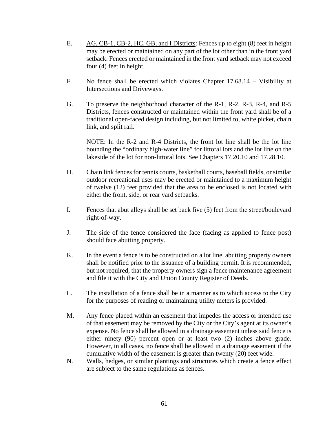- E. AG, CB-1, CB-2, HC, GB, and I Districts: Fences up to eight (8) feet in height may be erected or maintained on any part of the lot other than in the front yard setback. Fences erected or maintained in the front yard setback may not exceed four (4) feet in height.
- F. No fence shall be erected which violates Chapter 17.68.14 Visibility at Intersections and Driveways.
- G. To preserve the neighborhood character of the R-1, R-2, R-3, R-4, and R-5 Districts, fences constructed or maintained within the front yard shall be of a traditional open-faced design including, but not limited to, white picket, chain link, and split rail.

NOTE: In the R-2 and R-4 Districts, the front lot line shall be the lot line bounding the "ordinary high-water line" for littoral lots and the lot line on the lakeside of the lot for non-littoral lots. See Chapters 17.20.10 and 17.28.10.

- H. Chain link fences for tennis courts, basketball courts, baseball fields, or similar outdoor recreational uses may be erected or maintained to a maximum height of twelve (12) feet provided that the area to be enclosed is not located with either the front, side, or rear yard setbacks.
- I. Fences that abut alleys shall be set back five (5) feet from the street/boulevard right-of-way.
- J. The side of the fence considered the face (facing as applied to fence post) should face abutting property.
- K. In the event a fence is to be constructed on a lot line, abutting property owners shall be notified prior to the issuance of a building permit. It is recommended, but not required, that the property owners sign a fence maintenance agreement and file it with the City and Union County Register of Deeds.
- L. The installation of a fence shall be in a manner as to which access to the City for the purposes of reading or maintaining utility meters is provided.
- M. Any fence placed within an easement that impedes the access or intended use of that easement may be removed by the City or the City's agent at its owner's expense. No fence shall be allowed in a drainage easement unless said fence is either ninety (90) percent open or at least two (2) inches above grade. However, in all cases, no fence shall be allowed in a drainage easement if the cumulative width of the easement is greater than twenty (20) feet wide.
- N. Walls, hedges, or similar plantings and structures which create a fence effect are subject to the same regulations as fences.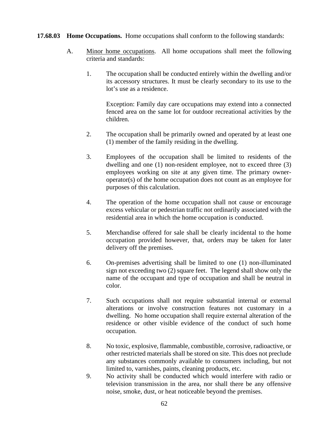#### **17.68.03 Home Occupations.** Home occupations shall conform to the following standards:

- A. Minor home occupations. All home occupations shall meet the following criteria and standards:
	- 1. The occupation shall be conducted entirely within the dwelling and/or its accessory structures. It must be clearly secondary to its use to the lot's use as a residence.

Exception: Family day care occupations may extend into a connected fenced area on the same lot for outdoor recreational activities by the children.

- 2. The occupation shall be primarily owned and operated by at least one (1) member of the family residing in the dwelling.
- 3. Employees of the occupation shall be limited to residents of the dwelling and one (1) non-resident employee, not to exceed three (3) employees working on site at any given time. The primary owneroperator(s) of the home occupation does not count as an employee for purposes of this calculation.
- 4. The operation of the home occupation shall not cause or encourage excess vehicular or pedestrian traffic not ordinarily associated with the residential area in which the home occupation is conducted.
- 5. Merchandise offered for sale shall be clearly incidental to the home occupation provided however, that, orders may be taken for later delivery off the premises.
- 6. On-premises advertising shall be limited to one (1) non-illuminated sign not exceeding two (2) square feet. The legend shall show only the name of the occupant and type of occupation and shall be neutral in color.
- 7. Such occupations shall not require substantial internal or external alterations or involve construction features not customary in a dwelling. No home occupation shall require external alteration of the residence or other visible evidence of the conduct of such home occupation.
- 8. No toxic, explosive, flammable, combustible, corrosive, radioactive, or other restricted materials shall be stored on site. This does not preclude any substances commonly available to consumers including, but not limited to, varnishes, paints, cleaning products, etc.
- 9. No activity shall be conducted which would interfere with radio or television transmission in the area, nor shall there be any offensive noise, smoke, dust, or heat noticeable beyond the premises.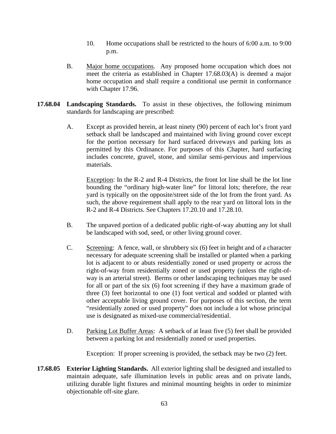- 10. Home occupations shall be restricted to the hours of 6:00 a.m. to 9:00 p.m.
- B. Major home occupations. Any proposed home occupation which does not meet the criteria as established in Chapter 17.68.03(A) is deemed a major home occupation and shall require a conditional use permit in conformance with Chapter 17.96.
- **17.68.04 Landscaping Standards.** To assist in these objectives, the following minimum standards for landscaping are prescribed:
	- A. Except as provided herein, at least ninety (90) percent of each lot's front yard setback shall be landscaped and maintained with living ground cover except for the portion necessary for hard surfaced driveways and parking lots as permitted by this Ordinance. For purposes of this Chapter, hard surfacing includes concrete, gravel, stone, and similar semi-pervious and impervious materials.

Exception: In the R-2 and R-4 Districts, the front lot line shall be the lot line bounding the "ordinary high-water line" for littoral lots; therefore, the rear yard is typically on the opposite/street side of the lot from the front yard. As such, the above requirement shall apply to the rear yard on littoral lots in the R-2 and R-4 Districts. See Chapters 17.20.10 and 17.28.10.

- B. The unpaved portion of a dedicated public right-of-way abutting any lot shall be landscaped with sod, seed, or other living ground cover.
- C. Screening: A fence, wall, or shrubbery six (6) feet in height and of a character necessary for adequate screening shall be installed or planted when a parking lot is adjacent to or abuts residentially zoned or used property or across the right-of-way from residentially zoned or used property (unless the right-ofway is an arterial street). Berms or other landscaping techniques may be used for all or part of the six (6) foot screening if they have a maximum grade of three (3) feet horizontal to one (1) foot vertical and sodded or planted with other acceptable living ground cover. For purposes of this section, the term "residentially zoned or used property" does not include a lot whose principal use is designated as mixed-use commercial/residential.
- D. Parking Lot Buffer Areas: A setback of at least five (5) feet shall be provided between a parking lot and residentially zoned or used properties.

Exception: If proper screening is provided, the setback may be two (2) feet.

**17.68.05 Exterior Lighting Standards.** All exterior lighting shall be designed and installed to maintain adequate, safe illumination levels in public areas and on private lands, utilizing durable light fixtures and minimal mounting heights in order to minimize objectionable off-site glare.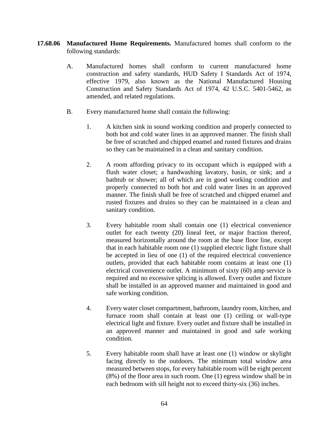- **17.68.06 Manufactured Home Requirements.** Manufactured homes shall conform to the following standards:
	- A. Manufactured homes shall conform to current manufactured home construction and safety standards, HUD Safety I Standards Act of 1974, effective 1979, also known as the National Manufactured Housing Construction and Safety Standards Act of 1974, 42 U.S.C. 5401-5462, as amended, and related regulations.
	- B. Every manufactured home shall contain the following:
		- 1. A kitchen sink in sound working condition and properly connected to both hot and cold water lines in an approved manner. The finish shall be free of scratched and chipped enamel and rusted fixtures and drains so they can be maintained in a clean and sanitary condition.
		- 2. A room affording privacy to its occupant which is equipped with a flush water closet; a handwashing lavatory, basin, or sink; and a bathtub or shower; all of which are in good working condition and properly connected to both hot and cold water lines in an approved manner. The finish shall be free of scratched and chipped enamel and rusted fixtures and drains so they can be maintained in a clean and sanitary condition.
		- 3. Every habitable room shall contain one (1) electrical convenience outlet for each twenty (20) lineal feet, or major fraction thereof, measured horizontally around the room at the base floor line, except that in each habitable room one (1) supplied electric light fixture shall be accepted in lieu of one (1) of the required electrical convenience outlets, provided that each habitable room contains at least one (1) electrical convenience outlet. A minimum of sixty (60) amp service is required and no excessive splicing is allowed. Every outlet and fixture shall be installed in an approved manner and maintained in good and safe working condition.
		- 4. Every water closet compartment, bathroom, laundry room, kitchen, and furnace room shall contain at least one (1) ceiling or wall-type electrical light and fixture. Every outlet and fixture shall be installed in an approved manner and maintained in good and safe working condition.
		- 5. Every habitable room shall have at least one (1) window or skylight facing directly to the outdoors. The minimum total window area measured between stops, for every habitable room will be eight percent (8%) of the floor area in such room. One (1) egress window shall be in each bedroom with sill height not to exceed thirty-six (36) inches.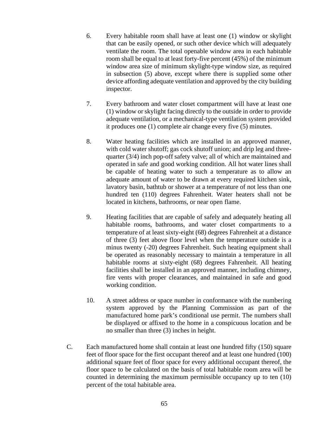- 6. Every habitable room shall have at least one (1) window or skylight that can be easily opened, or such other device which will adequately ventilate the room. The total openable window area in each habitable room shall be equal to at least forty-five percent (45%) of the minimum window area size of minimum skylight-type window size, as required in subsection (5) above, except where there is supplied some other device affording adequate ventilation and approved by the city building inspector.
- 7. Every bathroom and water closet compartment will have at least one (1) window or skylight facing directly to the outside in order to provide adequate ventilation, or a mechanical-type ventilation system provided it produces one (1) complete air change every five (5) minutes.
- 8. Water heating facilities which are installed in an approved manner, with cold water shutoff; gas cock shutoff union; and drip leg and threequarter (3/4) inch pop-off safety valve; all of which are maintained and operated in safe and good working condition. All hot water lines shall be capable of heating water to such a temperature as to allow an adequate amount of water to be drawn at every required kitchen sink, lavatory basin, bathtub or shower at a temperature of not less than one hundred ten (110) degrees Fahrenheit. Water heaters shall not be located in kitchens, bathrooms, or near open flame.
- 9. Heating facilities that are capable of safely and adequately heating all habitable rooms, bathrooms, and water closet compartments to a temperature of at least sixty-eight (68) degrees Fahrenheit at a distance of three (3) feet above floor level when the temperature outside is a minus twenty (-20) degrees Fahrenheit. Such heating equipment shall be operated as reasonably necessary to maintain a temperature in all habitable rooms at sixty-eight (68) degrees Fahrenheit. All heating facilities shall be installed in an approved manner, including chimney, fire vents with proper clearances, and maintained in safe and good working condition.
- 10. A street address or space number in conformance with the numbering system approved by the Planning Commission as part of the manufactured home park's conditional use permit. The numbers shall be displayed or affixed to the home in a conspicuous location and be no smaller than three (3) inches in height.
- C. Each manufactured home shall contain at least one hundred fifty (150) square feet of floor space for the first occupant thereof and at least one hundred (100) additional square feet of floor space for every additional occupant thereof, the floor space to be calculated on the basis of total habitable room area will be counted in determining the maximum permissible occupancy up to ten (10) percent of the total habitable area.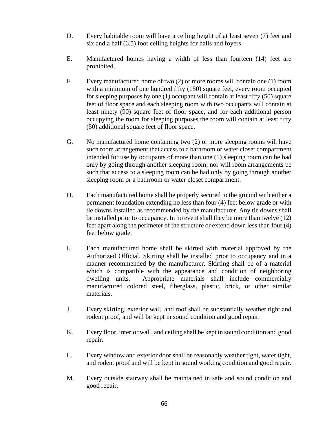- D. Every habitable room will have a ceiling height of at least seven (7) feet and six and a half (6.5) foot ceiling heights for halls and foyers.
- E. Manufactured homes having a width of less than fourteen (14) feet are prohibited.
- F. Every manufactured home of two (2) or more rooms will contain one (1) room with a minimum of one hundred fifty (150) square feet, every room occupied for sleeping purposes by one (1) occupant will contain at least fifty (50) square feet of floor space and each sleeping room with two occupants will contain at least ninety (90) square feet of floor space, and for each additional person occupying the room for sleeping purposes the room will contain at least fifty (50) additional square feet of floor space.
- G. No manufactured home containing two (2) or more sleeping rooms will have such room arrangement that access to a bathroom or water closet compartment intended for use by occupants of more than one (1) sleeping room can be had only by going through another sleeping room; nor will room arrangements be such that access to a sleeping room can be had only by going through another sleeping room or a bathroom or water closet compartment.
- H. Each manufactured home shall be properly secured to the ground with either a permanent foundation extending no less than four (4) feet below grade or with tie downs installed as recommended by the manufacturer. Any tie downs shall be installed prior to occupancy. In no event shall they be more than twelve (12) feet apart along the perimeter of the structure or extend down less than four (4) feet below grade.
- I. Each manufactured home shall be skirted with material approved by the Authorized Official. Skirting shall be installed prior to occupancy and in a manner recommended by the manufacturer. Skirting shall be of a material which is compatible with the appearance and condition of neighboring dwelling units. Appropriate materials shall include commercially manufactured colored steel, fiberglass, plastic, brick, or other similar materials.
- J. Every skirting, exterior wall, and roof shall be substantially weather tight and rodent proof, and will be kept in sound condition and good repair.
- K. Every floor, interior wall, and ceiling shall be kept in sound condition and good repair.
- L. Every window and exterior door shall be reasonably weather tight, water tight, and rodent proof and will be kept in sound working condition and good repair.
- M. Every outside stairway shall be maintained in safe and sound condition and good repair.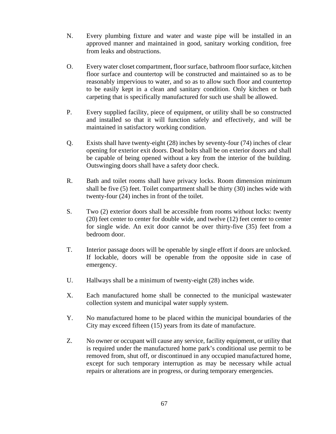- N. Every plumbing fixture and water and waste pipe will be installed in an approved manner and maintained in good, sanitary working condition, free from leaks and obstructions.
- O. Every water closet compartment, floor surface, bathroom floor surface, kitchen floor surface and countertop will be constructed and maintained so as to be reasonably impervious to water, and so as to allow such floor and countertop to be easily kept in a clean and sanitary condition. Only kitchen or bath carpeting that is specifically manufactured for such use shall be allowed.
- P. Every supplied facility, piece of equipment, or utility shall be so constructed and installed so that it will function safely and effectively, and will be maintained in satisfactory working condition.
- Q. Exists shall have twenty-eight (28) inches by seventy-four (74) inches of clear opening for exterior exit doors. Dead bolts shall be on exterior doors and shall be capable of being opened without a key from the interior of the building. Outswinging doors shall have a safety door check.
- R. Bath and toilet rooms shall have privacy locks. Room dimension minimum shall be five (5) feet. Toilet compartment shall be thirty (30) inches wide with twenty-four (24) inches in front of the toilet.
- S. Two (2) exterior doors shall be accessible from rooms without locks: twenty (20) feet center to center for double wide, and twelve (12) feet center to center for single wide. An exit door cannot be over thirty-five (35) feet from a bedroom door.
- T. Interior passage doors will be openable by single effort if doors are unlocked. If lockable, doors will be openable from the opposite side in case of emergency.
- U. Hallways shall be a minimum of twenty-eight (28) inches wide.
- X. Each manufactured home shall be connected to the municipal wastewater collection system and municipal water supply system.
- Y. No manufactured home to be placed within the municipal boundaries of the City may exceed fifteen (15) years from its date of manufacture.
- Z. No owner or occupant will cause any service, facility equipment, or utility that is required under the manufactured home park's conditional use permit to be removed from, shut off, or discontinued in any occupied manufactured home, except for such temporary interruption as may be necessary while actual repairs or alterations are in progress, or during temporary emergencies.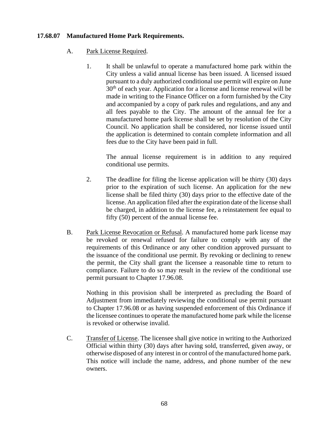### **17.68.07 Manufactured Home Park Requirements.**

- A. Park License Required.
	- 1. It shall be unlawful to operate a manufactured home park within the City unless a valid annual license has been issued. A licensed issued pursuant to a duly authorized conditional use permit will expire on June  $30<sup>th</sup>$  of each year. Application for a license and license renewal will be made in writing to the Finance Officer on a form furnished by the City and accompanied by a copy of park rules and regulations, and any and all fees payable to the City. The amount of the annual fee for a manufactured home park license shall be set by resolution of the City Council. No application shall be considered, nor license issued until the application is determined to contain complete information and all fees due to the City have been paid in full.

The annual license requirement is in addition to any required conditional use permits.

- 2. The deadline for filing the license application will be thirty (30) days prior to the expiration of such license. An application for the new license shall be filed thirty (30) days prior to the effective date of the license. An application filed after the expiration date of the license shall be charged, in addition to the license fee, a reinstatement fee equal to fifty (50) percent of the annual license fee.
- B. Park License Revocation or Refusal. A manufactured home park license may be revoked or renewal refused for failure to comply with any of the requirements of this Ordinance or any other condition approved pursuant to the issuance of the conditional use permit. By revoking or declining to renew the permit, the City shall grant the licensee a reasonable time to return to compliance. Failure to do so may result in the review of the conditional use permit pursuant to Chapter 17.96.08.

Nothing in this provision shall be interpreted as precluding the Board of Adjustment from immediately reviewing the conditional use permit pursuant to Chapter 17.96.08 or as having suspended enforcement of this Ordinance if the licensee continues to operate the manufactured home park while the license is revoked or otherwise invalid.

C. Transfer of License. The licensee shall give notice in writing to the Authorized Official within thirty (30) days after having sold, transferred, given away, or otherwise disposed of any interest in or control of the manufactured home park. This notice will include the name, address, and phone number of the new owners.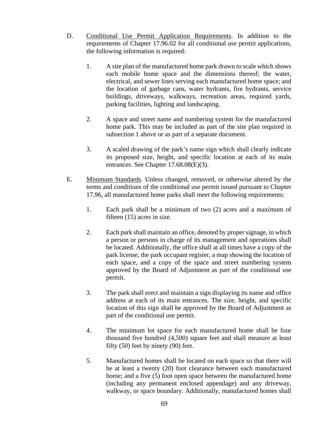- D. Conditional Use Permit Application Requirements. In addition to the requirements of Chapter 17.96.02 for all conditional use permit applications, the following information is required:
	- 1. A site plan of the manufactured home park drawn to scale which shows each mobile home space and the dimensions thereof; the water, electrical, and sewer lines serving each manufactured home space; and the location of garbage cans, water hydrants, fire hydrants, service buildings, driveways, walkways, recreation areas, required yards, parking facilities, lighting and landscaping.
	- 2. A space and street name and numbering system for the manufactured home park. This may be included as part of the site plan required in subsection 1 above or as part of a separate document.
	- 3. A scaled drawing of the park's name sign which shall clearly indicate its proposed size, height, and specific location at each of its main entrances. See Chapter 17.68.08(E)(3).
- E. Minimum Standards. Unless changed, removed, or otherwise altered by the terms and conditions of the conditional use permit issued pursuant to Chapter 17.96, all manufactured home parks shall meet the following requirements:
	- 1. Each park shall be a minimum of two (2) acres and a maximum of fifteen (15) acres in size.
	- 2. Each park shall maintain an office, denoted by proper signage, in which a person or persons in charge of its management and operations shall be located. Additionally, the office shall at all times have a copy of the park license, the park occupant register, a map showing the location of each space, and a copy of the space and street numbering system approved by the Board of Adjustment as part of the conditional use permit.
	- 3. The park shall erect and maintain a sign displaying its name and office address at each of its main entrances. The size, height, and specific location of this sign shall be approved by the Board of Adjustment as part of the conditional use permit.
	- 4. The minimum lot space for each manufactured home shall be four thousand five hundred (4,500) square feet and shall measure at least fifty (50) feet by ninety (90) feet.
	- 5. Manufactured homes shall be located on each space so that there will be at least a twenty (20) foot clearance between each manufactured home; and a five (5) foot open space between the manufactured home (including any permanent enclosed appendage) and any driveway, walkway, or space boundary. Additionally, manufactured homes shall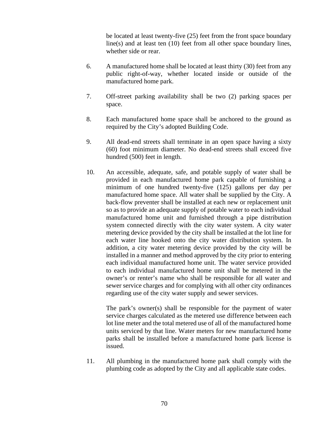be located at least twenty-five (25) feet from the front space boundary line(s) and at least ten (10) feet from all other space boundary lines, whether side or rear.

- 6. A manufactured home shall be located at least thirty (30) feet from any public right-of-way, whether located inside or outside of the manufactured home park.
- 7. Off-street parking availability shall be two (2) parking spaces per space.
- 8. Each manufactured home space shall be anchored to the ground as required by the City's adopted Building Code.
- 9. All dead-end streets shall terminate in an open space having a sixty (60) foot minimum diameter. No dead-end streets shall exceed five hundred (500) feet in length.
- 10. An accessible, adequate, safe, and potable supply of water shall be provided in each manufactured home park capable of furnishing a minimum of one hundred twenty-five (125) gallons per day per manufactured home space. All water shall be supplied by the City. A back-flow preventer shall be installed at each new or replacement unit so as to provide an adequate supply of potable water to each individual manufactured home unit and furnished through a pipe distribution system connected directly with the city water system. A city water metering device provided by the city shall be installed at the lot line for each water line hooked onto the city water distribution system. In addition, a city water metering device provided by the city will be installed in a manner and method approved by the city prior to entering each individual manufactured home unit. The water service provided to each individual manufactured home unit shall be metered in the owner's or renter's name who shall be responsible for all water and sewer service charges and for complying with all other city ordinances regarding use of the city water supply and sewer services.

The park's owner(s) shall be responsible for the payment of water service charges calculated as the metered use difference between each lot line meter and the total metered use of all of the manufactured home units serviced by that line. Water meters for new manufactured home parks shall be installed before a manufactured home park license is issued.

11. All plumbing in the manufactured home park shall comply with the plumbing code as adopted by the City and all applicable state codes.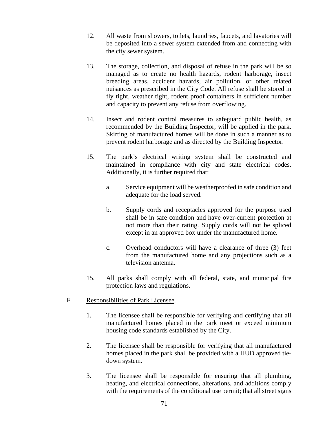- 12. All waste from showers, toilets, laundries, faucets, and lavatories will be deposited into a sewer system extended from and connecting with the city sewer system.
- 13. The storage, collection, and disposal of refuse in the park will be so managed as to create no health hazards, rodent harborage, insect breeding areas, accident hazards, air pollution, or other related nuisances as prescribed in the City Code. All refuse shall be stored in fly tight, weather tight, rodent proof containers in sufficient number and capacity to prevent any refuse from overflowing.
- 14. Insect and rodent control measures to safeguard public health, as recommended by the Building Inspector, will be applied in the park. Skirting of manufactured homes will be done in such a manner as to prevent rodent harborage and as directed by the Building Inspector.
- 15. The park's electrical writing system shall be constructed and maintained in compliance with city and state electrical codes. Additionally, it is further required that:
	- a. Service equipment will be weatherproofed in safe condition and adequate for the load served.
	- b. Supply cords and receptacles approved for the purpose used shall be in safe condition and have over-current protection at not more than their rating. Supply cords will not be spliced except in an approved box under the manufactured home.
	- c. Overhead conductors will have a clearance of three (3) feet from the manufactured home and any projections such as a television antenna.
- 15. All parks shall comply with all federal, state, and municipal fire protection laws and regulations.
- F. Responsibilities of Park Licensee.
	- 1. The licensee shall be responsible for verifying and certifying that all manufactured homes placed in the park meet or exceed minimum housing code standards established by the City.
	- 2. The licensee shall be responsible for verifying that all manufactured homes placed in the park shall be provided with a HUD approved tiedown system.
	- 3. The licensee shall be responsible for ensuring that all plumbing, heating, and electrical connections, alterations, and additions comply with the requirements of the conditional use permit; that all street signs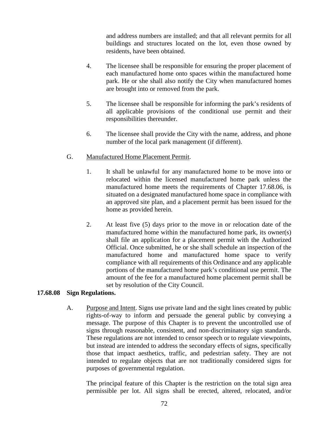and address numbers are installed; and that all relevant permits for all buildings and structures located on the lot, even those owned by residents, have been obtained.

- 4. The licensee shall be responsible for ensuring the proper placement of each manufactured home onto spaces within the manufactured home park. He or she shall also notify the City when manufactured homes are brought into or removed from the park.
- 5. The licensee shall be responsible for informing the park's residents of all applicable provisions of the conditional use permit and their responsibilities thereunder.
- 6. The licensee shall provide the City with the name, address, and phone number of the local park management (if different).

### G. Manufactured Home Placement Permit.

- 1. It shall be unlawful for any manufactured home to be move into or relocated within the licensed manufactured home park unless the manufactured home meets the requirements of Chapter 17.68.06, is situated on a designated manufactured home space in compliance with an approved site plan, and a placement permit has been issued for the home as provided herein.
- 2. At least five (5) days prior to the move in or relocation date of the manufactured home within the manufactured home park, its owner(s) shall file an application for a placement permit with the Authorized Official. Once submitted, he or she shall schedule an inspection of the manufactured home and manufactured home space to verify compliance with all requirements of this Ordinance and any applicable portions of the manufactured home park's conditional use permit. The amount of the fee for a manufactured home placement permit shall be set by resolution of the City Council.

### **17.68.08 Sign Regulations.**

A. Purpose and Intent. Signs use private land and the sight lines created by public rights-of-way to inform and persuade the general public by conveying a message. The purpose of this Chapter is to prevent the uncontrolled use of signs through reasonable, consistent, and non-discriminatory sign standards. These regulations are not intended to censor speech or to regulate viewpoints, but instead are intended to address the secondary effects of signs, specifically those that impact aesthetics, traffic, and pedestrian safety. They are not intended to regulate objects that are not traditionally considered signs for purposes of governmental regulation.

The principal feature of this Chapter is the restriction on the total sign area permissible per lot. All signs shall be erected, altered, relocated, and/or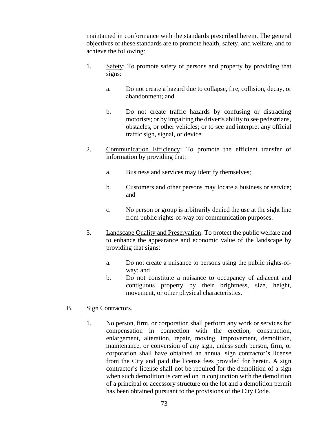maintained in conformance with the standards prescribed herein. The general objectives of these standards are to promote health, safety, and welfare, and to achieve the following:

- 1. Safety: To promote safety of persons and property by providing that signs:
	- a. Do not create a hazard due to collapse, fire, collision, decay, or abandonment; and
	- b. Do not create traffic hazards by confusing or distracting motorists; or by impairing the driver's ability to see pedestrians, obstacles, or other vehicles; or to see and interpret any official traffic sign, signal, or device.
- 2. Communication Efficiency: To promote the efficient transfer of information by providing that:
	- a. Business and services may identify themselves;
	- b. Customers and other persons may locate a business or service; and
	- c. No person or group is arbitrarily denied the use at the sight line from public rights-of-way for communication purposes.
- 3. Landscape Quality and Preservation: To protect the public welfare and to enhance the appearance and economic value of the landscape by providing that signs:
	- a. Do not create a nuisance to persons using the public rights-ofway; and
	- b. Do not constitute a nuisance to occupancy of adjacent and contiguous property by their brightness, size, height, movement, or other physical characteristics.

#### B. Sign Contractors.

1. No person, firm, or corporation shall perform any work or services for compensation in connection with the erection, construction, enlargement, alteration, repair, moving, improvement, demolition, maintenance, or conversion of any sign, unless such person, firm, or corporation shall have obtained an annual sign contractor's license from the City and paid the license fees provided for herein. A sign contractor's license shall not be required for the demolition of a sign when such demolition is carried on in conjunction with the demolition of a principal or accessory structure on the lot and a demolition permit has been obtained pursuant to the provisions of the City Code.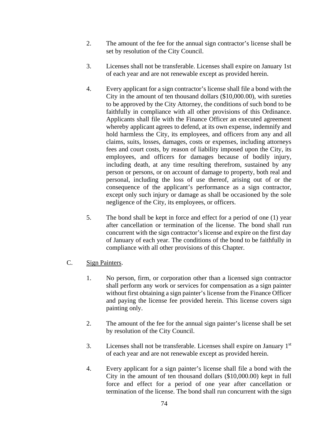- 2. The amount of the fee for the annual sign contractor's license shall be set by resolution of the City Council.
- 3. Licenses shall not be transferable. Licenses shall expire on January 1st of each year and are not renewable except as provided herein.
- 4. Every applicant for a sign contractor's license shall file a bond with the City in the amount of ten thousand dollars (\$10,000.00), with sureties to be approved by the City Attorney, the conditions of such bond to be faithfully in compliance with all other provisions of this Ordinance. Applicants shall file with the Finance Officer an executed agreement whereby applicant agrees to defend, at its own expense, indemnify and hold harmless the City, its employees, and officers from any and all claims, suits, losses, damages, costs or expenses, including attorneys fees and court costs, by reason of liability imposed upon the City, its employees, and officers for damages because of bodily injury, including death, at any time resulting therefrom, sustained by any person or persons, or on account of damage to property, both real and personal, including the loss of use thereof, arising out of or the consequence of the applicant's performance as a sign contractor, except only such injury or damage as shall be occasioned by the sole negligence of the City, its employees, or officers.
- 5. The bond shall be kept in force and effect for a period of one (1) year after cancellation or termination of the license. The bond shall run concurrent with the sign contractor's license and expire on the first day of January of each year. The conditions of the bond to be faithfully in compliance with all other provisions of this Chapter.
- C. Sign Painters.
	- 1. No person, firm, or corporation other than a licensed sign contractor shall perform any work or services for compensation as a sign painter without first obtaining a sign painter's license from the Finance Officer and paying the license fee provided herein. This license covers sign painting only.
	- 2. The amount of the fee for the annual sign painter's license shall be set by resolution of the City Council.
	- 3. Licenses shall not be transferable. Licenses shall expire on January 1st of each year and are not renewable except as provided herein.
	- 4. Every applicant for a sign painter's license shall file a bond with the City in the amount of ten thousand dollars (\$10,000.00) kept in full force and effect for a period of one year after cancellation or termination of the license. The bond shall run concurrent with the sign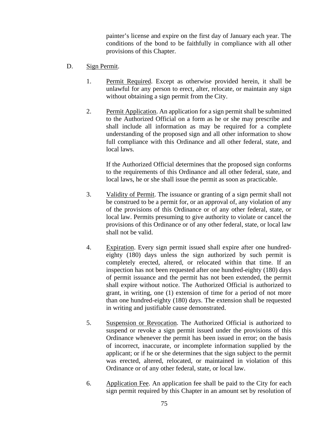painter's license and expire on the first day of January each year. The conditions of the bond to be faithfully in compliance with all other provisions of this Chapter.

- D. Sign Permit.
	- 1. Permit Required. Except as otherwise provided herein, it shall be unlawful for any person to erect, alter, relocate, or maintain any sign without obtaining a sign permit from the City.
	- 2. Permit Application. An application for a sign permit shall be submitted to the Authorized Official on a form as he or she may prescribe and shall include all information as may be required for a complete understanding of the proposed sign and all other information to show full compliance with this Ordinance and all other federal, state, and local laws.

If the Authorized Official determines that the proposed sign conforms to the requirements of this Ordinance and all other federal, state, and local laws, he or she shall issue the permit as soon as practicable.

- 3. Validity of Permit. The issuance or granting of a sign permit shall not be construed to be a permit for, or an approval of, any violation of any of the provisions of this Ordinance or of any other federal, state, or local law. Permits presuming to give authority to violate or cancel the provisions of this Ordinance or of any other federal, state, or local law shall not be valid.
- 4. Expiration. Every sign permit issued shall expire after one hundredeighty (180) days unless the sign authorized by such permit is completely erected, altered, or relocated within that time. If an inspection has not been requested after one hundred-eighty (180) days of permit issuance and the permit has not been extended, the permit shall expire without notice. The Authorized Official is authorized to grant, in writing, one (1) extension of time for a period of not more than one hundred-eighty (180) days. The extension shall be requested in writing and justifiable cause demonstrated.
- 5. Suspension or Revocation. The Authorized Official is authorized to suspend or revoke a sign permit issued under the provisions of this Ordinance whenever the permit has been issued in error; on the basis of incorrect, inaccurate, or incomplete information supplied by the applicant; or if he or she determines that the sign subject to the permit was erected, altered, relocated, or maintained in violation of this Ordinance or of any other federal, state, or local law.
- 6. Application Fee. An application fee shall be paid to the City for each sign permit required by this Chapter in an amount set by resolution of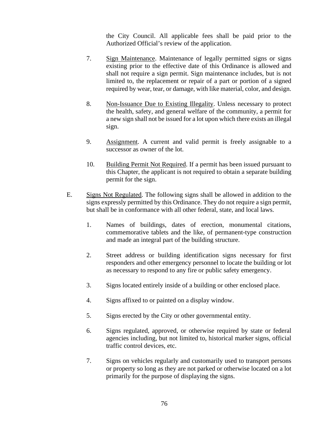the City Council. All applicable fees shall be paid prior to the Authorized Official's review of the application.

- 7. Sign Maintenance. Maintenance of legally permitted signs or signs existing prior to the effective date of this Ordinance is allowed and shall not require a sign permit. Sign maintenance includes, but is not limited to, the replacement or repair of a part or portion of a signed required by wear, tear, or damage, with like material, color, and design.
- 8. Non-Issuance Due to Existing Illegality. Unless necessary to protect the health, safety, and general welfare of the community, a permit for a new sign shall not be issued for a lot upon which there exists an illegal sign.
- 9. Assignment. A current and valid permit is freely assignable to a successor as owner of the lot.
- 10. Building Permit Not Required. If a permit has been issued pursuant to this Chapter, the applicant is not required to obtain a separate building permit for the sign.
- E. Signs Not Regulated. The following signs shall be allowed in addition to the signs expressly permitted by this Ordinance. They do not require a sign permit, but shall be in conformance with all other federal, state, and local laws.
	- 1. Names of buildings, dates of erection, monumental citations, commemorative tablets and the like, of permanent-type construction and made an integral part of the building structure.
	- 2. Street address or building identification signs necessary for first responders and other emergency personnel to locate the building or lot as necessary to respond to any fire or public safety emergency.
	- 3. Signs located entirely inside of a building or other enclosed place.
	- 4. Signs affixed to or painted on a display window.
	- 5. Signs erected by the City or other governmental entity.
	- 6. Signs regulated, approved, or otherwise required by state or federal agencies including, but not limited to, historical marker signs, official traffic control devices, etc.
	- 7. Signs on vehicles regularly and customarily used to transport persons or property so long as they are not parked or otherwise located on a lot primarily for the purpose of displaying the signs.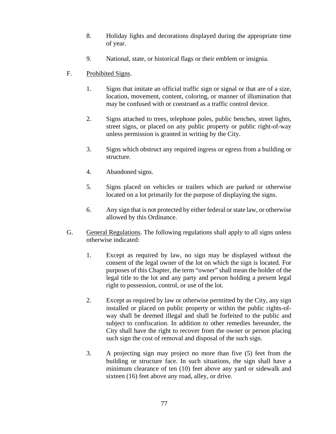- 8. Holiday lights and decorations displayed during the appropriate time of year.
- 9. National, state, or historical flags or their emblem or insignia.

# F. Prohibited Signs.

- 1. Signs that imitate an official traffic sign or signal or that are of a size, location, movement, content, coloring, or manner of illumination that may be confused with or construed as a traffic control device.
- 2. Signs attached to trees, telephone poles, public benches, street lights, street signs, or placed on any public property or public right-of-way unless permission is granted in writing by the City.
- 3. Signs which obstruct any required ingress or egress from a building or structure.
- 4. Abandoned signs.
- 5. Signs placed on vehicles or trailers which are parked or otherwise located on a lot primarily for the purpose of displaying the signs.
- 6. Any sign that is not protected by either federal or state law, or otherwise allowed by this Ordinance.
- G. General Regulations. The following regulations shall apply to all signs unless otherwise indicated:
	- 1. Except as required by law, no sign may be displayed without the consent of the legal owner of the lot on which the sign is located. For purposes of this Chapter, the term "owner" shall mean the holder of the legal title to the lot and any party and person holding a present legal right to possession, control, or use of the lot.
	- 2. Except as required by law or otherwise permitted by the City, any sign installed or placed on public property or within the public rights-ofway shall be deemed illegal and shall be forfeited to the public and subject to confiscation. In addition to other remedies hereunder, the City shall have the right to recover from the owner or person placing such sign the cost of removal and disposal of the such sign.
	- 3. A projecting sign may project no more than five (5) feet from the building or structure face. In such situations, the sign shall have a minimum clearance of ten (10) feet above any yard or sidewalk and sixteen (16) feet above any road, alley, or drive.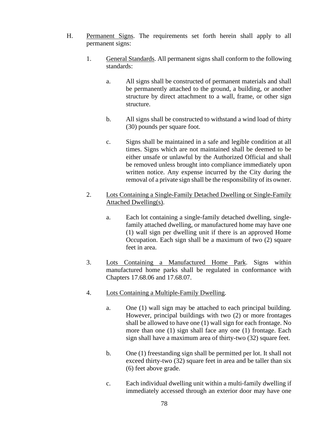- H. Permanent Signs. The requirements set forth herein shall apply to all permanent signs:
	- 1. General Standards. All permanent signs shall conform to the following standards:
		- a. All signs shall be constructed of permanent materials and shall be permanently attached to the ground, a building, or another structure by direct attachment to a wall, frame, or other sign structure.
		- b. All signs shall be constructed to withstand a wind load of thirty (30) pounds per square foot.
		- c. Signs shall be maintained in a safe and legible condition at all times. Signs which are not maintained shall be deemed to be either unsafe or unlawful by the Authorized Official and shall be removed unless brought into compliance immediately upon written notice. Any expense incurred by the City during the removal of a private sign shall be the responsibility of its owner.
	- 2. Lots Containing a Single-Family Detached Dwelling or Single-Family Attached Dwelling(s).
		- a. Each lot containing a single-family detached dwelling, singlefamily attached dwelling, or manufactured home may have one (1) wall sign per dwelling unit if there is an approved Home Occupation. Each sign shall be a maximum of two (2) square feet in area.
	- 3. Lots Containing a Manufactured Home Park. Signs within manufactured home parks shall be regulated in conformance with Chapters 17.68.06 and 17.68.07.
	- 4. Lots Containing a Multiple-Family Dwelling.
		- a. One (1) wall sign may be attached to each principal building. However, principal buildings with two (2) or more frontages shall be allowed to have one (1) wall sign for each frontage. No more than one (1) sign shall face any one (1) frontage. Each sign shall have a maximum area of thirty-two (32) square feet.
		- b. One (1) freestanding sign shall be permitted per lot. It shall not exceed thirty-two (32) square feet in area and be taller than six (6) feet above grade.
		- c. Each individual dwelling unit within a multi-family dwelling if immediately accessed through an exterior door may have one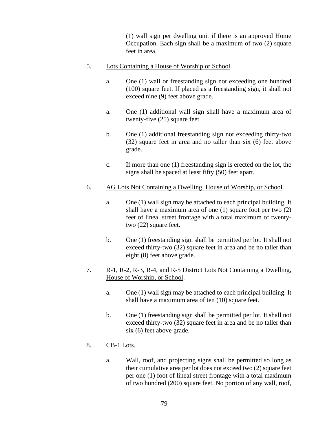(1) wall sign per dwelling unit if there is an approved Home Occupation. Each sign shall be a maximum of two (2) square feet in area.

- 5. Lots Containing a House of Worship or School.
	- a. One (1) wall or freestanding sign not exceeding one hundred (100) square feet. If placed as a freestanding sign, it shall not exceed nine (9) feet above grade.
	- a. One (1) additional wall sign shall have a maximum area of twenty-five (25) square feet.
	- b. One (1) additional freestanding sign not exceeding thirty-two (32) square feet in area and no taller than six (6) feet above grade.
	- c. If more than one (1) freestanding sign is erected on the lot, the signs shall be spaced at least fifty (50) feet apart.
- 6. AG Lots Not Containing a Dwelling, House of Worship, or School.
	- a. One (1) wall sign may be attached to each principal building. It shall have a maximum area of one (1) square foot per two (2) feet of lineal street frontage with a total maximum of twentytwo (22) square feet.
	- b. One (1) freestanding sign shall be permitted per lot. It shall not exceed thirty-two (32) square feet in area and be no taller than eight (8) feet above grade.
- 7. R-1, R-2, R-3, R-4, and R-5 District Lots Not Containing a Dwelling, House of Worship, or School.
	- a. One (1) wall sign may be attached to each principal building. It shall have a maximum area of ten (10) square feet.
	- b. One (1) freestanding sign shall be permitted per lot. It shall not exceed thirty-two (32) square feet in area and be no taller than six (6) feet above grade.
- 8. CB-1 Lots.
	- a. Wall, roof, and projecting signs shall be permitted so long as their cumulative area per lot does not exceed two (2) square feet per one (1) foot of lineal street frontage with a total maximum of two hundred (200) square feet. No portion of any wall, roof,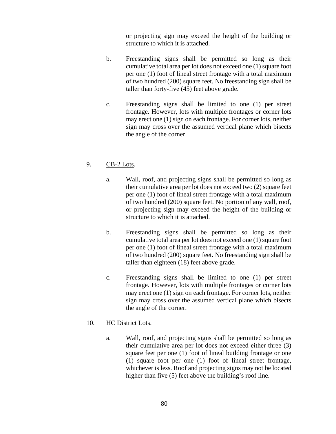or projecting sign may exceed the height of the building or structure to which it is attached.

- b. Freestanding signs shall be permitted so long as their cumulative total area per lot does not exceed one (1) square foot per one (1) foot of lineal street frontage with a total maximum of two hundred (200) square feet. No freestanding sign shall be taller than forty-five (45) feet above grade.
- c. Freestanding signs shall be limited to one (1) per street frontage. However, lots with multiple frontages or corner lots may erect one (1) sign on each frontage. For corner lots, neither sign may cross over the assumed vertical plane which bisects the angle of the corner.

# 9. CB-2 Lots.

- a. Wall, roof, and projecting signs shall be permitted so long as their cumulative area per lot does not exceed two (2) square feet per one (1) foot of lineal street frontage with a total maximum of two hundred (200) square feet. No portion of any wall, roof, or projecting sign may exceed the height of the building or structure to which it is attached.
- b. Freestanding signs shall be permitted so long as their cumulative total area per lot does not exceed one (1) square foot per one (1) foot of lineal street frontage with a total maximum of two hundred (200) square feet. No freestanding sign shall be taller than eighteen (18) feet above grade.
- c. Freestanding signs shall be limited to one (1) per street frontage. However, lots with multiple frontages or corner lots may erect one (1) sign on each frontage. For corner lots, neither sign may cross over the assumed vertical plane which bisects the angle of the corner.

## 10. HC District Lots.

a. Wall, roof, and projecting signs shall be permitted so long as their cumulative area per lot does not exceed either three (3) square feet per one (1) foot of lineal building frontage or one (1) square foot per one (1) foot of lineal street frontage, whichever is less. Roof and projecting signs may not be located higher than five (5) feet above the building's roof line.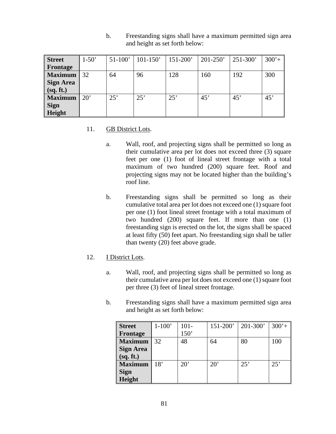| <b>Street</b>    | $1-50'$      | $51-100'$ | $101-150'$ | $151 - 200'$ | $201 - 250'$ | $251 - 300'$ | $300'+$ |
|------------------|--------------|-----------|------------|--------------|--------------|--------------|---------|
| Frontage         |              |           |            |              |              |              |         |
| <b>Maximum</b>   | 32           | 64        | 96         | 128          | 160          | 192          | 300     |
| <b>Sign Area</b> |              |           |            |              |              |              |         |
| (sq. ft.)        |              |           |            |              |              |              |         |
| <b>Maximum</b>   | $20^{\circ}$ | 25'       | 25'        | 25'          | 45'          | 45'          | 45'     |
| <b>Sign</b>      |              |           |            |              |              |              |         |
| Height           |              |           |            |              |              |              |         |

b. Freestanding signs shall have a maximum permitted sign area and height as set forth below:

#### 11. GB District Lots.

- a. Wall, roof, and projecting signs shall be permitted so long as their cumulative area per lot does not exceed three (3) square feet per one (1) foot of lineal street frontage with a total maximum of two hundred (200) square feet. Roof and projecting signs may not be located higher than the building's roof line.
- b. Freestanding signs shall be permitted so long as their cumulative total area per lot does not exceed one (1) square foot per one (1) foot lineal street frontage with a total maximum of two hundred (200) square feet. If more than one (1) freestanding sign is erected on the lot, the signs shall be spaced at least fifty (50) feet apart. No freestanding sign shall be taller than twenty (20) feet above grade.
- 12. I District Lots.
	- a. Wall, roof, and projecting signs shall be permitted so long as their cumulative area per lot does not exceed one (1) square foot per three (3) feet of lineal street frontage.
	- b. Freestanding signs shall have a maximum permitted sign area and height as set forth below:

| <b>Street</b>    | $1-100'$ | $101 -$      | 151-200' | $201 - 300'$ | $300'+$ |
|------------------|----------|--------------|----------|--------------|---------|
| Frontage         |          | 150'         |          |              |         |
| <b>Maximum</b>   | 32       | 48           | 64       | 80           | 100     |
| <b>Sign Area</b> |          |              |          |              |         |
| (sq. ft.)        |          |              |          |              |         |
| <b>Maximum</b>   | 18'      | $20^{\circ}$ | 20'      | 25'          | 25'     |
| <b>Sign</b>      |          |              |          |              |         |
| Height           |          |              |          |              |         |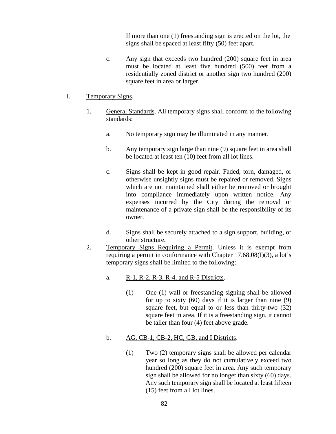If more than one (1) freestanding sign is erected on the lot, the signs shall be spaced at least fifty (50) feet apart.

- c. Any sign that exceeds two hundred (200) square feet in area must be located at least five hundred (500) feet from a residentially zoned district or another sign two hundred (200) square feet in area or larger.
- I. Temporary Signs.
	- 1. General Standards. All temporary signs shall conform to the following standards:
		- a. No temporary sign may be illuminated in any manner.
		- b. Any temporary sign large than nine (9) square feet in area shall be located at least ten (10) feet from all lot lines.
		- c. Signs shall be kept in good repair. Faded, torn, damaged, or otherwise unsightly signs must be repaired or removed. Signs which are not maintained shall either be removed or brought into compliance immediately upon written notice. Any expenses incurred by the City during the removal or maintenance of a private sign shall be the responsibility of its owner.
		- d. Signs shall be securely attached to a sign support, building, or other structure.
	- 2. Temporary Signs Requiring a Permit. Unless it is exempt from requiring a permit in conformance with Chapter 17.68.08(I)(3), a lot's temporary signs shall be limited to the following:
		- a. R-1, R-2, R-3, R-4, and R-5 Districts.
			- (1) One (1) wall or freestanding signing shall be allowed for up to sixty (60) days if it is larger than nine (9) square feet, but equal to or less than thirty-two (32) square feet in area. If it is a freestanding sign, it cannot be taller than four (4) feet above grade.

## b. AG, CB-1, CB-2, HC, GB, and I Districts.

(1) Two (2) temporary signs shall be allowed per calendar year so long as they do not cumulatively exceed two hundred (200) square feet in area. Any such temporary sign shall be allowed for no longer than sixty (60) days. Any such temporary sign shall be located at least fifteen (15) feet from all lot lines.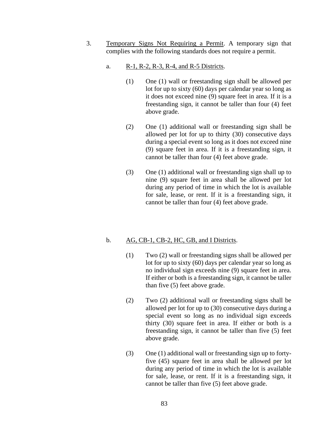- 3. Temporary Signs Not Requiring a Permit. A temporary sign that complies with the following standards does not require a permit.
	- a. R-1, R-2, R-3, R-4, and R-5 Districts.
		- (1) One (1) wall or freestanding sign shall be allowed per lot for up to sixty (60) days per calendar year so long as it does not exceed nine (9) square feet in area. If it is a freestanding sign, it cannot be taller than four (4) feet above grade.
		- (2) One (1) additional wall or freestanding sign shall be allowed per lot for up to thirty (30) consecutive days during a special event so long as it does not exceed nine (9) square feet in area. If it is a freestanding sign, it cannot be taller than four (4) feet above grade.
		- (3) One (1) additional wall or freestanding sign shall up to nine (9) square feet in area shall be allowed per lot during any period of time in which the lot is available for sale, lease, or rent. If it is a freestanding sign, it cannot be taller than four (4) feet above grade.

## b.  $\overline{AG}, \overline{CB-1}, \overline{CB-2}, \overline{HC}, \overline{GB}, \overline{and} \overline{I}$  Districts.

- (1) Two (2) wall or freestanding signs shall be allowed per lot for up to sixty (60) days per calendar year so long as no individual sign exceeds nine (9) square feet in area. If either or both is a freestanding sign, it cannot be taller than five (5) feet above grade.
- (2) Two (2) additional wall or freestanding signs shall be allowed per lot for up to (30) consecutive days during a special event so long as no individual sign exceeds thirty (30) square feet in area. If either or both is a freestanding sign, it cannot be taller than five (5) feet above grade.
- (3) One (1) additional wall or freestanding sign up to fortyfive (45) square feet in area shall be allowed per lot during any period of time in which the lot is available for sale, lease, or rent. If it is a freestanding sign, it cannot be taller than five (5) feet above grade.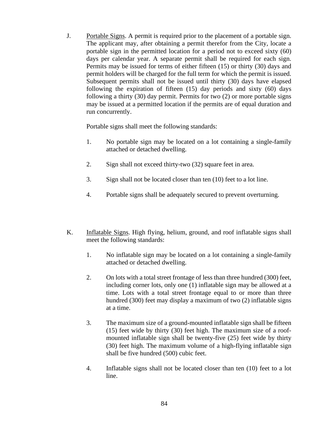J. Portable Signs. A permit is required prior to the placement of a portable sign. The applicant may, after obtaining a permit therefor from the City, locate a portable sign in the permitted location for a period not to exceed sixty (60) days per calendar year. A separate permit shall be required for each sign. Permits may be issued for terms of either fifteen (15) or thirty (30) days and permit holders will be charged for the full term for which the permit is issued. Subsequent permits shall not be issued until thirty (30) days have elapsed following the expiration of fifteen (15) day periods and sixty (60) days following a thirty (30) day permit. Permits for two (2) or more portable signs may be issued at a permitted location if the permits are of equal duration and run concurrently.

Portable signs shall meet the following standards:

- 1. No portable sign may be located on a lot containing a single-family attached or detached dwelling.
- 2. Sign shall not exceed thirty-two (32) square feet in area.
- 3. Sign shall not be located closer than ten (10) feet to a lot line.
- 4. Portable signs shall be adequately secured to prevent overturning.
- K. Inflatable Signs. High flying, helium, ground, and roof inflatable signs shall meet the following standards:
	- 1. No inflatable sign may be located on a lot containing a single-family attached or detached dwelling.
	- 2. On lots with a total street frontage of less than three hundred (300) feet, including corner lots, only one (1) inflatable sign may be allowed at a time. Lots with a total street frontage equal to or more than three hundred (300) feet may display a maximum of two (2) inflatable signs at a time.
	- 3. The maximum size of a ground-mounted inflatable sign shall be fifteen (15) feet wide by thirty (30) feet high. The maximum size of a roofmounted inflatable sign shall be twenty-five (25) feet wide by thirty (30) feet high. The maximum volume of a high-flying inflatable sign shall be five hundred (500) cubic feet.
	- 4. Inflatable signs shall not be located closer than ten (10) feet to a lot line.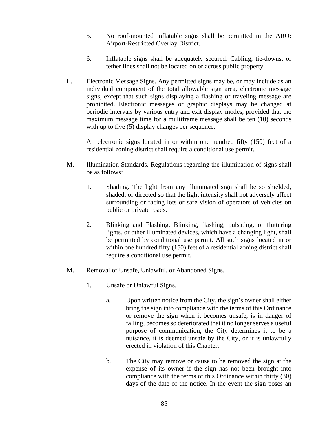- 5. No roof-mounted inflatable signs shall be permitted in the ARO: Airport-Restricted Overlay District.
- 6. Inflatable signs shall be adequately secured. Cabling, tie-downs, or tether lines shall not be located on or across public property.
- L. Electronic Message Signs. Any permitted signs may be, or may include as an individual component of the total allowable sign area, electronic message signs, except that such signs displaying a flashing or traveling message are prohibited. Electronic messages or graphic displays may be changed at periodic intervals by various entry and exit display modes, provided that the maximum message time for a multiframe message shall be ten (10) seconds with up to five (5) display changes per sequence.

All electronic signs located in or within one hundred fifty (150) feet of a residential zoning district shall require a conditional use permit.

- M. Illumination Standards. Regulations regarding the illumination of signs shall be as follows:
	- 1. Shading. The light from any illuminated sign shall be so shielded, shaded, or directed so that the light intensity shall not adversely affect surrounding or facing lots or safe vision of operators of vehicles on public or private roads.
	- 2. Blinking and Flashing. Blinking, flashing, pulsating, or fluttering lights, or other illuminated devices, which have a changing light, shall be permitted by conditional use permit. All such signs located in or within one hundred fifty (150) feet of a residential zoning district shall require a conditional use permit.

## M. Removal of Unsafe, Unlawful, or Abandoned Signs.

- 1. Unsafe or Unlawful Signs.
	- a. Upon written notice from the City, the sign's owner shall either bring the sign into compliance with the terms of this Ordinance or remove the sign when it becomes unsafe, is in danger of falling, becomes so deteriorated that it no longer serves a useful purpose of communication, the City determines it to be a nuisance, it is deemed unsafe by the City, or it is unlawfully erected in violation of this Chapter.
	- b. The City may remove or cause to be removed the sign at the expense of its owner if the sign has not been brought into compliance with the terms of this Ordinance within thirty (30) days of the date of the notice. In the event the sign poses an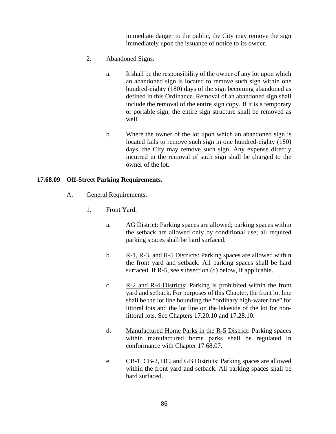immediate danger to the public, the City may remove the sign immediately upon the issuance of notice to its owner.

- 2. Abandoned Signs.
	- a. It shall be the responsibility of the owner of any lot upon which an abandoned sign is located to remove such sign within one hundred-eighty (180) days of the sign becoming abandoned as defined in this Ordinance. Removal of an abandoned sign shall include the removal of the entire sign copy. If it is a temporary or portable sign, the entire sign structure shall be removed as well.
	- b. Where the owner of the lot upon which an abandoned sign is located fails to remove such sign in one hundred-eighty (180) days, the City may remove such sign. Any expense directly incurred in the removal of such sign shall be charged to the owner of the lot.

#### **17.68.09 Off-Street Parking Requirements.**

- A. General Requirements.
	- 1. Front Yard.
		- a. AG District: Parking spaces are allowed; parking spaces within the setback are allowed only by conditional use; all required parking spaces shall be hard surfaced.
		- b. R-1, R-3, and R-5 Districts: Parking spaces are allowed within the front yard and setback. All parking spaces shall be hard surfaced. If R-5, see subsection (d) below, if applicable.
		- c. R-2 and R-4 Districts: Parking is prohibited within the front yard and setback. For purposes of this Chapter, the front lot line shall be the lot line bounding the "ordinary high-water line" for littoral lots and the lot line on the lakeside of the lot for nonlittoral lots. See Chapters 17.20.10 and 17.28.10.
		- d. Manufactured Home Parks in the R-5 District: Parking spaces within manufactured home parks shall be regulated in conformance with Chapter 17.68.07.
		- e. CB-1, CB-2, HC, and GB Districts: Parking spaces are allowed within the front yard and setback. All parking spaces shall be hard surfaced.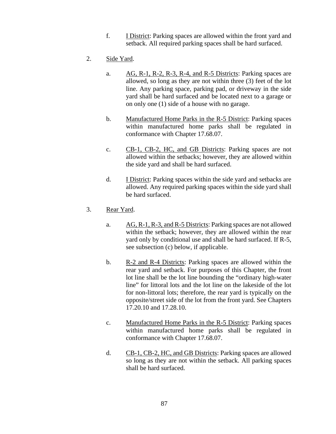- f. I District: Parking spaces are allowed within the front yard and setback. All required parking spaces shall be hard surfaced.
- 2. Side Yard.
	- a. AG, R-1, R-2, R-3, R-4, and R-5 Districts: Parking spaces are allowed, so long as they are not within three (3) feet of the lot line. Any parking space, parking pad, or driveway in the side yard shall be hard surfaced and be located next to a garage or on only one (1) side of a house with no garage.
	- b. Manufactured Home Parks in the R-5 District: Parking spaces within manufactured home parks shall be regulated in conformance with Chapter 17.68.07.
	- c. CB-1, CB-2, HC, and GB Districts: Parking spaces are not allowed within the setbacks; however, they are allowed within the side yard and shall be hard surfaced.
	- d. I District: Parking spaces within the side yard and setbacks are allowed. Any required parking spaces within the side yard shall be hard surfaced.
- 3. Rear Yard.
	- a. AG, R-1, R-3, and R-5 Districts: Parking spaces are not allowed within the setback; however, they are allowed within the rear yard only by conditional use and shall be hard surfaced. If R-5, see subsection (c) below, if applicable.
	- b. R-2 and R-4 Districts: Parking spaces are allowed within the rear yard and setback. For purposes of this Chapter, the front lot line shall be the lot line bounding the "ordinary high-water line" for littoral lots and the lot line on the lakeside of the lot for non-littoral lots; therefore, the rear yard is typically on the opposite/street side of the lot from the front yard. See Chapters 17.20.10 and 17.28.10.
	- c. Manufactured Home Parks in the R-5 District: Parking spaces within manufactured home parks shall be regulated in conformance with Chapter 17.68.07.
	- d. CB-1, CB-2, HC, and GB Districts: Parking spaces are allowed so long as they are not within the setback. All parking spaces shall be hard surfaced.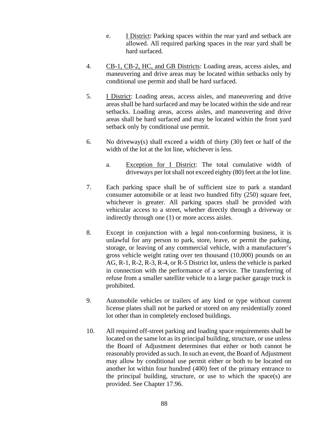- e. I District: Parking spaces within the rear yard and setback are allowed. All required parking spaces in the rear yard shall be hard surfaced.
- 4. CB-1, CB-2, HC, and GB Districts: Loading areas, access aisles, and maneuvering and drive areas may be located within setbacks only by conditional use permit and shall be hard surfaced.
- 5. I District: Loading areas, access aisles, and maneuvering and drive areas shall be hard surfaced and may be located within the side and rear setbacks. Loading areas, access aisles, and maneuvering and drive areas shall be hard surfaced and may be located within the front yard setback only by conditional use permit.
- 6. No driveway(s) shall exceed a width of thirty (30) feet or half of the width of the lot at the lot line, whichever is less.
	- a. Exception for I District: The total cumulative width of driveways per lot shall not exceed eighty (80) feet at the lot line.
- 7. Each parking space shall be of sufficient size to park a standard consumer automobile or at least two hundred fifty (250) square feet, whichever is greater. All parking spaces shall be provided with vehicular access to a street, whether directly through a driveway or indirectly through one (1) or more access aisles.
- 8. Except in conjunction with a legal non-conforming business, it is unlawful for any person to park, store, leave, or permit the parking, storage, or leaving of any commercial vehicle, with a manufacturer's gross vehicle weight rating over ten thousand (10,000) pounds on an AG, R-1, R-2, R-3, R-4, or R-5 District lot, unless the vehicle is parked in connection with the performance of a service. The transferring of refuse from a smaller satellite vehicle to a large packer garage truck is prohibited.
- 9. Automobile vehicles or trailers of any kind or type without current license plates shall not be parked or stored on any residentially zoned lot other than in completely enclosed buildings.
- 10. All required off-street parking and loading space requirements shall be located on the same lot as its principal building, structure, or use unless the Board of Adjustment determines that either or both cannot be reasonably provided as such. In such an event, the Board of Adjustment may allow by conditional use permit either or both to be located on another lot within four hundred (400) feet of the primary entrance to the principal building, structure, or use to which the space(s) are provided. See Chapter 17.96.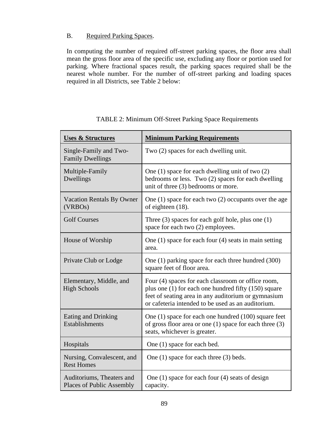## B. Required Parking Spaces.

In computing the number of required off-street parking spaces, the floor area shall mean the gross floor area of the specific use, excluding any floor or portion used for parking. Where fractional spaces result, the parking spaces required shall be the nearest whole number. For the number of off-street parking and loading spaces required in all Districts, see Table 2 below:

| <b>Uses &amp; Structures</b>                                  | <b>Minimum Parking Requirements</b>                                                                                                                                                                                     |  |  |
|---------------------------------------------------------------|-------------------------------------------------------------------------------------------------------------------------------------------------------------------------------------------------------------------------|--|--|
| Single-Family and Two-<br><b>Family Dwellings</b>             | Two (2) spaces for each dwelling unit.                                                                                                                                                                                  |  |  |
| Multiple-Family<br>Dwellings                                  | One $(1)$ space for each dwelling unit of two $(2)$<br>bedrooms or less. Two (2) spaces for each dwelling<br>unit of three (3) bedrooms or more.                                                                        |  |  |
| <b>Vacation Rentals By Owner</b><br>(VRBO <sub>s</sub> )      | One $(1)$ space for each two $(2)$ occupants over the age<br>of eighteen (18).                                                                                                                                          |  |  |
| <b>Golf Courses</b>                                           | Three $(3)$ spaces for each golf hole, plus one $(1)$<br>space for each two (2) employees.                                                                                                                              |  |  |
| House of Worship                                              | One $(1)$ space for each four $(4)$ seats in main setting<br>area.                                                                                                                                                      |  |  |
| Private Club or Lodge                                         | One (1) parking space for each three hundred (300)<br>square feet of floor area.                                                                                                                                        |  |  |
| Elementary, Middle, and<br><b>High Schools</b>                | Four (4) spaces for each classroom or office room,<br>plus one (1) for each one hundred fifty (150) square<br>feet of seating area in any auditorium or gymnasium<br>or cafeteria intended to be used as an auditorium. |  |  |
| Eating and Drinking<br>Establishments                         | One $(1)$ space for each one hundred $(100)$ square feet<br>of gross floor area or one $(1)$ space for each three $(3)$<br>seats, whichever is greater.                                                                 |  |  |
| Hospitals                                                     | One (1) space for each bed.                                                                                                                                                                                             |  |  |
| Nursing, Convalescent, and<br><b>Rest Homes</b>               | One $(1)$ space for each three $(3)$ beds.                                                                                                                                                                              |  |  |
| Auditoriums, Theaters and<br><b>Places of Public Assembly</b> | One $(1)$ space for each four $(4)$ seats of design<br>capacity.                                                                                                                                                        |  |  |

TABLE 2: Minimum Off-Street Parking Space Requirements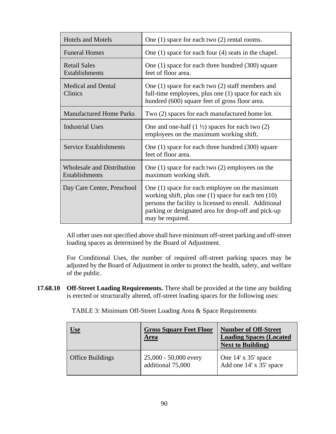| <b>Hotels and Motels</b>                            | One $(1)$ space for each two $(2)$ rental rooms.                                                                                                                                                                                           |  |  |
|-----------------------------------------------------|--------------------------------------------------------------------------------------------------------------------------------------------------------------------------------------------------------------------------------------------|--|--|
| <b>Funeral Homes</b>                                | One $(1)$ space for each four $(4)$ seats in the chapel.                                                                                                                                                                                   |  |  |
| <b>Retail Sales</b><br>Establishments               | One (1) space for each three hundred (300) square<br>feet of floor area.                                                                                                                                                                   |  |  |
| <b>Medical and Dental</b><br>Clinics                | One $(1)$ space for each two $(2)$ staff members and<br>full-time employees, plus one (1) space for each six<br>hundred (600) square feet of gross floor area.                                                                             |  |  |
| <b>Manufactured Home Parks</b>                      | Two (2) spaces for each manufactured home lot.                                                                                                                                                                                             |  |  |
| <b>Industrial Uses</b>                              | One and one-half $(1 \frac{1}{2})$ spaces for each two $(2)$<br>employees on the maximum working shift.                                                                                                                                    |  |  |
| <b>Service Establishments</b>                       | One (1) space for each three hundred (300) square<br>feet of floor area.                                                                                                                                                                   |  |  |
| <b>Wholesale and Distribution</b><br>Establishments | One $(1)$ space for each two $(2)$ employees on the<br>maximum working shift.                                                                                                                                                              |  |  |
| Day Care Center, Preschool                          | One (1) space for each employee on the maximum<br>working shift, plus one (1) space for each ten (10)<br>persons the facility is licensed to enroll. Additional<br>parking or designated area for drop-off and pick-up<br>may be required. |  |  |

All other uses not specified above shall have minimum off-street parking and off-street loading spaces as determined by the Board of Adjustment.

For Conditional Uses, the number of required off-street parking spaces may be adjusted by the Board of Adjustment in order to protect the health, safety, and welfare of the public.

**17.68.10 Off-Street Loading Requirements.** There shall be provided at the time any building is erected or structurally altered, off-street loading spaces for the following uses:

TABLE 3: Minimum Off-Street Loading Area & Space Requirements

| <u>Use</u>              | <b>Gross Square Feet Floor</b><br><b>Area</b> | <b>Number of Off-Street</b><br><b>Loading Spaces (Located)</b><br><b>Next to Building</b> ) |
|-------------------------|-----------------------------------------------|---------------------------------------------------------------------------------------------|
| <b>Office Buildings</b> | 25,000 - 50,000 every<br>additional 75,000    | One 14' x 35' space<br>Add one 14' x 35' space                                              |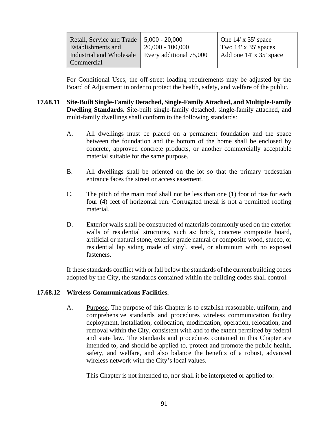| Retail, Service and Trade   5,000 - 20,000 |                         | $\vert$ One 14' x 35' space |
|--------------------------------------------|-------------------------|-----------------------------|
| <b>Establishments and</b>                  | $20,000 - 100,000$      | Two $14' \times 35'$ spaces |
| Industrial and Wholesale                   | Every additional 75,000 | Add one 14' x 35' space     |
| Commercial                                 |                         |                             |

For Conditional Uses, the off-street loading requirements may be adjusted by the Board of Adjustment in order to protect the health, safety, and welfare of the public.

- **17.68.11 Site-Built Single-Family Detached, Single-Family Attached, and Multiple-Family Dwelling Standards.** Site-built single-family detached, single-family attached, and multi-family dwellings shall conform to the following standards:
	- A. All dwellings must be placed on a permanent foundation and the space between the foundation and the bottom of the home shall be enclosed by concrete, approved concrete products, or another commercially acceptable material suitable for the same purpose.
	- B. All dwellings shall be oriented on the lot so that the primary pedestrian entrance faces the street or access easement.
	- C. The pitch of the main roof shall not be less than one (1) foot of rise for each four (4) feet of horizontal run. Corrugated metal is not a permitted roofing material.
	- D. Exterior walls shall be constructed of materials commonly used on the exterior walls of residential structures, such as: brick, concrete composite board, artificial or natural stone, exterior grade natural or composite wood, stucco, or residential lap siding made of vinyl, steel, or aluminum with no exposed fasteners.

If these standards conflict with or fall below the standards of the current building codes adopted by the City, the standards contained within the building codes shall control.

## **17.68.12 Wireless Communications Facilities.**

A. Purpose. The purpose of this Chapter is to establish reasonable, uniform, and comprehensive standards and procedures wireless communication facility deployment, installation, collocation, modification, operation, relocation, and removal within the City, consistent with and to the extent permitted by federal and state law. The standards and procedures contained in this Chapter are intended to, and should be applied to, protect and promote the public health, safety, and welfare, and also balance the benefits of a robust, advanced wireless network with the City's local values.

This Chapter is not intended to, nor shall it be interpreted or applied to: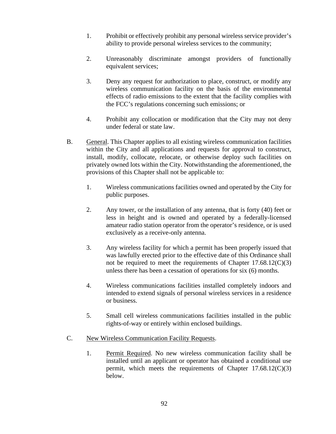- 1. Prohibit or effectively prohibit any personal wireless service provider's ability to provide personal wireless services to the community;
- 2. Unreasonably discriminate amongst providers of functionally equivalent services;
- 3. Deny any request for authorization to place, construct, or modify any wireless communication facility on the basis of the environmental effects of radio emissions to the extent that the facility complies with the FCC's regulations concerning such emissions; or
- 4. Prohibit any collocation or modification that the City may not deny under federal or state law.
- B. General. This Chapter applies to all existing wireless communication facilities within the City and all applications and requests for approval to construct, install, modify, collocate, relocate, or otherwise deploy such facilities on privately owned lots within the City. Notwithstanding the aforementioned, the provisions of this Chapter shall not be applicable to:
	- 1. Wireless communications facilities owned and operated by the City for public purposes.
	- 2. Any tower, or the installation of any antenna, that is forty (40) feet or less in height and is owned and operated by a federally-licensed amateur radio station operator from the operator's residence, or is used exclusively as a receive-only antenna.
	- 3. Any wireless facility for which a permit has been properly issued that was lawfully erected prior to the effective date of this Ordinance shall not be required to meet the requirements of Chapter  $17.68.12(C)(3)$ unless there has been a cessation of operations for six (6) months.
	- 4. Wireless communications facilities installed completely indoors and intended to extend signals of personal wireless services in a residence or business.
	- 5. Small cell wireless communications facilities installed in the public rights-of-way or entirely within enclosed buildings.
- C. New Wireless Communication Facility Requests.
	- 1. Permit Required. No new wireless communication facility shall be installed until an applicant or operator has obtained a conditional use permit, which meets the requirements of Chapter  $17.68.12(C)(3)$ below.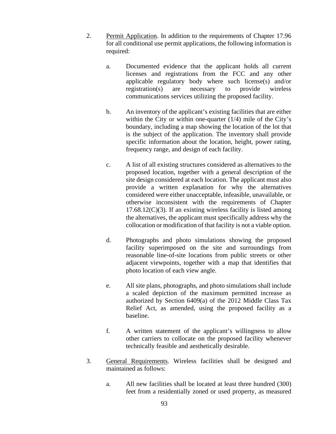- 2. Permit Application. In addition to the requirements of Chapter 17.96 for all conditional use permit applications, the following information is required:
	- a. Documented evidence that the applicant holds all current licenses and registrations from the FCC and any other applicable regulatory body where such license(s) and/or registration(s) are necessary to provide wireless communications services utilizing the proposed facility.
	- b. An inventory of the applicant's existing facilities that are either within the City or within one-quarter (1/4) mile of the City's boundary, including a map showing the location of the lot that is the subject of the application. The inventory shall provide specific information about the location, height, power rating, frequency range, and design of each facility.
	- c. A list of all existing structures considered as alternatives to the proposed location, together with a general description of the site design considered at each location. The applicant must also provide a written explanation for why the alternatives considered were either unacceptable, infeasible, unavailable, or otherwise inconsistent with the requirements of Chapter  $17.68.12(C)(3)$ . If an existing wireless facility is listed among the alternatives, the applicant must specifically address why the collocation or modification of that facility is not a viable option.
	- d. Photographs and photo simulations showing the proposed facility superimposed on the site and surroundings from reasonable line-of-site locations from public streets or other adjacent viewpoints, together with a map that identifies that photo location of each view angle.
	- e. All site plans, photographs, and photo simulations shall include a scaled depiction of the maximum permitted increase as authorized by Section 6409(a) of the 2012 Middle Class Tax Relief Act, as amended, using the proposed facility as a baseline.
	- f. A written statement of the applicant's willingness to allow other carriers to collocate on the proposed facility whenever technically feasible and aesthetically desirable.
- 3. General Requirements. Wireless facilities shall be designed and maintained as follows:
	- a. All new facilities shall be located at least three hundred (300) feet from a residentially zoned or used property, as measured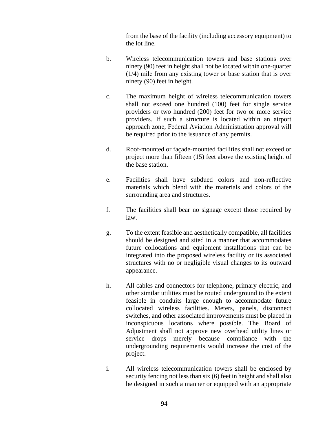from the base of the facility (including accessory equipment) to the lot line.

- b. Wireless telecommunication towers and base stations over ninety (90) feet in height shall not be located within one-quarter (1/4) mile from any existing tower or base station that is over ninety (90) feet in height.
- c. The maximum height of wireless telecommunication towers shall not exceed one hundred (100) feet for single service providers or two hundred (200) feet for two or more service providers. If such a structure is located within an airport approach zone, Federal Aviation Administration approval will be required prior to the issuance of any permits.
- d. Roof-mounted or façade-mounted facilities shall not exceed or project more than fifteen (15) feet above the existing height of the base station.
- e. Facilities shall have subdued colors and non-reflective materials which blend with the materials and colors of the surrounding area and structures.
- f. The facilities shall bear no signage except those required by law.
- g. To the extent feasible and aesthetically compatible, all facilities should be designed and sited in a manner that accommodates future collocations and equipment installations that can be integrated into the proposed wireless facility or its associated structures with no or negligible visual changes to its outward appearance.
- h. All cables and connectors for telephone, primary electric, and other similar utilities must be routed underground to the extent feasible in conduits large enough to accommodate future collocated wireless facilities. Meters, panels, disconnect switches, and other associated improvements must be placed in inconspicuous locations where possible. The Board of Adjustment shall not approve new overhead utility lines or service drops merely because compliance with the undergrounding requirements would increase the cost of the project.
- i. All wireless telecommunication towers shall be enclosed by security fencing not less than six (6) feet in height and shall also be designed in such a manner or equipped with an appropriate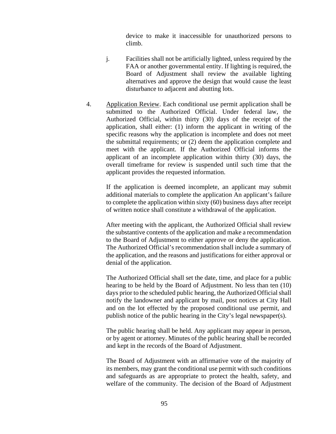device to make it inaccessible for unauthorized persons to climb.

- j. Facilities shall not be artificially lighted, unless required by the FAA or another governmental entity. If lighting is required, the Board of Adjustment shall review the available lighting alternatives and approve the design that would cause the least disturbance to adjacent and abutting lots.
- 4. Application Review. Each conditional use permit application shall be submitted to the Authorized Official. Under federal law, the Authorized Official, within thirty (30) days of the receipt of the application, shall either: (1) inform the applicant in writing of the specific reasons why the application is incomplete and does not meet the submittal requirements; or (2) deem the application complete and meet with the applicant. If the Authorized Official informs the applicant of an incomplete application within thirty (30) days, the overall timeframe for review is suspended until such time that the applicant provides the requested information.

If the application is deemed incomplete, an applicant may submit additional materials to complete the application An applicant's failure to complete the application within sixty (60) business days after receipt of written notice shall constitute a withdrawal of the application.

After meeting with the applicant, the Authorized Official shall review the substantive contents of the application and make a recommendation to the Board of Adjustment to either approve or deny the application. The Authorized Official's recommendation shall include a summary of the application, and the reasons and justifications for either approval or denial of the application.

The Authorized Official shall set the date, time, and place for a public hearing to be held by the Board of Adjustment. No less than ten (10) days prior to the scheduled public hearing, the Authorized Official shall notify the landowner and applicant by mail, post notices at City Hall and on the lot effected by the proposed conditional use permit, and publish notice of the public hearing in the City's legal newspaper(s).

The public hearing shall be held. Any applicant may appear in person, or by agent or attorney. Minutes of the public hearing shall be recorded and kept in the records of the Board of Adjustment.

The Board of Adjustment with an affirmative vote of the majority of its members, may grant the conditional use permit with such conditions and safeguards as are appropriate to protect the health, safety, and welfare of the community. The decision of the Board of Adjustment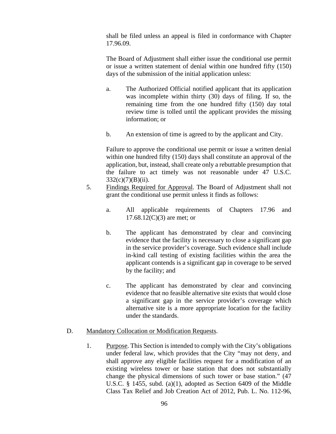shall be filed unless an appeal is filed in conformance with Chapter 17.96.09.

The Board of Adjustment shall either issue the conditional use permit or issue a written statement of denial within one hundred fifty (150) days of the submission of the initial application unless:

- a. The Authorized Official notified applicant that its application was incomplete within thirty (30) days of filing. If so, the remaining time from the one hundred fifty (150) day total review time is tolled until the applicant provides the missing information; or
- b. An extension of time is agreed to by the applicant and City.

Failure to approve the conditional use permit or issue a written denial within one hundred fifty (150) days shall constitute an approval of the application, but, instead, shall create only a rebuttable presumption that the failure to act timely was not reasonable under 47 U.S.C.  $332(c)(7)(B)(ii)$ .

- 5. Findings Required for Approval. The Board of Adjustment shall not grant the conditional use permit unless it finds as follows:
	- a. All applicable requirements of Chapters 17.96 and  $17.68.12(C)(3)$  are met; or
	- b. The applicant has demonstrated by clear and convincing evidence that the facility is necessary to close a significant gap in the service provider's coverage. Such evidence shall include in-kind call testing of existing facilities within the area the applicant contends is a significant gap in coverage to be served by the facility; and
	- c. The applicant has demonstrated by clear and convincing evidence that no feasible alternative site exists that would close a significant gap in the service provider's coverage which alternative site is a more appropriate location for the facility under the standards.

## D. Mandatory Collocation or Modification Requests.

1. Purpose. This Section is intended to comply with the City's obligations under federal law, which provides that the City "may not deny, and shall approve any eligible facilities request for a modification of an existing wireless tower or base station that does not substantially change the physical dimensions of such tower or base station." (47 U.S.C. § 1455, subd. (a)(1), adopted as Section 6409 of the Middle Class Tax Relief and Job Creation Act of 2012, Pub. L. No. 112-96,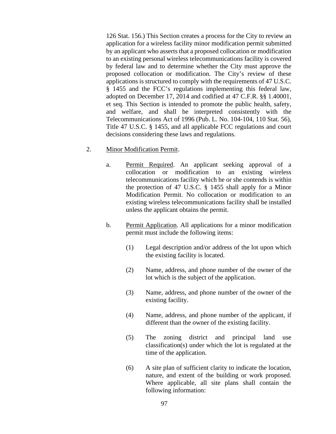126 Stat. 156.) This Section creates a process for the City to review an application for a wireless facility minor modification permit submitted by an applicant who asserts that a proposed collocation or modification to an existing personal wireless telecommunications facility is covered by federal law and to determine whether the City must approve the proposed collocation or modification. The City's review of these applications is structured to comply with the requirements of 47 U.S.C. § 1455 and the FCC's regulations implementing this federal law, adopted on December 17, 2014 and codified at 47 C.F.R. §§ 1.40001, et seq. This Section is intended to promote the public health, safety, and welfare, and shall be interpreted consistently with the Telecommunications Act of 1996 (Pub. L. No. 104-104, 110 Stat. 56), Title 47 U.S.C. § 1455, and all applicable FCC regulations and court decisions considering these laws and regulations.

- 2. Minor Modification Permit.
	- a. Permit Required. An applicant seeking approval of a collocation or modification to an existing wireless telecommunications facility which he or she contends is within the protection of 47 U.S.C. § 1455 shall apply for a Minor Modification Permit. No collocation or modification to an existing wireless telecommunications facility shall be installed unless the applicant obtains the permit.
	- b. Permit Application. All applications for a minor modification permit must include the following items:
		- (1) Legal description and/or address of the lot upon which the existing facility is located.
		- (2) Name, address, and phone number of the owner of the lot which is the subject of the application.
		- (3) Name, address, and phone number of the owner of the existing facility.
		- (4) Name, address, and phone number of the applicant, if different than the owner of the existing facility.
		- (5) The zoning district and principal land use classification(s) under which the lot is regulated at the time of the application.
		- (6) A site plan of sufficient clarity to indicate the location, nature, and extent of the building or work proposed. Where applicable, all site plans shall contain the following information: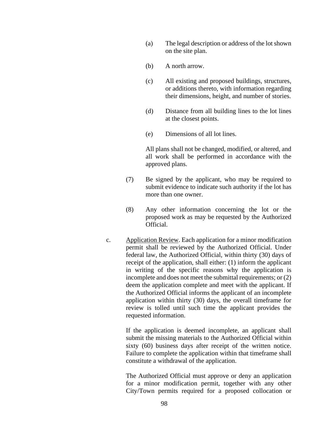- (a) The legal description or address of the lot shown on the site plan.
- (b) A north arrow.
- (c) All existing and proposed buildings, structures, or additions thereto, with information regarding their dimensions, height, and number of stories.
- (d) Distance from all building lines to the lot lines at the closest points.
- (e) Dimensions of all lot lines.

All plans shall not be changed, modified, or altered, and all work shall be performed in accordance with the approved plans.

- (7) Be signed by the applicant, who may be required to submit evidence to indicate such authority if the lot has more than one owner.
- (8) Any other information concerning the lot or the proposed work as may be requested by the Authorized Official.
- c. Application Review. Each application for a minor modification permit shall be reviewed by the Authorized Official. Under federal law, the Authorized Official, within thirty (30) days of receipt of the application, shall either: (1) inform the applicant in writing of the specific reasons why the application is incomplete and does not meet the submittal requirements; or (2) deem the application complete and meet with the applicant. If the Authorized Official informs the applicant of an incomplete application within thirty (30) days, the overall timeframe for review is tolled until such time the applicant provides the requested information.

If the application is deemed incomplete, an applicant shall submit the missing materials to the Authorized Official within sixty (60) business days after receipt of the written notice. Failure to complete the application within that timeframe shall constitute a withdrawal of the application.

The Authorized Official must approve or deny an application for a minor modification permit, together with any other City/Town permits required for a proposed collocation or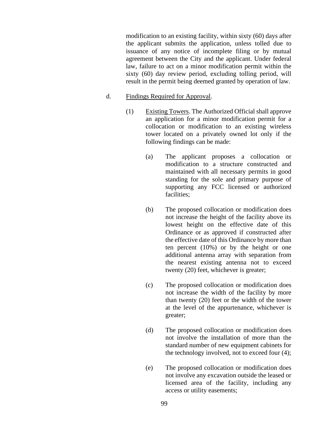modification to an existing facility, within sixty (60) days after the applicant submits the application, unless tolled due to issuance of any notice of incomplete filing or by mutual agreement between the City and the applicant. Under federal law, failure to act on a minor modification permit within the sixty (60) day review period, excluding tolling period, will result in the permit being deemed granted by operation of law.

- d. Findings Required for Approval.
	- (1) Existing Towers. The Authorized Official shall approve an application for a minor modification permit for a collocation or modification to an existing wireless tower located on a privately owned lot only if the following findings can be made:
		- (a) The applicant proposes a collocation or modification to a structure constructed and maintained with all necessary permits in good standing for the sole and primary purpose of supporting any FCC licensed or authorized facilities;
		- (b) The proposed collocation or modification does not increase the height of the facility above its lowest height on the effective date of this Ordinance or as approved if constructed after the effective date of this Ordinance by more than ten percent (10%) or by the height or one additional antenna array with separation from the nearest existing antenna not to exceed twenty (20) feet, whichever is greater;
		- (c) The proposed collocation or modification does not increase the width of the facility by more than twenty (20) feet or the width of the tower at the level of the appurtenance, whichever is greater;
		- (d) The proposed collocation or modification does not involve the installation of more than the standard number of new equipment cabinets for the technology involved, not to exceed four (4);
		- (e) The proposed collocation or modification does not involve any excavation outside the leased or licensed area of the facility, including any access or utility easements;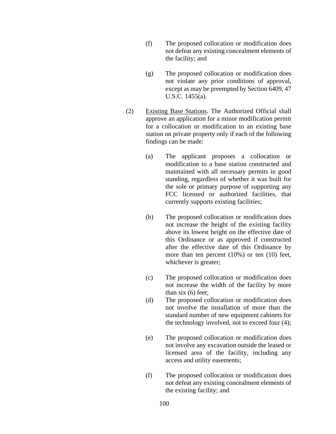- (f) The proposed collocation or modification does not defeat any existing concealment elements of the facility; and
- (g) The proposed collocation or modification does not violate any prior conditions of approval, except as may be preempted by Section 6409, 47 U.S.C. 1455(a).
- (2) Existing Base Stations. The Authorized Official shall approve an application for a minor modification permit for a collocation or modification to an existing base station on private property only if each of the following findings can be made:
	- (a) The applicant proposes a collocation or modification to a base station constructed and maintained with all necessary permits in good standing, regardless of whether it was built for the sole or primary purpose of supporting any FCC licensed or authorized facilities, that currently supports existing facilities;
	- (b) The proposed collocation or modification does not increase the height of the existing facility above its lowest height on the effective date of this Ordinance or as approved if constructed after the effective date of this Ordinance by more than ten percent (10%) or ten (10) feet, whichever is greater;
	- (c) The proposed collocation or modification does not increase the width of the facility by more than six (6) feet;
	- (d) The proposed collocation or modification does not involve the installation of more than the standard number of new equipment cabinets for the technology involved, not to exceed four (4);
	- (e) The proposed collocation or modification does not involve any excavation outside the leased or licensed area of the facility, including any access and utility easements;
	- (f) The proposed collocation or modification does not defeat any existing concealment elements of the existing facility; and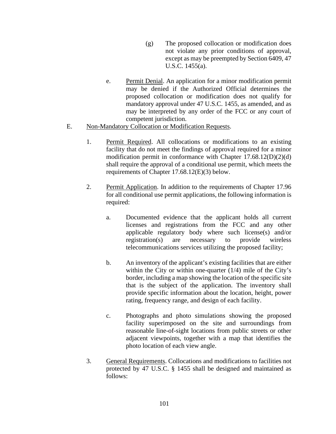- (g) The proposed collocation or modification does not violate any prior conditions of approval, except as may be preempted by Section 6409, 47 U.S.C. 1455(a).
- e. Permit Denial. An application for a minor modification permit may be denied if the Authorized Official determines the proposed collocation or modification does not qualify for mandatory approval under 47 U.S.C. 1455, as amended, and as may be interpreted by any order of the FCC or any court of competent jurisdiction.
- E. Non-Mandatory Collocation or Modification Requests.
	- 1. Permit Required. All collocations or modifications to an existing facility that do not meet the findings of approval required for a minor modification permit in conformance with Chapter 17.68.12(D)(2)(d) shall require the approval of a conditional use permit, which meets the requirements of Chapter 17.68.12(E)(3) below.
	- 2. Permit Application. In addition to the requirements of Chapter 17.96 for all conditional use permit applications, the following information is required:
		- a. Documented evidence that the applicant holds all current licenses and registrations from the FCC and any other applicable regulatory body where such license(s) and/or registration(s) are necessary to provide wireless telecommunications services utilizing the proposed facility;
		- b. An inventory of the applicant's existing facilities that are either within the City or within one-quarter (1/4) mile of the City's border, including a map showing the location of the specific site that is the subject of the application. The inventory shall provide specific information about the location, height, power rating, frequency range, and design of each facility.
		- c. Photographs and photo simulations showing the proposed facility superimposed on the site and surroundings from reasonable line-of-sight locations from public streets or other adjacent viewpoints, together with a map that identifies the photo location of each view angle.
	- 3. General Requirements. Collocations and modifications to facilities not protected by 47 U.S.C. § 1455 shall be designed and maintained as follows: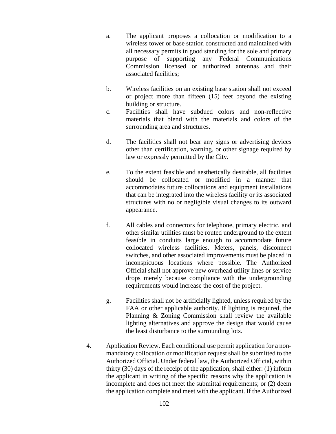- a. The applicant proposes a collocation or modification to a wireless tower or base station constructed and maintained with all necessary permits in good standing for the sole and primary purpose of supporting any Federal Communications Commission licensed or authorized antennas and their associated facilities;
- b. Wireless facilities on an existing base station shall not exceed or project more than fifteen (15) feet beyond the existing building or structure.
- c. Facilities shall have subdued colors and non-reflective materials that blend with the materials and colors of the surrounding area and structures.
- d. The facilities shall not bear any signs or advertising devices other than certification, warning, or other signage required by law or expressly permitted by the City.
- e. To the extent feasible and aesthetically desirable, all facilities should be collocated or modified in a manner that accommodates future collocations and equipment installations that can be integrated into the wireless facility or its associated structures with no or negligible visual changes to its outward appearance.
- f. All cables and connectors for telephone, primary electric, and other similar utilities must be routed underground to the extent feasible in conduits large enough to accommodate future collocated wireless facilities. Meters, panels, disconnect switches, and other associated improvements must be placed in inconspicuous locations where possible. The Authorized Official shall not approve new overhead utility lines or service drops merely because compliance with the undergrounding requirements would increase the cost of the project.
- g. Facilities shall not be artificially lighted, unless required by the FAA or other applicable authority. If lighting is required, the Planning & Zoning Commission shall review the available lighting alternatives and approve the design that would cause the least disturbance to the surrounding lots.
- 4. Application Review. Each conditional use permit application for a nonmandatory collocation or modification request shall be submitted to the Authorized Official. Under federal law, the Authorized Official, within thirty (30) days of the receipt of the application, shall either: (1) inform the applicant in writing of the specific reasons why the application is incomplete and does not meet the submittal requirements; or (2) deem the application complete and meet with the applicant. If the Authorized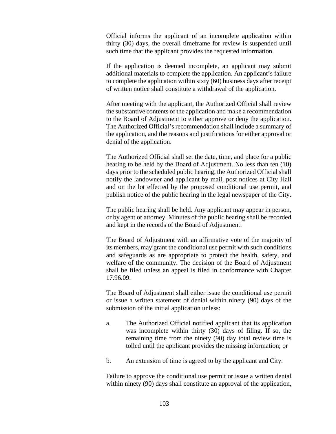Official informs the applicant of an incomplete application within thirty (30) days, the overall timeframe for review is suspended until such time that the applicant provides the requested information.

If the application is deemed incomplete, an applicant may submit additional materials to complete the application. An applicant's failure to complete the application within sixty (60) business days after receipt of written notice shall constitute a withdrawal of the application.

After meeting with the applicant, the Authorized Official shall review the substantive contents of the application and make a recommendation to the Board of Adjustment to either approve or deny the application. The Authorized Official's recommendation shall include a summary of the application, and the reasons and justifications for either approval or denial of the application.

The Authorized Official shall set the date, time, and place for a public hearing to be held by the Board of Adjustment. No less than ten (10) days prior to the scheduled public hearing, the Authorized Official shall notify the landowner and applicant by mail, post notices at City Hall and on the lot effected by the proposed conditional use permit, and publish notice of the public hearing in the legal newspaper of the City.

The public hearing shall be held. Any applicant may appear in person, or by agent or attorney. Minutes of the public hearing shall be recorded and kept in the records of the Board of Adjustment.

The Board of Adjustment with an affirmative vote of the majority of its members, may grant the conditional use permit with such conditions and safeguards as are appropriate to protect the health, safety, and welfare of the community. The decision of the Board of Adjustment shall be filed unless an appeal is filed in conformance with Chapter 17.96.09.

The Board of Adjustment shall either issue the conditional use permit or issue a written statement of denial within ninety (90) days of the submission of the initial application unless:

- a. The Authorized Official notified applicant that its application was incomplete within thirty (30) days of filing. If so, the remaining time from the ninety (90) day total review time is tolled until the applicant provides the missing information; or
- b. An extension of time is agreed to by the applicant and City.

Failure to approve the conditional use permit or issue a written denial within ninety (90) days shall constitute an approval of the application,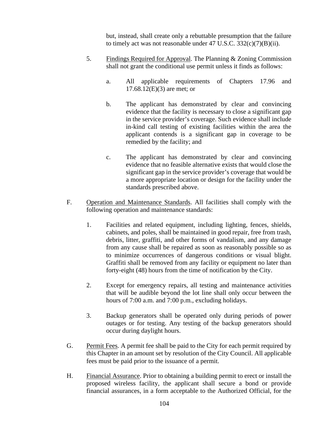but, instead, shall create only a rebuttable presumption that the failure to timely act was not reasonable under  $47 \text{ U.S.C. } 332(c)(7)(B)(ii)$ .

- 5. Findings Required for Approval. The Planning & Zoning Commission shall not grant the conditional use permit unless it finds as follows:
	- a. All applicable requirements of Chapters 17.96 and 17.68.12(E)(3) are met; or
	- b. The applicant has demonstrated by clear and convincing evidence that the facility is necessary to close a significant gap in the service provider's coverage. Such evidence shall include in-kind call testing of existing facilities within the area the applicant contends is a significant gap in coverage to be remedied by the facility; and
	- c. The applicant has demonstrated by clear and convincing evidence that no feasible alternative exists that would close the significant gap in the service provider's coverage that would be a more appropriate location or design for the facility under the standards prescribed above.
- F. Operation and Maintenance Standards. All facilities shall comply with the following operation and maintenance standards:
	- 1. Facilities and related equipment, including lighting, fences, shields, cabinets, and poles, shall be maintained in good repair, free from trash, debris, litter, graffiti, and other forms of vandalism, and any damage from any cause shall be repaired as soon as reasonably possible so as to minimize occurrences of dangerous conditions or visual blight. Graffiti shall be removed from any facility or equipment no later than forty-eight (48) hours from the time of notification by the City.
	- 2. Except for emergency repairs, all testing and maintenance activities that will be audible beyond the lot line shall only occur between the hours of 7:00 a.m. and 7:00 p.m., excluding holidays.
	- 3. Backup generators shall be operated only during periods of power outages or for testing. Any testing of the backup generators should occur during daylight hours.
- G. Permit Fees. A permit fee shall be paid to the City for each permit required by this Chapter in an amount set by resolution of the City Council. All applicable fees must be paid prior to the issuance of a permit.
- H. Financial Assurance. Prior to obtaining a building permit to erect or install the proposed wireless facility, the applicant shall secure a bond or provide financial assurances, in a form acceptable to the Authorized Official, for the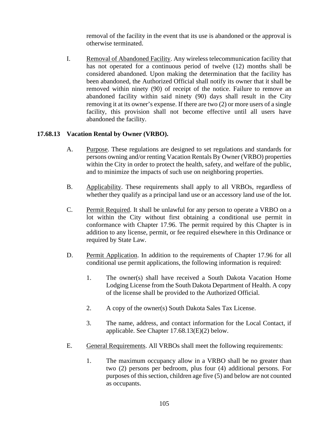removal of the facility in the event that its use is abandoned or the approval is otherwise terminated.

I. Removal of Abandoned Facility. Any wireless telecommunication facility that has not operated for a continuous period of twelve (12) months shall be considered abandoned. Upon making the determination that the facility has been abandoned, the Authorized Official shall notify its owner that it shall be removed within ninety (90) of receipt of the notice. Failure to remove an abandoned facility within said ninety (90) days shall result in the City removing it at its owner's expense. If there are two (2) or more users of a single facility, this provision shall not become effective until all users have abandoned the facility.

## **17.68.13 Vacation Rental by Owner (VRBO).**

- A. Purpose. These regulations are designed to set regulations and standards for persons owning and/or renting Vacation Rentals By Owner (VRBO) properties within the City in order to protect the health, safety, and welfare of the public, and to minimize the impacts of such use on neighboring properties.
- B. Applicability. These requirements shall apply to all VRBOs, regardless of whether they qualify as a principal land use or an accessory land use of the lot.
- C. Permit Required. It shall be unlawful for any person to operate a VRBO on a lot within the City without first obtaining a conditional use permit in conformance with Chapter 17.96. The permit required by this Chapter is in addition to any license, permit, or fee required elsewhere in this Ordinance or required by State Law.
- D. Permit Application. In addition to the requirements of Chapter 17.96 for all conditional use permit applications, the following information is required:
	- 1. The owner(s) shall have received a South Dakota Vacation Home Lodging License from the South Dakota Department of Health. A copy of the license shall be provided to the Authorized Official.
	- 2. A copy of the owner(s) South Dakota Sales Tax License.
	- 3. The name, address, and contact information for the Local Contact, if applicable. See Chapter 17.68.13(E)(2) below.
- E. General Requirements. All VRBOs shall meet the following requirements:
	- 1. The maximum occupancy allow in a VRBO shall be no greater than two (2) persons per bedroom, plus four (4) additional persons. For purposes of this section, children age five (5) and below are not counted as occupants.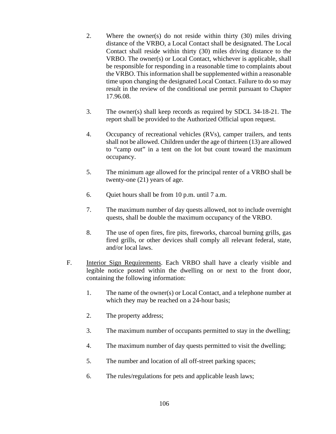- 2. Where the owner(s) do not reside within thirty (30) miles driving distance of the VRBO, a Local Contact shall be designated. The Local Contact shall reside within thirty (30) miles driving distance to the VRBO. The owner(s) or Local Contact, whichever is applicable, shall be responsible for responding in a reasonable time to complaints about the VRBO. This information shall be supplemented within a reasonable time upon changing the designated Local Contact. Failure to do so may result in the review of the conditional use permit pursuant to Chapter 17.96.08.
- 3. The owner(s) shall keep records as required by SDCL 34-18-21. The report shall be provided to the Authorized Official upon request.
- 4. Occupancy of recreational vehicles (RVs), camper trailers, and tents shall not be allowed. Children under the age of thirteen (13) are allowed to "camp out" in a tent on the lot but count toward the maximum occupancy.
- 5. The minimum age allowed for the principal renter of a VRBO shall be twenty-one (21) years of age.
- 6. Quiet hours shall be from 10 p.m. until 7 a.m.
- 7. The maximum number of day quests allowed, not to include overnight quests, shall be double the maximum occupancy of the VRBO.
- 8. The use of open fires, fire pits, fireworks, charcoal burning grills, gas fired grills, or other devices shall comply all relevant federal, state, and/or local laws.
- F. Interior Sign Requirements. Each VRBO shall have a clearly visible and legible notice posted within the dwelling on or next to the front door, containing the following information:
	- 1. The name of the owner(s) or Local Contact, and a telephone number at which they may be reached on a 24-hour basis;
	- 2. The property address;
	- 3. The maximum number of occupants permitted to stay in the dwelling;
	- 4. The maximum number of day quests permitted to visit the dwelling;
	- 5. The number and location of all off-street parking spaces;
	- 6. The rules/regulations for pets and applicable leash laws;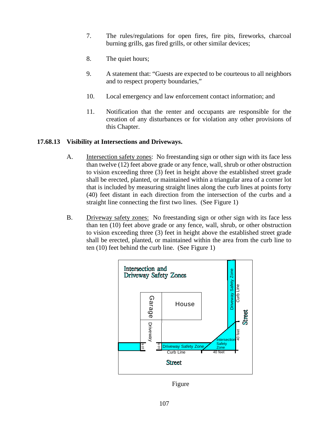- 7. The rules/regulations for open fires, fire pits, fireworks, charcoal burning grills, gas fired grills, or other similar devices;
- 8. The quiet hours;
- 9. A statement that: "Guests are expected to be courteous to all neighbors and to respect property boundaries,"
- 10. Local emergency and law enforcement contact information; and
- 11. Notification that the renter and occupants are responsible for the creation of any disturbances or for violation any other provisions of this Chapter.

#### **17.68.13 Visibility at Intersections and Driveways.**

- A. Intersection safety zones: No freestanding sign or other sign with its face less than twelve (12) feet above grade or any fence, wall, shrub or other obstruction to vision exceeding three (3) feet in height above the established street grade shall be erected, planted, or maintained within a triangular area of a corner lot that is included by measuring straight lines along the curb lines at points forty (40) feet distant in each direction from the intersection of the curbs and a straight line connecting the first two lines. (See Figure 1)
- B. Driveway safety zones: No freestanding sign or other sign with its face less than ten (10) feet above grade or any fence, wall, shrub, or other obstruction to vision exceeding three (3) feet in height above the established street grade shall be erected, planted, or maintained within the area from the curb line to ten (10) feet behind the curb line. (See Figure 1)



Figure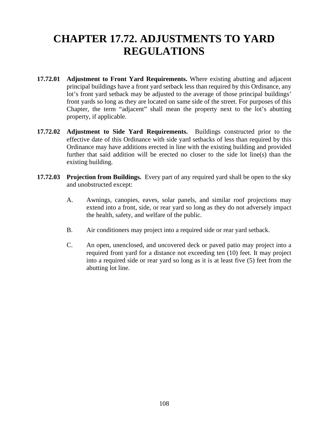# **CHAPTER 17.72. ADJUSTMENTS TO YARD REGULATIONS**

- **17.72.01 Adjustment to Front Yard Requirements.** Where existing abutting and adjacent principal buildings have a front yard setback less than required by this Ordinance, any lot's front yard setback may be adjusted to the average of those principal buildings' front yards so long as they are located on same side of the street. For purposes of this Chapter, the term "adjacent" shall mean the property next to the lot's abutting property, if applicable.
- **17.72.02 Adjustment to Side Yard Requirements.** Buildings constructed prior to the effective date of this Ordinance with side yard setbacks of less than required by this Ordinance may have additions erected in line with the existing building and provided further that said addition will be erected no closer to the side lot line(s) than the existing building.
- **17.72.03 Projection from Buildings.** Every part of any required yard shall be open to the sky and unobstructed except:
	- A. Awnings, canopies, eaves, solar panels, and similar roof projections may extend into a front, side, or rear yard so long as they do not adversely impact the health, safety, and welfare of the public.
	- B. Air conditioners may project into a required side or rear yard setback.
	- C. An open, unenclosed, and uncovered deck or paved patio may project into a required front yard for a distance not exceeding ten (10) feet. It may project into a required side or rear yard so long as it is at least five (5) feet from the abutting lot line.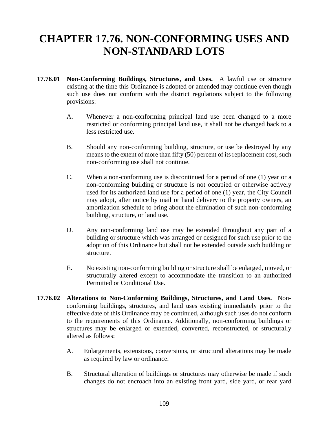### **CHAPTER 17.76. NON-CONFORMING USES AND NON-STANDARD LOTS**

- **17.76.01 Non-Conforming Buildings, Structures, and Uses.** A lawful use or structure existing at the time this Ordinance is adopted or amended may continue even though such use does not conform with the district regulations subject to the following provisions:
	- A. Whenever a non-conforming principal land use been changed to a more restricted or conforming principal land use, it shall not be changed back to a less restricted use.
	- B. Should any non-conforming building, structure, or use be destroyed by any means to the extent of more than fifty (50) percent of its replacement cost, such non-conforming use shall not continue.
	- C. When a non-conforming use is discontinued for a period of one (1) year or a non-conforming building or structure is not occupied or otherwise actively used for its authorized land use for a period of one (1) year, the City Council may adopt, after notice by mail or hand delivery to the property owners, an amortization schedule to bring about the elimination of such non-conforming building, structure, or land use.
	- D. Any non-conforming land use may be extended throughout any part of a building or structure which was arranged or designed for such use prior to the adoption of this Ordinance but shall not be extended outside such building or structure.
	- E. No existing non-conforming building or structure shall be enlarged, moved, or structurally altered except to accommodate the transition to an authorized Permitted or Conditional Use.
- **17.76.02 Alterations to Non-Conforming Buildings, Structures, and Land Uses.** Nonconforming buildings, structures, and land uses existing immediately prior to the effective date of this Ordinance may be continued, although such uses do not conform to the requirements of this Ordinance. Additionally, non-conforming buildings or structures may be enlarged or extended, converted, reconstructed, or structurally altered as follows:
	- A. Enlargements, extensions, conversions, or structural alterations may be made as required by law or ordinance.
	- B. Structural alteration of buildings or structures may otherwise be made if such changes do not encroach into an existing front yard, side yard, or rear yard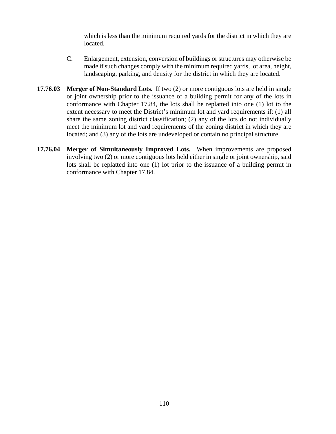which is less than the minimum required yards for the district in which they are located.

- C. Enlargement, extension, conversion of buildings or structures may otherwise be made if such changes comply with the minimum required yards, lot area, height, landscaping, parking, and density for the district in which they are located.
- **17.76.03 Merger of Non-Standard Lots.** If two (2) or more contiguous lots are held in single or joint ownership prior to the issuance of a building permit for any of the lots in conformance with Chapter 17.84, the lots shall be replatted into one (1) lot to the extent necessary to meet the District's minimum lot and yard requirements if: (1) all share the same zoning district classification; (2) any of the lots do not individually meet the minimum lot and yard requirements of the zoning district in which they are located; and (3) any of the lots are undeveloped or contain no principal structure.
- **17.76.04 Merger of Simultaneously Improved Lots.** When improvements are proposed involving two (2) or more contiguous lots held either in single or joint ownership, said lots shall be replatted into one (1) lot prior to the issuance of a building permit in conformance with Chapter 17.84.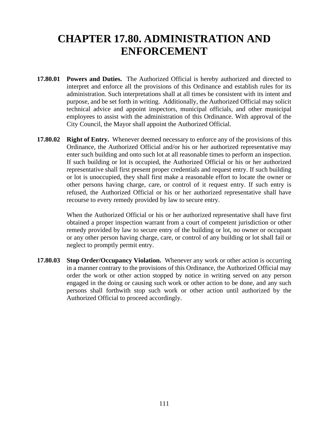### **CHAPTER 17.80. ADMINISTRATION AND ENFORCEMENT**

- **17.80.01 Powers and Duties.** The Authorized Official is hereby authorized and directed to interpret and enforce all the provisions of this Ordinance and establish rules for its administration. Such interpretations shall at all times be consistent with its intent and purpose, and be set forth in writing. Additionally, the Authorized Official may solicit technical advice and appoint inspectors, municipal officials, and other municipal employees to assist with the administration of this Ordinance. With approval of the City Council, the Mayor shall appoint the Authorized Official.
- **17.80.02 Right of Entry.** Whenever deemed necessary to enforce any of the provisions of this Ordinance, the Authorized Official and/or his or her authorized representative may enter such building and onto such lot at all reasonable times to perform an inspection. If such building or lot is occupied, the Authorized Official or his or her authorized representative shall first present proper credentials and request entry. If such building or lot is unoccupied, they shall first make a reasonable effort to locate the owner or other persons having charge, care, or control of it request entry. If such entry is refused, the Authorized Official or his or her authorized representative shall have recourse to every remedy provided by law to secure entry.

When the Authorized Official or his or her authorized representative shall have first obtained a proper inspection warrant from a court of competent jurisdiction or other remedy provided by law to secure entry of the building or lot, no owner or occupant or any other person having charge, care, or control of any building or lot shall fail or neglect to promptly permit entry.

**17.80.03 Stop Order/Occupancy Violation.** Whenever any work or other action is occurring in a manner contrary to the provisions of this Ordinance, the Authorized Official may order the work or other action stopped by notice in writing served on any person engaged in the doing or causing such work or other action to be done, and any such persons shall forthwith stop such work or other action until authorized by the Authorized Official to proceed accordingly.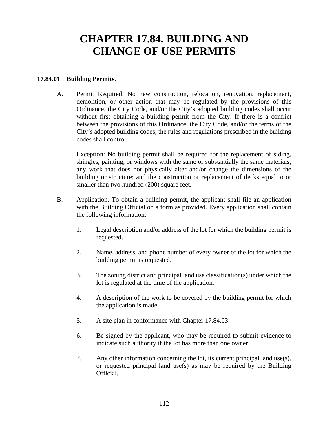### **CHAPTER 17.84. BUILDING AND CHANGE OF USE PERMITS**

#### **17.84.01 Building Permits.**

A. Permit Required. No new construction, relocation, renovation, replacement, demolition, or other action that may be regulated by the provisions of this Ordinance, the City Code, and/or the City's adopted building codes shall occur without first obtaining a building permit from the City. If there is a conflict between the provisions of this Ordinance, the City Code, and/or the terms of the City's adopted building codes, the rules and regulations prescribed in the building codes shall control.

Exception: No building permit shall be required for the replacement of siding, shingles, painting, or windows with the same or substantially the same materials; any work that does not physically alter and/or change the dimensions of the building or structure; and the construction or replacement of decks equal to or smaller than two hundred (200) square feet.

- B. Application. To obtain a building permit, the applicant shall file an application with the Building Official on a form as provided. Every application shall contain the following information:
	- 1. Legal description and/or address of the lot for which the building permit is requested.
	- 2. Name, address, and phone number of every owner of the lot for which the building permit is requested.
	- 3. The zoning district and principal land use classification(s) under which the lot is regulated at the time of the application.
	- 4. A description of the work to be covered by the building permit for which the application is made.
	- 5. A site plan in conformance with Chapter 17.84.03.
	- 6. Be signed by the applicant, who may be required to submit evidence to indicate such authority if the lot has more than one owner.
	- 7. Any other information concerning the lot, its current principal land use(s), or requested principal land use(s) as may be required by the Building Official.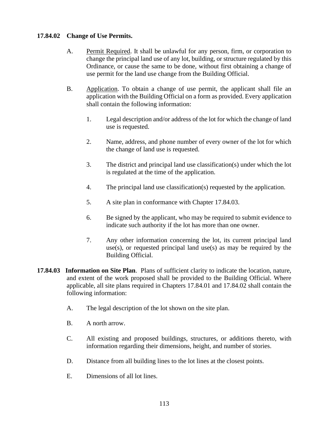### **17.84.02 Change of Use Permits.**

- A. Permit Required. It shall be unlawful for any person, firm, or corporation to change the principal land use of any lot, building, or structure regulated by this Ordinance, or cause the same to be done, without first obtaining a change of use permit for the land use change from the Building Official.
- B. Application. To obtain a change of use permit, the applicant shall file an application with the Building Official on a form as provided. Every application shall contain the following information:
	- 1. Legal description and/or address of the lot for which the change of land use is requested.
	- 2. Name, address, and phone number of every owner of the lot for which the change of land use is requested.
	- 3. The district and principal land use classification(s) under which the lot is regulated at the time of the application.
	- 4. The principal land use classification(s) requested by the application.
	- 5. A site plan in conformance with Chapter 17.84.03.
	- 6. Be signed by the applicant, who may be required to submit evidence to indicate such authority if the lot has more than one owner.
	- 7. Any other information concerning the lot, its current principal land use(s), or requested principal land use(s) as may be required by the Building Official.
- **17.84.03 Information on Site Plan**. Plans of sufficient clarity to indicate the location, nature, and extent of the work proposed shall be provided to the Building Official. Where applicable, all site plans required in Chapters 17.84.01 and 17.84.02 shall contain the following information:
	- A. The legal description of the lot shown on the site plan.
	- B. A north arrow.
	- C. All existing and proposed buildings, structures, or additions thereto, with information regarding their dimensions, height, and number of stories.
	- D. Distance from all building lines to the lot lines at the closest points.
	- E. Dimensions of all lot lines.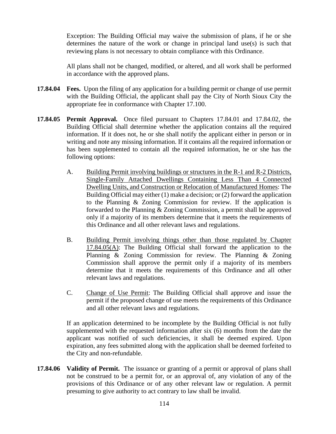Exception: The Building Official may waive the submission of plans, if he or she determines the nature of the work or change in principal land use(s) is such that reviewing plans is not necessary to obtain compliance with this Ordinance.

All plans shall not be changed, modified, or altered, and all work shall be performed in accordance with the approved plans.

- **17.84.04 Fees.** Upon the filing of any application for a building permit or change of use permit with the Building Official, the applicant shall pay the City of North Sioux City the appropriate fee in conformance with Chapter 17.100.
- **17.84.05 Permit Approval.** Once filed pursuant to Chapters 17.84.01 and 17.84.02, the Building Official shall determine whether the application contains all the required information. If it does not, he or she shall notify the applicant either in person or in writing and note any missing information. If it contains all the required information or has been supplemented to contain all the required information, he or she has the following options:
	- A. Building Permit involving buildings or structures in the R-1 and R-2 Districts, Single-Family Attached Dwellings Containing Less Than 4 Connected Dwelling Units, and Construction or Relocation of Manufactured Homes: The Building Official may either (1) make a decision; or (2) forward the application to the Planning & Zoning Commission for review. If the application is forwarded to the Planning & Zoning Commission, a permit shall be approved only if a majority of its members determine that it meets the requirements of this Ordinance and all other relevant laws and regulations.
	- B. Building Permit involving things other than those regulated by Chapter 17.84.05(A): The Building Official shall forward the application to the Planning & Zoning Commission for review. The Planning & Zoning Commission shall approve the permit only if a majority of its members determine that it meets the requirements of this Ordinance and all other relevant laws and regulations.
	- C. Change of Use Permit: The Building Official shall approve and issue the permit if the proposed change of use meets the requirements of this Ordinance and all other relevant laws and regulations.

If an application determined to be incomplete by the Building Official is not fully supplemented with the requested information after six (6) months from the date the applicant was notified of such deficiencies, it shall be deemed expired. Upon expiration, any fees submitted along with the application shall be deemed forfeited to the City and non-refundable.

**17.84.06 Validity of Permit.** The issuance or granting of a permit or approval of plans shall not be construed to be a permit for, or an approval of, any violation of any of the provisions of this Ordinance or of any other relevant law or regulation. A permit presuming to give authority to act contrary to law shall be invalid.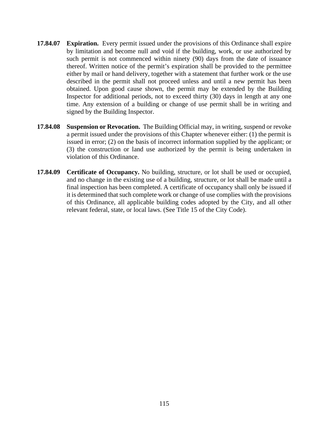- **17.84.07 Expiration.** Every permit issued under the provisions of this Ordinance shall expire by limitation and become null and void if the building, work, or use authorized by such permit is not commenced within ninety (90) days from the date of issuance thereof. Written notice of the permit's expiration shall be provided to the permittee either by mail or hand delivery, together with a statement that further work or the use described in the permit shall not proceed unless and until a new permit has been obtained. Upon good cause shown, the permit may be extended by the Building Inspector for additional periods, not to exceed thirty (30) days in length at any one time. Any extension of a building or change of use permit shall be in writing and signed by the Building Inspector.
- **17.84.08 Suspension or Revocation.** The Building Official may, in writing, suspend or revoke a permit issued under the provisions of this Chapter whenever either: (1) the permit is issued in error; (2) on the basis of incorrect information supplied by the applicant; or (3) the construction or land use authorized by the permit is being undertaken in violation of this Ordinance.
- **17.84.09 Certificate of Occupancy.** No building, structure, or lot shall be used or occupied, and no change in the existing use of a building, structure, or lot shall be made until a final inspection has been completed. A certificate of occupancy shall only be issued if it is determined that such complete work or change of use complies with the provisions of this Ordinance, all applicable building codes adopted by the City, and all other relevant federal, state, or local laws. (See Title 15 of the City Code).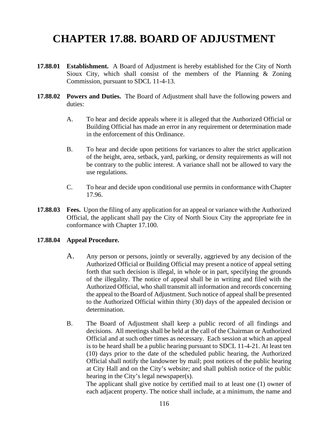# **CHAPTER 17.88. BOARD OF ADJUSTMENT**

- **17.88.01 Establishment.** A Board of Adjustment is hereby established for the City of North Sioux City, which shall consist of the members of the Planning & Zoning Commission, pursuant to SDCL 11-4-13.
- **17.88.02 Powers and Duties.** The Board of Adjustment shall have the following powers and duties:
	- A. To hear and decide appeals where it is alleged that the Authorized Official or Building Official has made an error in any requirement or determination made in the enforcement of this Ordinance.
	- B. To hear and decide upon petitions for variances to alter the strict application of the height, area, setback, yard, parking, or density requirements as will not be contrary to the public interest. A variance shall not be allowed to vary the use regulations.
	- C. To hear and decide upon conditional use permits in conformance with Chapter 17.96.
- **17.88.03 Fees.** Upon the filing of any application for an appeal or variance with the Authorized Official, the applicant shall pay the City of North Sioux City the appropriate fee in conformance with Chapter 17.100.

#### **17.88.04 Appeal Procedure.**

- A. Any person or persons, jointly or severally, aggrieved by any decision of the Authorized Official or Building Official may present a notice of appeal setting forth that such decision is illegal, in whole or in part, specifying the grounds of the illegality. The notice of appeal shall be in writing and filed with the Authorized Official, who shall transmit all information and records concerning the appeal to the Board of Adjustment. Such notice of appeal shall be presented to the Authorized Official within thirty (30) days of the appealed decision or determination.
- B. The Board of Adjustment shall keep a public record of all findings and decisions. All meetings shall be held at the call of the Chairman or Authorized Official and at such other times as necessary. Each session at which an appeal is to be heard shall be a public hearing pursuant to SDCL 11-4-21. At least ten (10) days prior to the date of the scheduled public hearing, the Authorized Official shall notify the landowner by mail; post notices of the public hearing at City Hall and on the City's website; and shall publish notice of the public hearing in the City's legal newspaper(s).

The applicant shall give notice by certified mail to at least one (1) owner of each adjacent property. The notice shall include, at a minimum, the name and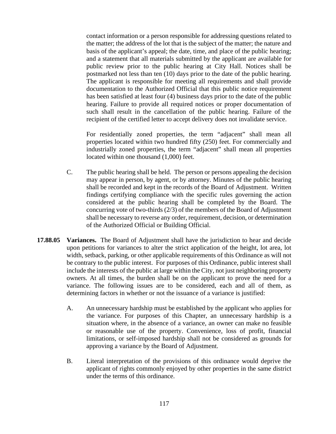contact information or a person responsible for addressing questions related to the matter; the address of the lot that is the subject of the matter; the nature and basis of the applicant's appeal; the date, time, and place of the public hearing; and a statement that all materials submitted by the applicant are available for public review prior to the public hearing at City Hall. Notices shall be postmarked not less than ten (10) days prior to the date of the public hearing. The applicant is responsible for meeting all requirements and shall provide documentation to the Authorized Official that this public notice requirement has been satisfied at least four (4) business days prior to the date of the public hearing. Failure to provide all required notices or proper documentation of such shall result in the cancellation of the public hearing. Failure of the recipient of the certified letter to accept delivery does not invalidate service.

For residentially zoned properties, the term "adjacent" shall mean all properties located within two hundred fifty (250) feet. For commercially and industrially zoned properties, the term "adjacent" shall mean all properties located within one thousand (1,000) feet.

- C. The public hearing shall be held. The person or persons appealing the decision may appear in person, by agent, or by attorney. Minutes of the public hearing shall be recorded and kept in the records of the Board of Adjustment. Written findings certifying compliance with the specific rules governing the action considered at the public hearing shall be completed by the Board. The concurring vote of two-thirds (2/3) of the members of the Board of Adjustment shall be necessary to reverse any order, requirement, decision, or determination of the Authorized Official or Building Official.
- **17.88.05 Variances.** The Board of Adjustment shall have the jurisdiction to hear and decide upon petitions for variances to alter the strict application of the height, lot area, lot width, setback, parking, or other applicable requirements of this Ordinance as will not be contrary to the public interest. For purposes of this Ordinance, public interest shall include the interests of the public at large within the City, not just neighboring property owners. At all times, the burden shall be on the applicant to prove the need for a variance. The following issues are to be considered, each and all of them, as determining factors in whether or not the issuance of a variance is justified:
	- A. An unnecessary hardship must be established by the applicant who applies for the variance. For purposes of this Chapter, an unnecessary hardship is a situation where, in the absence of a variance, an owner can make no feasible or reasonable use of the property. Convenience, loss of profit, financial limitations, or self-imposed hardship shall not be considered as grounds for approving a variance by the Board of Adjustment.
	- B. Literal interpretation of the provisions of this ordinance would deprive the applicant of rights commonly enjoyed by other properties in the same district under the terms of this ordinance.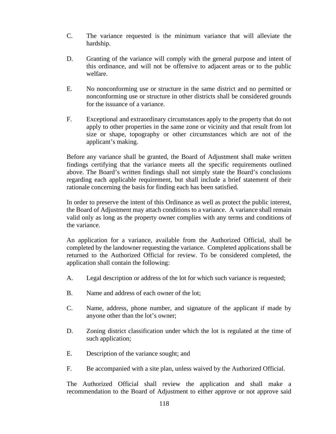- C. The variance requested is the minimum variance that will alleviate the hardship.
- D. Granting of the variance will comply with the general purpose and intent of this ordinance, and will not be offensive to adjacent areas or to the public welfare.
- E. No nonconforming use or structure in the same district and no permitted or nonconforming use or structure in other districts shall be considered grounds for the issuance of a variance.
- F. Exceptional and extraordinary circumstances apply to the property that do not apply to other properties in the same zone or vicinity and that result from lot size or shape, topography or other circumstances which are not of the applicant's making.

Before any variance shall be granted, the Board of Adjustment shall make written findings certifying that the variance meets all the specific requirements outlined above. The Board's written findings shall not simply state the Board's conclusions regarding each applicable requirement, but shall include a brief statement of their rationale concerning the basis for finding each has been satisfied.

In order to preserve the intent of this Ordinance as well as protect the public interest, the Board of Adjustment may attach conditions to a variance. A variance shall remain valid only as long as the property owner complies with any terms and conditions of the variance.

An application for a variance, available from the Authorized Official, shall be completed by the landowner requesting the variance. Completed applications shall be returned to the Authorized Official for review. To be considered completed, the application shall contain the following:

- A. Legal description or address of the lot for which such variance is requested;
- B. Name and address of each owner of the lot;
- C. Name, address, phone number, and signature of the applicant if made by anyone other than the lot's owner;
- D. Zoning district classification under which the lot is regulated at the time of such application;
- E. Description of the variance sought; and
- F. Be accompanied with a site plan, unless waived by the Authorized Official.

The Authorized Official shall review the application and shall make a recommendation to the Board of Adjustment to either approve or not approve said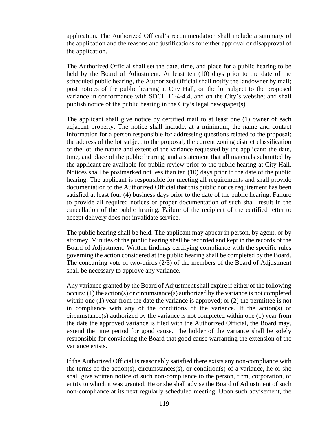application. The Authorized Official's recommendation shall include a summary of the application and the reasons and justifications for either approval or disapproval of the application.

The Authorized Official shall set the date, time, and place for a public hearing to be held by the Board of Adjustment. At least ten (10) days prior to the date of the scheduled public hearing, the Authorized Official shall notify the landowner by mail; post notices of the public hearing at City Hall, on the lot subject to the proposed variance in conformance with SDCL 11-4-4.4, and on the City's website; and shall publish notice of the public hearing in the City's legal newspaper(s).

The applicant shall give notice by certified mail to at least one (1) owner of each adjacent property. The notice shall include, at a minimum, the name and contact information for a person responsible for addressing questions related to the proposal; the address of the lot subject to the proposal; the current zoning district classification of the lot; the nature and extent of the variance requested by the applicant; the date, time, and place of the public hearing; and a statement that all materials submitted by the applicant are available for public review prior to the public hearing at City Hall. Notices shall be postmarked not less than ten (10) days prior to the date of the public hearing. The applicant is responsible for meeting all requirements and shall provide documentation to the Authorized Official that this public notice requirement has been satisfied at least four (4) business days prior to the date of the public hearing. Failure to provide all required notices or proper documentation of such shall result in the cancellation of the public hearing. Failure of the recipient of the certified letter to accept delivery does not invalidate service.

The public hearing shall be held. The applicant may appear in person, by agent, or by attorney. Minutes of the public hearing shall be recorded and kept in the records of the Board of Adjustment. Written findings certifying compliance with the specific rules governing the action considered at the public hearing shall be completed by the Board. The concurring vote of two-thirds (2/3) of the members of the Board of Adjustment shall be necessary to approve any variance.

Any variance granted by the Board of Adjustment shall expire if either of the following occurs: (1) the action(s) or circumstance(s) authorized by the variance is not completed within one (1) year from the date the variance is approved; or (2) the permittee is not in compliance with any of the conditions of the variance. If the action(s) or  $circ$  circumstance(s) authorized by the variance is not completed within one (1) year from the date the approved variance is filed with the Authorized Official, the Board may, extend the time period for good cause. The holder of the variance shall be solely responsible for convincing the Board that good cause warranting the extension of the variance exists.

If the Authorized Official is reasonably satisfied there exists any non-compliance with the terms of the action(s), circumstances(s), or condition(s) of a variance, he or she shall give written notice of such non-compliance to the person, firm, corporation, or entity to which it was granted. He or she shall advise the Board of Adjustment of such non-compliance at its next regularly scheduled meeting. Upon such advisement, the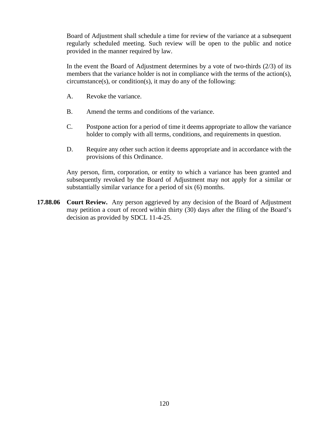Board of Adjustment shall schedule a time for review of the variance at a subsequent regularly scheduled meeting. Such review will be open to the public and notice provided in the manner required by law.

In the event the Board of Adjustment determines by a vote of two-thirds (2/3) of its members that the variance holder is not in compliance with the terms of the action(s), circumstance(s), or condition(s), it may do any of the following:

- A. Revoke the variance.
- B. Amend the terms and conditions of the variance.
- C. Postpone action for a period of time it deems appropriate to allow the variance holder to comply with all terms, conditions, and requirements in question.
- D. Require any other such action it deems appropriate and in accordance with the provisions of this Ordinance.

Any person, firm, corporation, or entity to which a variance has been granted and subsequently revoked by the Board of Adjustment may not apply for a similar or substantially similar variance for a period of six (6) months.

**17.88.06 Court Review.** Any person aggrieved by any decision of the Board of Adjustment may petition a court of record within thirty (30) days after the filing of the Board's decision as provided by SDCL 11-4-25.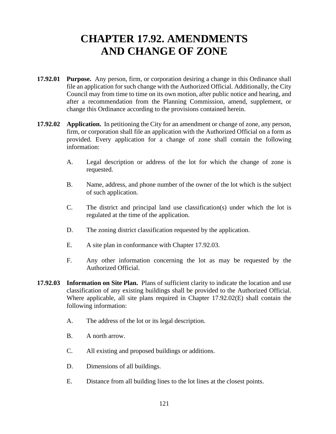### **CHAPTER 17.92. AMENDMENTS AND CHANGE OF ZONE**

- **17.92.01 Purpose.** Any person, firm, or corporation desiring a change in this Ordinance shall file an application for such change with the Authorized Official. Additionally, the City Council may from time to time on its own motion, after public notice and hearing, and after a recommendation from the Planning Commission, amend, supplement, or change this Ordinance according to the provisions contained herein.
- **17.92.02 Application.** In petitioning the City for an amendment or change of zone, any person, firm, or corporation shall file an application with the Authorized Official on a form as provided. Every application for a change of zone shall contain the following information:
	- A. Legal description or address of the lot for which the change of zone is requested.
	- B. Name, address, and phone number of the owner of the lot which is the subject of such application.
	- C. The district and principal land use classification(s) under which the lot is regulated at the time of the application.
	- D. The zoning district classification requested by the application.
	- E. A site plan in conformance with Chapter 17.92.03.
	- F. Any other information concerning the lot as may be requested by the Authorized Official.
- **17.92.03 Information on Site Plan.** Plans of sufficient clarity to indicate the location and use classification of any existing buildings shall be provided to the Authorized Official. Where applicable, all site plans required in Chapter 17.92.02(E) shall contain the following information:
	- A. The address of the lot or its legal description.
	- B. A north arrow.
	- C. All existing and proposed buildings or additions.
	- D. Dimensions of all buildings.
	- E. Distance from all building lines to the lot lines at the closest points.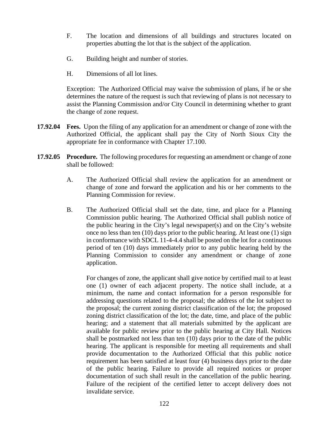- F. The location and dimensions of all buildings and structures located on properties abutting the lot that is the subject of the application.
- G. Building height and number of stories.
- H. Dimensions of all lot lines.

Exception: The Authorized Official may waive the submission of plans, if he or she determines the nature of the request is such that reviewing of plans is not necessary to assist the Planning Commission and/or City Council in determining whether to grant the change of zone request.

- **17.92.04 Fees.** Upon the filing of any application for an amendment or change of zone with the Authorized Official, the applicant shall pay the City of North Sioux City the appropriate fee in conformance with Chapter 17.100.
- **17.92.05 Procedure.** The following procedures for requesting an amendment or change of zone shall be followed:
	- A. The Authorized Official shall review the application for an amendment or change of zone and forward the application and his or her comments to the Planning Commission for review.
	- B. The Authorized Official shall set the date, time, and place for a Planning Commission public hearing. The Authorized Official shall publish notice of the public hearing in the City's legal newspaper(s) and on the City's website once no less than ten (10) days prior to the public hearing. At least one (1) sign in conformance with SDCL 11-4-4.4 shall be posted on the lot for a continuous period of ten (10) days immediately prior to any public hearing held by the Planning Commission to consider any amendment or change of zone application.

For changes of zone, the applicant shall give notice by certified mail to at least one (1) owner of each adjacent property. The notice shall include, at a minimum, the name and contact information for a person responsible for addressing questions related to the proposal; the address of the lot subject to the proposal; the current zoning district classification of the lot; the proposed zoning district classification of the lot; the date, time, and place of the public hearing; and a statement that all materials submitted by the applicant are available for public review prior to the public hearing at City Hall. Notices shall be postmarked not less than ten (10) days prior to the date of the public hearing. The applicant is responsible for meeting all requirements and shall provide documentation to the Authorized Official that this public notice requirement has been satisfied at least four (4) business days prior to the date of the public hearing. Failure to provide all required notices or proper documentation of such shall result in the cancellation of the public hearing. Failure of the recipient of the certified letter to accept delivery does not invalidate service.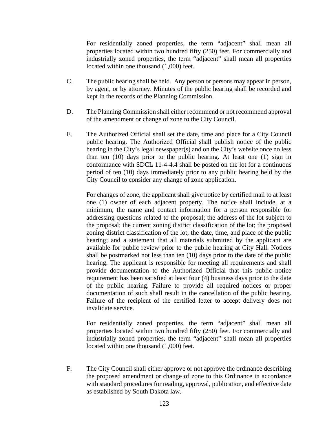For residentially zoned properties, the term "adjacent" shall mean all properties located within two hundred fifty (250) feet. For commercially and industrially zoned properties, the term "adjacent" shall mean all properties located within one thousand (1,000) feet.

- C. The public hearing shall be held. Any person or persons may appear in person, by agent, or by attorney. Minutes of the public hearing shall be recorded and kept in the records of the Planning Commission.
- D. The Planning Commission shall either recommend or not recommend approval of the amendment or change of zone to the City Council.
- E. The Authorized Official shall set the date, time and place for a City Council public hearing. The Authorized Official shall publish notice of the public hearing in the City's legal newspaper(s) and on the City's website once no less than ten (10) days prior to the public hearing. At least one (1) sign in conformance with SDCL 11-4-4.4 shall be posted on the lot for a continuous period of ten (10) days immediately prior to any public hearing held by the City Council to consider any change of zone application.

For changes of zone, the applicant shall give notice by certified mail to at least one (1) owner of each adjacent property. The notice shall include, at a minimum, the name and contact information for a person responsible for addressing questions related to the proposal; the address of the lot subject to the proposal; the current zoning district classification of the lot; the proposed zoning district classification of the lot; the date, time, and place of the public hearing; and a statement that all materials submitted by the applicant are available for public review prior to the public hearing at City Hall. Notices shall be postmarked not less than ten (10) days prior to the date of the public hearing. The applicant is responsible for meeting all requirements and shall provide documentation to the Authorized Official that this public notice requirement has been satisfied at least four (4) business days prior to the date of the public hearing. Failure to provide all required notices or proper documentation of such shall result in the cancellation of the public hearing. Failure of the recipient of the certified letter to accept delivery does not invalidate service.

For residentially zoned properties, the term "adjacent" shall mean all properties located within two hundred fifty (250) feet. For commercially and industrially zoned properties, the term "adjacent" shall mean all properties located within one thousand (1,000) feet.

F. The City Council shall either approve or not approve the ordinance describing the proposed amendment or change of zone to this Ordinance in accordance with standard procedures for reading, approval, publication, and effective date as established by South Dakota law.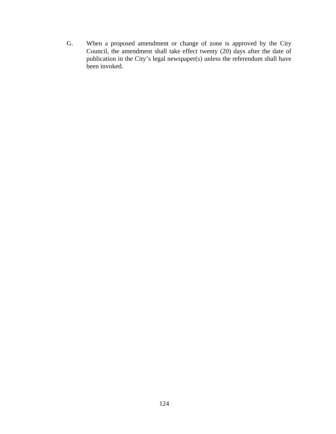G. When a proposed amendment or change of zone is approved by the City Council, the amendment shall take effect twenty (20) days after the date of publication in the City's legal newspaper(s) unless the referendum shall have been invoked.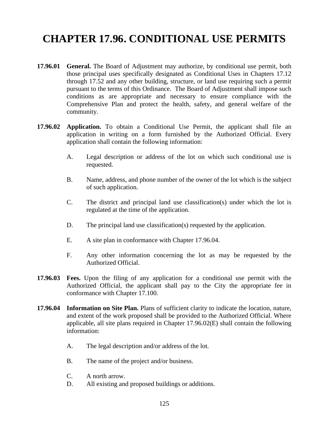# **CHAPTER 17.96. CONDITIONAL USE PERMITS**

- **17.96.01 General.** The Board of Adjustment may authorize, by conditional use permit, both those principal uses specifically designated as Conditional Uses in Chapters 17.12 through 17.52 and any other building, structure, or land use requiring such a permit pursuant to the terms of this Ordinance. The Board of Adjustment shall impose such conditions as are appropriate and necessary to ensure compliance with the Comprehensive Plan and protect the health, safety, and general welfare of the community.
- **17.96.02 Application.** To obtain a Conditional Use Permit, the applicant shall file an application in writing on a form furnished by the Authorized Official. Every application shall contain the following information:
	- A. Legal description or address of the lot on which such conditional use is requested.
	- B. Name, address, and phone number of the owner of the lot which is the subject of such application.
	- C. The district and principal land use classification(s) under which the lot is regulated at the time of the application.
	- D. The principal land use classification(s) requested by the application.
	- E. A site plan in conformance with Chapter 17.96.04.
	- F. Any other information concerning the lot as may be requested by the Authorized Official.
- **17.96.03 Fees.** Upon the filing of any application for a conditional use permit with the Authorized Official, the applicant shall pay to the City the appropriate fee in conformance with Chapter 17.100.
- **17.96.04 Information on Site Plan.** Plans of sufficient clarity to indicate the location, nature, and extent of the work proposed shall be provided to the Authorized Official. Where applicable, all site plans required in Chapter 17.96.02(E) shall contain the following information:
	- A. The legal description and/or address of the lot.
	- B. The name of the project and/or business.
	- C. A north arrow.
	- D. All existing and proposed buildings or additions.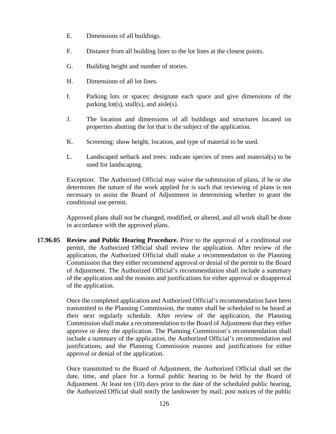- E. Dimensions of all buildings.
- F. Distance from all building lines to the lot lines at the closest points.
- G. Building height and number of stories.
- H. Dimensions of all lot lines.
- I. Parking lots or spaces: designate each space and give dimensions of the parking  $lot(s)$ , stall(s), and aisle(s).
- J. The location and dimensions of all buildings and structures located on properties abutting the lot that is the subject of the application.
- K. Screening: show height, location, and type of material to be used.
- L. Landscaped setback and trees: indicate species of trees and material(s) to be used for landscaping.

Exception: The Authorized Official may waive the submission of plans, if he or she determines the nature of the work applied for is such that reviewing of plans is not necessary to assist the Board of Adjustment in determining whether to grant the conditional use permit.

Approved plans shall not be changed, modified, or altered, and all work shall be done in accordance with the approved plans.

**17.96.05 Review and Public Hearing Procedure.** Prior to the approval of a conditional use permit, the Authorized Official shall review the application. After review of the application, the Authorized Official shall make a recommendation to the Planning Commission that they either recommend approval or denial of the permit to the Board of Adjustment. The Authorized Official's recommendation shall include a summary of the application and the reasons and justifications for either approval or disapproval of the application.

> Once the completed application and Authorized Official's recommendation have been transmitted to the Planning Commission, the matter shall be scheduled to be heard at their next regularly schedule. After review of the application, the Planning Commission shall make a recommendation to the Board of Adjustment that they either approve or deny the application. The Planning Commission's recommendation shall include a summary of the application, the Authorized Official's recommendation and justifications, and the Planning Commission reasons and justifications for either approval or denial of the application.

> Once transmitted to the Board of Adjustment, the Authorized Official shall set the date, time, and place for a formal public hearing to be held by the Board of Adjustment. At least ten (10) days prior to the date of the scheduled public hearing, the Authorized Official shall notify the landowner by mail; post notices of the public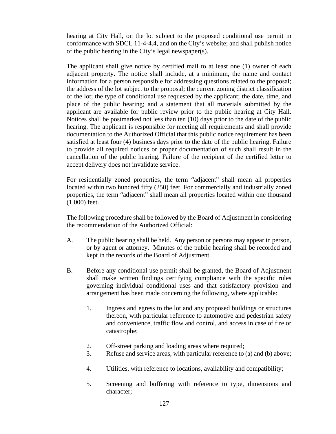hearing at City Hall, on the lot subject to the proposed conditional use permit in conformance with SDCL 11-4-4.4, and on the City's website; and shall publish notice of the public hearing in the City's legal newspaper(s).

The applicant shall give notice by certified mail to at least one (1) owner of each adjacent property. The notice shall include, at a minimum, the name and contact information for a person responsible for addressing questions related to the proposal; the address of the lot subject to the proposal; the current zoning district classification of the lot; the type of conditional use requested by the applicant; the date, time, and place of the public hearing; and a statement that all materials submitted by the applicant are available for public review prior to the public hearing at City Hall. Notices shall be postmarked not less than ten (10) days prior to the date of the public hearing. The applicant is responsible for meeting all requirements and shall provide documentation to the Authorized Official that this public notice requirement has been satisfied at least four (4) business days prior to the date of the public hearing. Failure to provide all required notices or proper documentation of such shall result in the cancellation of the public hearing. Failure of the recipient of the certified letter to accept delivery does not invalidate service.

For residentially zoned properties, the term "adjacent" shall mean all properties located within two hundred fifty (250) feet. For commercially and industrially zoned properties, the term "adjacent" shall mean all properties located within one thousand (1,000) feet.

The following procedure shall be followed by the Board of Adjustment in considering the recommendation of the Authorized Official:

- A. The public hearing shall be held. Any person or persons may appear in person, or by agent or attorney. Minutes of the public hearing shall be recorded and kept in the records of the Board of Adjustment.
- B. Before any conditional use permit shall be granted, the Board of Adjustment shall make written findings certifying compliance with the specific rules governing individual conditional uses and that satisfactory provision and arrangement has been made concerning the following, where applicable:
	- 1. Ingress and egress to the lot and any proposed buildings or structures thereon, with particular reference to automotive and pedestrian safety and convenience, traffic flow and control, and access in case of fire or catastrophe;
	- 2. Off-street parking and loading areas where required;
	- 3. Refuse and service areas, with particular reference to (a) and (b) above;
	- 4. Utilities, with reference to locations, availability and compatibility;
	- 5. Screening and buffering with reference to type, dimensions and character;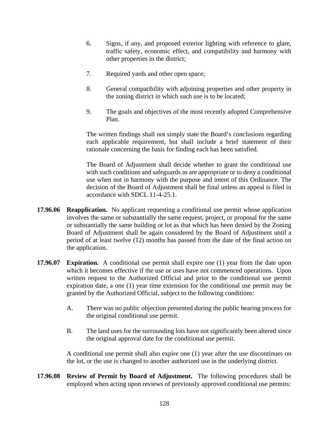- 6. Signs, if any, and proposed exterior lighting with reference to glare, traffic safety, economic effect, and compatibility and harmony with other properties in the district;
- 7. Required yards and other open space;
- 8. General compatibility with adjoining properties and other property in the zoning district in which such use is to be located;
- 9. The goals and objectives of the most recently adopted Comprehensive Plan.

The written findings shall not simply state the Board's conclusions regarding each applicable requirement, but shall include a brief statement of their rationale concerning the basis for finding each has been satisfied.

The Board of Adjustment shall decide whether to grant the conditional use with such conditions and safeguards as are appropriate or to deny a conditional use when not in harmony with the purpose and intent of this Ordinance. The decision of the Board of Adjustment shall be final unless an appeal is filed in accordance with SDCL 11-4-25.1.

- **17.96.06 Reapplication.** No applicant requesting a conditional use permit whose application involves the same or substantially the same request, project, or proposal for the same or substantially the same building or lot as that which has been denied by the Zoning Board of Adjustment shall be again considered by the Board of Adjustment until a period of at least twelve (12) months has passed from the date of the final action on the application.
- **17.96.07 Expiration.** A conditional use permit shall expire one (1) year from the date upon which it becomes effective if the use or uses have not commenced operations. Upon written request to the Authorized Official and prior to the conditional use permit expiration date, a one (1) year time extension for the conditional use permit may be granted by the Authorized Official, subject to the following conditions:
	- A. There was no public objection presented during the public hearing process for the original conditional use permit.
	- B. The land uses for the surrounding lots have not significantly been altered since the original approval date for the conditional use permit.

A conditional use permit shall also expire one (1) year after the use discontinues on the lot, or the use is changed to another authorized use in the underlying district.

**17.96.08 Review of Permit by Board of Adjustment.** The following procedures shall be employed when acting upon reviews of previously approved conditional use permits: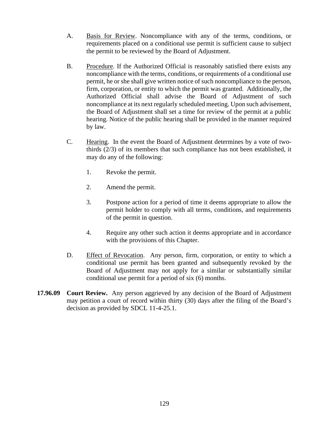- A. Basis for Review. Noncompliance with any of the terms, conditions, or requirements placed on a conditional use permit is sufficient cause to subject the permit to be reviewed by the Board of Adjustment.
- B. Procedure. If the Authorized Official is reasonably satisfied there exists any noncompliance with the terms, conditions, or requirements of a conditional use permit, he or she shall give written notice of such noncompliance to the person, firm, corporation, or entity to which the permit was granted. Additionally, the Authorized Official shall advise the Board of Adjustment of such noncompliance at its next regularly scheduled meeting. Upon such advisement, the Board of Adjustment shall set a time for review of the permit at a public hearing. Notice of the public hearing shall be provided in the manner required by law.
- C. Hearing. In the event the Board of Adjustment determines by a vote of twothirds (2/3) of its members that such compliance has not been established, it may do any of the following:
	- 1. Revoke the permit.
	- 2. Amend the permit.
	- 3. Postpone action for a period of time it deems appropriate to allow the permit holder to comply with all terms, conditions, and requirements of the permit in question.
	- 4. Require any other such action it deems appropriate and in accordance with the provisions of this Chapter.
- D. Effect of Revocation. Any person, firm, corporation, or entity to which a conditional use permit has been granted and subsequently revoked by the Board of Adjustment may not apply for a similar or substantially similar conditional use permit for a period of six (6) months.
- **17.96.09 Court Review.** Any person aggrieved by any decision of the Board of Adjustment may petition a court of record within thirty (30) days after the filing of the Board's decision as provided by SDCL 11-4-25.1.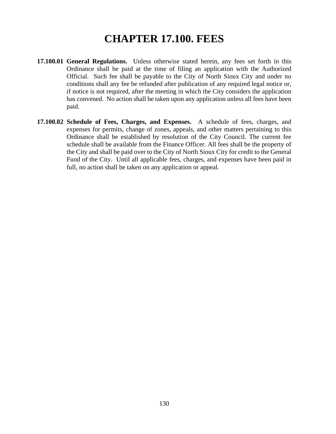### **CHAPTER 17.100. FEES**

- **17.100.01 General Regulations.** Unless otherwise stated herein, any fees set forth in this Ordinance shall be paid at the time of filing an application with the Authorized Official. Such fee shall be payable to the City of North Sioux City and under no conditions shall any fee be refunded after publication of any required legal notice or, if notice is not required, after the meeting in which the City considers the application has convened. No action shall be taken upon any application unless all fees have been paid.
- **17.100.02 Schedule of Fees, Charges, and Expenses.** A schedule of fees, charges, and expenses for permits, change of zones, appeals, and other matters pertaining to this Ordinance shall be established by resolution of the City Council. The current fee schedule shall be available from the Finance Officer. All fees shall be the property of the City and shall be paid over to the City of North Sioux City for credit to the General Fund of the City. Until all applicable fees, charges, and expenses have been paid in full, no action shall be taken on any application or appeal.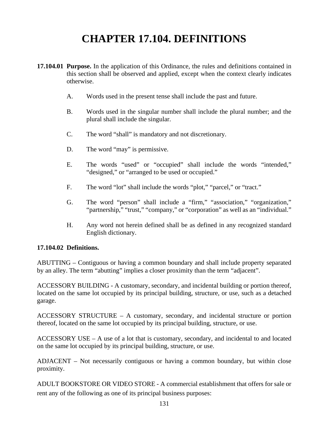# **CHAPTER 17.104. DEFINITIONS**

- **17.104.01 Purpose.** In the application of this Ordinance, the rules and definitions contained in this section shall be observed and applied, except when the context clearly indicates otherwise.
	- A. Words used in the present tense shall include the past and future.
	- B. Words used in the singular number shall include the plural number; and the plural shall include the singular.
	- C. The word "shall" is mandatory and not discretionary.
	- D. The word "may" is permissive.
	- E. The words "used" or "occupied" shall include the words "intended," "designed," or "arranged to be used or occupied."
	- F. The word "lot" shall include the words "plot," "parcel," or "tract."
	- G. The word "person" shall include a "firm," "association," "organization," "partnership," "trust," "company," or "corporation" as well as an "individual."
	- H. Any word not herein defined shall be as defined in any recognized standard English dictionary.

#### **17.104.02 Definitions.**

ABUTTING – Contiguous or having a common boundary and shall include property separated by an alley. The term "abutting" implies a closer proximity than the term "adjacent".

ACCESSORY BUILDING - A customary, secondary, and incidental building or portion thereof, located on the same lot occupied by its principal building, structure, or use, such as a detached garage.

ACCESSORY STRUCTURE – A customary, secondary, and incidental structure or portion thereof, located on the same lot occupied by its principal building, structure, or use.

ACCESSORY USE – A use of a lot that is customary, secondary, and incidental to and located on the same lot occupied by its principal building, structure, or use.

ADJACENT – Not necessarily contiguous or having a common boundary, but within close proximity.

ADULT BOOKSTORE OR VIDEO STORE - A commercial establishment that offers for sale or rent any of the following as one of its principal business purposes: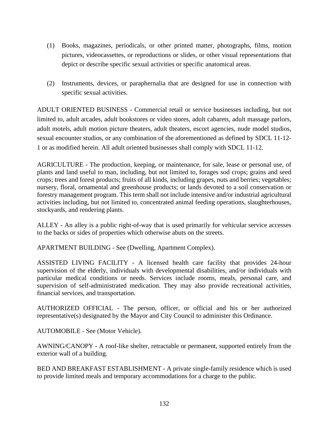- (1) Books, magazines, periodicals, or other printed matter, photographs, films, motion pictures, videocassettes, or reproductions or slides, or other visual representations that depict or describe specific sexual activities or specific anatomical areas.
- (2) Instruments, devices, or paraphernalia that are designed for use in connection with specific sexual activities.

ADULT ORIENTED BUSINESS - Commercial retail or service businesses including, but not limited to, adult arcades, adult bookstores or video stores, adult cabarets, adult massage parlors, adult motels, adult motion picture theaters, adult theaters, escort agencies, nude model studios, sexual encounter studios, or any combination of the aforementioned as defined by SDCL 11-12- 1 or as modified herein. All adult oriented businesses shall comply with SDCL 11-12.

AGRICULTURE - The production, keeping, or maintenance, for sale, lease or personal use, of plants and land useful to man, including, but not limited to, forages sod crops; grains and seed crops; trees and forest products; fruits of all kinds, including grapes, nuts and berries; vegetables; nursery, floral, ornamental and greenhouse products; or lands devoted to a soil conservation or forestry management program. This term shall not include intensive and/or industrial agricultural activities including, but not limited to, concentrated animal feeding operations, slaughterhouses, stockyards, and rendering plants.

ALLEY - An alley is a public right-of-way that is used primarily for vehicular service accesses to the backs or sides of properties which otherwise abuts on the streets.

APARTMENT BUILDING - See (Dwelling, Apartment Complex).

ASSISTED LIVING FACILITY - A licensed health care facility that provides 24-hour supervision of the elderly, individuals with developmental disabilities, and/or individuals with particular medical conditions or needs. Services include rooms, meals, personal care, and supervision of self-administrated medication. They may also provide recreational activities, financial services, and transportation.

AUTHORIZED OFFICIAL - The person, officer, or official and his or her authorized representative(s) designated by the Mayor and City Council to administer this Ordinance.

AUTOMOBILE - See (Motor Vehicle).

AWNING/CANOPY - A roof-like shelter, retractable or permanent, supported entirely from the exterior wall of a building.

BED AND BREAKFAST ESTABLISHMENT - A private single-family residence which is used to provide limited meals and temporary accommodations for a charge to the public.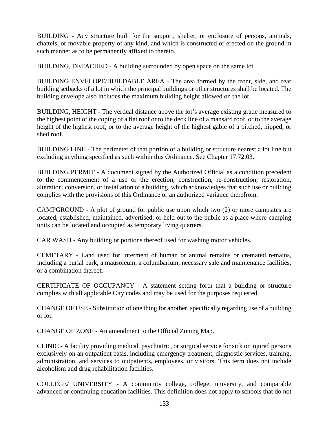BUILDING - Any structure built for the support, shelter, or enclosure of persons, animals, chattels, or movable property of any kind, and which is constructed or erected on the ground in such manner as to be permanently affixed to thereto.

BUILDING, DETACHED - A building surrounded by open space on the same lot.

BUILDING ENVELOPE/BUILDABLE AREA - The area formed by the front, side, and rear building setbacks of a lot in which the principal buildings or other structures shall be located. The building envelope also includes the maximum building height allowed on the lot.

BUILDING, HEIGHT - The vertical distance above the lot's average existing grade measured to the highest point of the coping of a flat roof or to the deck line of a mansard roof, or to the average height of the highest roof, or to the average height of the highest gable of a pitched, hipped, or shed roof.

BUILDING LINE - The perimeter of that portion of a building or structure nearest a lot line but excluding anything specified as such within this Ordinance. See Chapter 17.72.03.

BUILDING PERMIT - A document signed by the Authorized Official as a condition precedent to the commencement of a use or the erection, construction, re-construction, restoration, alteration, conversion, or installation of a building, which acknowledges that such use or building complies with the provisions of this Ordinance or an authorized variance therefrom.

CAMPGROUND - A plot of ground for public use upon which two (2) or more campsites are located, established, maintained, advertised, or held out to the public as a place where camping units can be located and occupied as temporary living quarters.

CAR WASH - Any building or portions thereof used for washing motor vehicles.

CEMETARY - Land used for interment of human or animal remains or cremated remains, including a burial park, a mausoleum, a columbarium, necessary sale and maintenance facilities, or a combination thereof.

CERTIFICATE OF OCCUPANCY - A statement setting forth that a building or structure complies with all applicable City codes and may be used for the purposes requested.

CHANGE OF USE - Substitution of one thing for another, specifically regarding use of a building or lot.

CHANGE OF ZONE - An amendment to the Official Zoning Map.

CLINIC - A facility providing medical, psychiatric, or surgical service for sick or injured persons exclusively on an outpatient basis, including emergency treatment, diagnostic services, training, administration, and services to outpatients, employees, or visitors. This term does not include alcoholism and drug rehabilitation facilities.

COLLEGE/ UNIVERSITY - A community college, college, university, and comparable advanced or continuing education facilities. This definition does not apply to schools that do not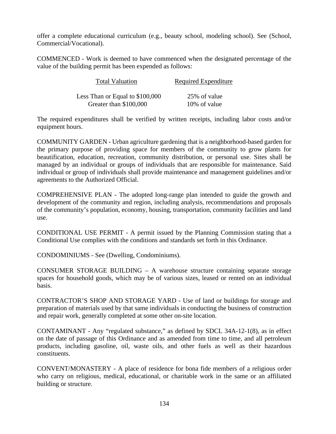offer a complete educational curriculum (e.g., beauty school, modeling school). See (School, Commercial/Vocational).

COMMENCED - Work is deemed to have commenced when the designated percentage of the value of the building permit has been expended as follows:

| <b>Total Valuation</b>           | Required Expenditure |
|----------------------------------|----------------------|
| Less Than or Equal to $$100,000$ | 25% of value         |
| Greater than \$100,000           | 10% of value         |

The required expenditures shall be verified by written receipts, including labor costs and/or equipment hours.

COMMUNITY GARDEN - Urban agriculture gardening that is a neighborhood-based garden for the primary purpose of providing space for members of the community to grow plants for beautification, education, recreation, community distribution, or personal use. Sites shall be managed by an individual or groups of individuals that are responsible for maintenance. Said individual or group of individuals shall provide maintenance and management guidelines and/or agreements to the Authorized Official.

COMPREHENSIVE PLAN - The adopted long-range plan intended to guide the growth and development of the community and region, including analysis, recommendations and proposals of the community's population, economy, housing, transportation, community facilities and land use.

CONDITIONAL USE PERMIT - A permit issued by the Planning Commission stating that a Conditional Use complies with the conditions and standards set forth in this Ordinance.

CONDOMINIUMS - See (Dwelling, Condominiums).

CONSUMER STORAGE BUILDING – A warehouse structure containing separate storage spaces for household goods, which may be of various sizes, leased or rented on an individual basis.

CONTRACTOR'S SHOP AND STORAGE YARD - Use of land or buildings for storage and preparation of materials used by that same individuals in conducting the business of construction and repair work, generally completed at some other on-site location.

CONTAMINANT - Any "regulated substance," as defined by SDCL 34A-12-1(8), as in effect on the date of passage of this Ordinance and as amended from time to time, and all petroleum products, including gasoline, oil, waste oils, and other fuels as well as their hazardous constituents.

CONVENT/MONASTERY - A place of residence for bona fide members of a religious order who carry on religious, medical, educational, or charitable work in the same or an affiliated building or structure.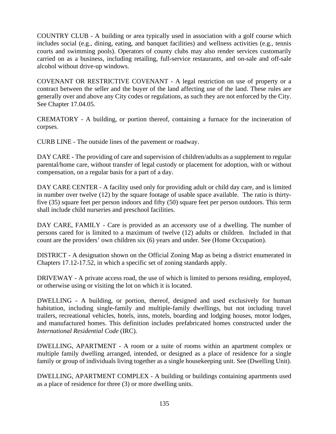COUNTRY CLUB - A building or area typically used in association with a golf course which includes social (e.g., dining, eating, and banquet facilities) and wellness activities (e.g., tennis courts and swimming pools). Operators of county clubs may also render services customarily carried on as a business, including retailing, full-service restaurants, and on-sale and off-sale alcohol without drive-up windows.

COVENANT OR RESTRICTIVE COVENANT - A legal restriction on use of property or a contract between the seller and the buyer of the land affecting use of the land. These rules are generally over and above any City codes or regulations, as such they are not enforced by the City. See Chapter 17.04.05.

CREMATORY - A building, or portion thereof, containing a furnace for the incineration of corpses.

CURB LINE - The outside lines of the pavement or roadway.

DAY CARE - The providing of care and supervision of children/adults as a supplement to regular parental/home care, without transfer of legal custody or placement for adoption, with or without compensation, on a regular basis for a part of a day.

DAY CARE CENTER - A facility used only for providing adult or child day care, and is limited in number over twelve (12) by the square footage of usable space available. The ratio is thirtyfive (35) square feet per person indoors and fifty (50) square feet per person outdoors. This term shall include child nurseries and preschool facilities.

DAY CARE, FAMILY - Care is provided as an accessory use of a dwelling. The number of persons cared for is limited to a maximum of twelve (12) adults or children. Included in that count are the providers' own children six (6) years and under. See (Home Occupation).

DISTRICT - A designation shown on the Official Zoning Map as being a district enumerated in Chapters 17.12-17.52, in which a specific set of zoning standards apply.

DRIVEWAY - A private access road, the use of which is limited to persons residing, employed, or otherwise using or visiting the lot on which it is located.

DWELLING - A building, or portion, thereof, designed and used exclusively for human habitation, including single-family and multiple-family dwellings, but not including travel trailers, recreational vehicles, hotels, inns, motels, boarding and lodging houses, motor lodges, and manufactured homes. This definition includes prefabricated homes constructed under the *International Residential Code* (IRC).

DWELLING, APARTMENT - A room or a suite of rooms within an apartment complex or multiple family dwelling arranged, intended, or designed as a place of residence for a single family or group of individuals living together as a single housekeeping unit. See (Dwelling Unit).

DWELLING, APARTMENT COMPLEX - A building or buildings containing apartments used as a place of residence for three (3) or more dwelling units.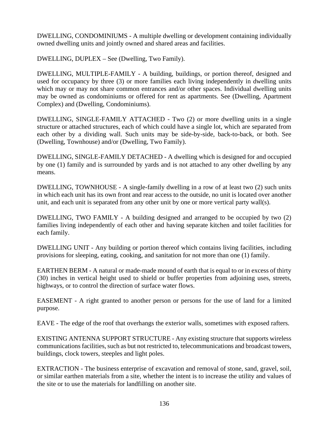DWELLING, CONDOMINIUMS - A multiple dwelling or development containing individually owned dwelling units and jointly owned and shared areas and facilities.

DWELLING, DUPLEX – See (Dwelling, Two Family).

DWELLING, MULTIPLE-FAMILY - A building, buildings, or portion thereof, designed and used for occupancy by three (3) or more families each living independently in dwelling units which may or may not share common entrances and/or other spaces. Individual dwelling units may be owned as condominiums or offered for rent as apartments. See (Dwelling, Apartment Complex) and (Dwelling, Condominiums).

DWELLING, SINGLE-FAMILY ATTACHED - Two (2) or more dwelling units in a single structure or attached structures, each of which could have a single lot, which are separated from each other by a dividing wall. Such units may be side-by-side, back-to-back, or both. See (Dwelling, Townhouse) and/or (Dwelling, Two Family).

DWELLING, SINGLE-FAMILY DETACHED - A dwelling which is designed for and occupied by one (1) family and is surrounded by yards and is not attached to any other dwelling by any means.

DWELLING, TOWNHOUSE - A single-family dwelling in a row of at least two (2) such units in which each unit has its own front and rear access to the outside, no unit is located over another unit, and each unit is separated from any other unit by one or more vertical party wall(s).

DWELLING, TWO FAMILY - A building designed and arranged to be occupied by two (2) families living independently of each other and having separate kitchen and toilet facilities for each family.

DWELLING UNIT - Any building or portion thereof which contains living facilities, including provisions for sleeping, eating, cooking, and sanitation for not more than one (1) family.

EARTHEN BERM - A natural or made-made mound of earth that is equal to or in excess of thirty (30) inches in vertical height used to shield or buffer properties from adjoining uses, streets, highways, or to control the direction of surface water flows.

EASEMENT - A right granted to another person or persons for the use of land for a limited purpose.

EAVE - The edge of the roof that overhangs the exterior walls, sometimes with exposed rafters.

EXISTING ANTENNA SUPPORT STRUCTURE - Any existing structure that supports wireless communications facilities, such as but not restricted to, telecommunications and broadcast towers, buildings, clock towers, steeples and light poles.

EXTRACTION - The business enterprise of excavation and removal of stone, sand, gravel, soil, or similar earthen materials from a site, whether the intent is to increase the utility and values of the site or to use the materials for landfilling on another site.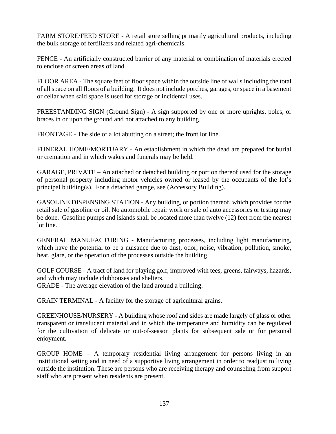FARM STORE/FEED STORE - A retail store selling primarily agricultural products, including the bulk storage of fertilizers and related agri-chemicals.

FENCE - An artificially constructed barrier of any material or combination of materials erected to enclose or screen areas of land.

FLOOR AREA - The square feet of floor space within the outside line of walls including the total of all space on all floors of a building. It does not include porches, garages, or space in a basement or cellar when said space is used for storage or incidental uses.

FREESTANDING SIGN (Ground Sign) - A sign supported by one or more uprights, poles, or braces in or upon the ground and not attached to any building.

FRONTAGE - The side of a lot abutting on a street; the front lot line.

FUNERAL HOME/MORTUARY - An establishment in which the dead are prepared for burial or cremation and in which wakes and funerals may be held.

GARAGE, PRIVATE – An attached or detached building or portion thereof used for the storage of personal property including motor vehicles owned or leased by the occupants of the lot's principal building(s). For a detached garage, see (Accessory Building).

GASOLINE DISPENSING STATION - Any building, or portion thereof, which provides for the retail sale of gasoline or oil. No automobile repair work or sale of auto accessories or testing may be done. Gasoline pumps and islands shall be located more than twelve (12) feet from the nearest lot line.

GENERAL MANUFACTURING - Manufacturing processes, including light manufacturing, which have the potential to be a nuisance due to dust, odor, noise, vibration, pollution, smoke, heat, glare, or the operation of the processes outside the building.

GOLF COURSE - A tract of land for playing golf, improved with tees, greens, fairways, hazards, and which may include clubhouses and shelters. GRADE - The average elevation of the land around a building.

GRAIN TERMINAL - A facility for the storage of agricultural grains.

GREENHOUSE/NURSERY - A building whose roof and sides are made largely of glass or other transparent or translucent material and in which the temperature and humidity can be regulated for the cultivation of delicate or out-of-season plants for subsequent sale or for personal enjoyment.

GROUP HOME – A temporary residential living arrangement for persons living in an institutional setting and in need of a supportive living arrangement in order to readjust to living outside the institution. These are persons who are receiving therapy and counseling from support staff who are present when residents are present.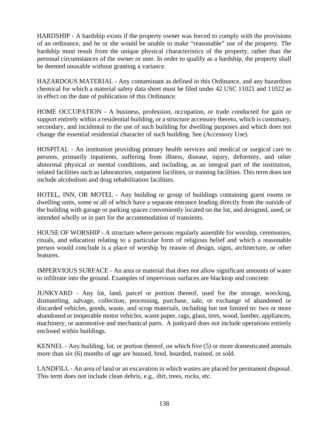HARDSHIP - A hardship exists if the property owner was forced to comply with the provisions of an ordinance, and he or she would be unable to make "reasonable" use of the property. The hardship must result from the unique physical characteristics of the property, rather than the personal circumstances of the owner or user. In order to qualify as a hardship, the property shall be deemed unusable without granting a variance.

HAZARDOUS MATERIAL - Any contaminant as defined in this Ordinance, and any hazardous chemical for which a material safety data sheet must be filed under 42 USC 11021 and 11022 as in effect on the date of publication of this Ordinance.

HOME OCCUPATION - A business, profession, occupation, or trade conducted for gain or support entirely within a residential building, or a structure accessory thereto, which is customary, secondary, and incidental to the use of such building for dwelling purposes and which does not change the essential residential character of such building. See (Accessory Use).

HOSPITAL - An institution providing primary health services and medical or surgical care to persons, primarily inpatients, suffering from illness, disease, injury, deformity, and other abnormal physical or mental conditions, and including, as an integral part of the institution, related facilities such as laboratories, outpatient facilities, or training facilities. This term does not include alcoholism and drug rehabilitation facilities.

HOTEL, INN, OR MOTEL - Any building or group of buildings containing guest rooms or dwelling units, some or all of which have a separate entrance leading directly from the outside of the building with garage or parking spaces conveniently located on the lot, and designed, used, or intended wholly or in part for the accommodation of transients.

HOUSE OF WORSHIP - A structure where persons regularly assemble for worship, ceremonies, rituals, and education relating to a particular form of religious belief and which a reasonable person would conclude is a place of worship by reason of design, signs, architecture, or other features.

IMPERVIOUS SURFACE - An area or material that does not allow significant amounts of water to infiltrate into the ground. Examples of impervious surfaces are blacktop and concrete.

JUNKYARD - Any lot, land, parcel or portion thereof, used for the storage, wrecking, dismantling, salvage, collection, processing, purchase, sale, or exchange of abandoned or discarded vehicles, goods, waste, and scrap materials, including but not limited to: two or more abandoned or inoperable motor vehicles, waste paper, rags, glass, tires, wood, lumber, appliances, machinery, or automotive and mechanical parts. A junkyard does not include operations entirely enclosed within buildings.

KENNEL - Any building, lot, or portion thereof, on which five (5) or more domesticated animals more than six (6) months of age are housed, bred, boarded, trained, or sold.

LANDFILL - An area of land or an excavation in which wastes are placed for permanent disposal. This term does not include clean debris, e.g., dirt, trees, rocks, etc.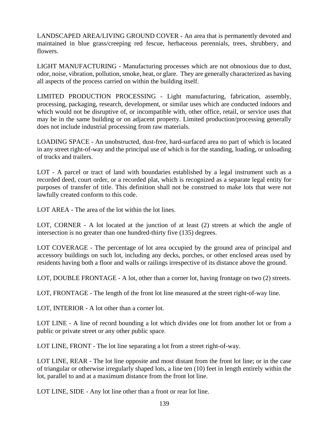LANDSCAPED AREA/LIVING GROUND COVER - An area that is permanently devoted and maintained in blue grass/creeping red fescue, herbaceous perennials, trees, shrubbery, and flowers.

LIGHT MANUFACTURING - Manufacturing processes which are not obnoxious due to dust, odor, noise, vibration, pollution, smoke, heat, or glare. They are generally characterized as having all aspects of the process carried on within the building itself.

LIMITED PRODUCTION PROCESSING - Light manufacturing, fabrication, assembly, processing, packaging, research, development, or similar uses which are conducted indoors and which would not be disruptive of, or incompatible with, other office, retail, or service uses that may be in the same building or on adjacent property. Limited production/processing generally does not include industrial processing from raw materials.

LOADING SPACE - An unobstructed, dust-free, hard-surfaced area no part of which is located in any street right-of-way and the principal use of which is for the standing, loading, or unloading of trucks and trailers.

LOT - A parcel or tract of land with boundaries established by a legal instrument such as a recorded deed, court order, or a recorded plat, which is recognized as a separate legal entity for purposes of transfer of title. This definition shall not be construed to make lots that were not lawfully created conform to this code.

LOT AREA - The area of the lot within the lot lines.

LOT, CORNER - A lot located at the junction of at least (2) streets at which the angle of intersection is no greater than one hundred-thirty five (135) degrees.

LOT COVERAGE - The percentage of lot area occupied by the ground area of principal and accessory buildings on such lot, including any decks, porches, or other enclosed areas used by residents having both a floor and walls or railings irrespective of its distance above the ground.

LOT, DOUBLE FRONTAGE - A lot, other than a corner lot, having frontage on two (2) streets.

LOT, FRONTAGE - The length of the front lot line measured at the street right-of-way line.

LOT, INTERIOR - A lot other than a corner lot.

LOT LINE - A line of record bounding a lot which divides one lot from another lot or from a public or private street or any other public space.

LOT LINE, FRONT - The lot line separating a lot from a street right-of-way.

LOT LINE, REAR - The lot line opposite and most distant from the front lot line; or in the case of triangular or otherwise irregularly shaped lots, a line ten (10) feet in length entirely within the lot, parallel to and at a maximum distance from the front lot line.

LOT LINE, SIDE - Any lot line other than a front or rear lot line.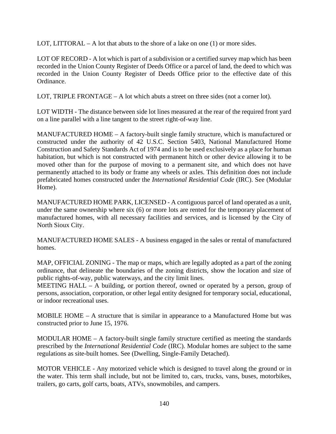LOT, LITTORAL – A lot that abuts to the shore of a lake on one  $(1)$  or more sides.

LOT OF RECORD - A lot which is part of a subdivision or a certified survey map which has been recorded in the Union County Register of Deeds Office or a parcel of land, the deed to which was recorded in the Union County Register of Deeds Office prior to the effective date of this Ordinance.

LOT, TRIPLE FRONTAGE – A lot which abuts a street on three sides (not a corner lot).

LOT WIDTH - The distance between side lot lines measured at the rear of the required front yard on a line parallel with a line tangent to the street right-of-way line.

MANUFACTURED HOME – A factory-built single family structure, which is manufactured or constructed under the authority of 42 U.S.C. Section 5403, National Manufactured Home Construction and Safety Standards Act of 1974 and is to be used exclusively as a place for human habitation, but which is not constructed with permanent hitch or other device allowing it to be moved other than for the purpose of moving to a permanent site, and which does not have permanently attached to its body or frame any wheels or axles. This definition does not include prefabricated homes constructed under the *International Residential Code* (IRC). See (Modular Home).

MANUFACTURED HOME PARK, LICENSED - A contiguous parcel of land operated as a unit, under the same ownership where six (6) or more lots are rented for the temporary placement of manufactured homes, with all necessary facilities and services, and is licensed by the City of North Sioux City.

MANUFACTURED HOME SALES - A business engaged in the sales or rental of manufactured homes.

MAP, OFFICIAL ZONING - The map or maps, which are legally adopted as a part of the zoning ordinance, that delineate the boundaries of the zoning districts, show the location and size of public rights-of-way, public waterways, and the city limit lines.

MEETING HALL – A building, or portion thereof, owned or operated by a person, group of persons, association, corporation, or other legal entity designed for temporary social, educational, or indoor recreational uses.

MOBILE HOME – A structure that is similar in appearance to a Manufactured Home but was constructed prior to June 15, 1976.

MODULAR HOME – A factory-built single family structure certified as meeting the standards prescribed by the *International Residential Code* (IRC). Modular homes are subject to the same regulations as site-built homes. See (Dwelling, Single-Family Detached).

MOTOR VEHICLE - Any motorized vehicle which is designed to travel along the ground or in the water. This term shall include, but not be limited to, cars, trucks, vans, buses, motorbikes, trailers, go carts, golf carts, boats, ATVs, snowmobiles, and campers.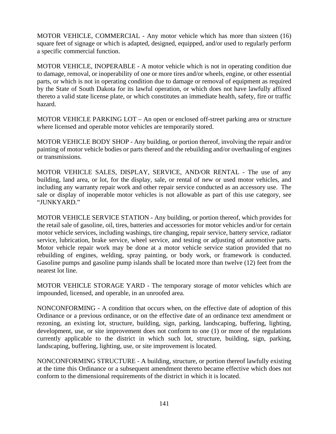MOTOR VEHICLE, COMMERCIAL - Any motor vehicle which has more than sixteen (16) square feet of signage or which is adapted, designed, equipped, and/or used to regularly perform a specific commercial function.

MOTOR VEHICLE, INOPERABLE - A motor vehicle which is not in operating condition due to damage, removal, or inoperability of one or more tires and/or wheels, engine, or other essential parts, or which is not in operating condition due to damage or removal of equipment as required by the State of South Dakota for its lawful operation, or which does not have lawfully affixed thereto a valid state license plate, or which constitutes an immediate health, safety, fire or traffic hazard.

MOTOR VEHICLE PARKING LOT – An open or enclosed off-street parking area or structure where licensed and operable motor vehicles are temporarily stored.

MOTOR VEHICLE BODY SHOP - Any building, or portion thereof, involving the repair and/or painting of motor vehicle bodies or parts thereof and the rebuilding and/or overhauling of engines or transmissions.

MOTOR VEHICLE SALES, DISPLAY, SERVICE, AND/OR RENTAL - The use of any building, land area, or lot, for the display, sale, or rental of new or used motor vehicles, and including any warranty repair work and other repair service conducted as an accessory use. The sale or display of inoperable motor vehicles is not allowable as part of this use category, see "JUNKYARD."

MOTOR VEHICLE SERVICE STATION - Any building, or portion thereof, which provides for the retail sale of gasoline, oil, tires, batteries and accessories for motor vehicles and/or for certain motor vehicle services, including washings, tire changing, repair service, battery service, radiator service, lubrication, brake service, wheel service, and testing or adjusting of automotive parts. Motor vehicle repair work may be done at a motor vehicle service station provided that no rebuilding of engines, welding, spray painting, or body work, or framework is conducted. Gasoline pumps and gasoline pump islands shall be located more than twelve (12) feet from the nearest lot line.

MOTOR VEHICLE STORAGE YARD - The temporary storage of motor vehicles which are impounded, licensed, and operable, in an unroofed area.

NONCONFORMING - A condition that occurs when, on the effective date of adoption of this Ordinance or a previous ordinance, or on the effective date of an ordinance text amendment or rezoning, an existing lot, structure, building, sign, parking, landscaping, buffering, lighting, development, use, or site improvement does not conform to one (1) or more of the regulations currently applicable to the district in which such lot, structure, building, sign, parking, landscaping, buffering, lighting, use, or site improvement is located.

NONCONFORMING STRUCTURE - A building, structure, or portion thereof lawfully existing at the time this Ordinance or a subsequent amendment thereto became effective which does not conform to the dimensional requirements of the district in which it is located.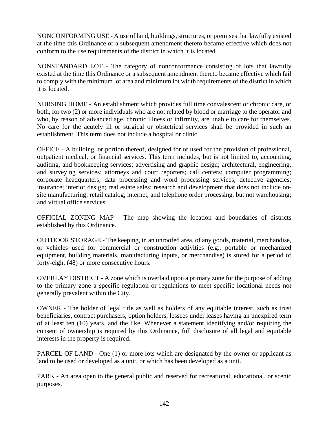NONCONFORMING USE - A use of land, buildings, structures, or premises that lawfully existed at the time this Ordinance or a subsequent amendment thereto became effective which does not conform to the use requirements of the district in which it is located.

NONSTANDARD LOT - The category of nonconformance consisting of lots that lawfully existed at the time this Ordinance or a subsequent amendment thereto became effective which fail to comply with the minimum lot area and minimum lot width requirements of the district in which it is located.

NURSING HOME - An establishment which provides full time convalescent or chronic care, or both, for two (2) or more individuals who are not related by blood or marriage to the operator and who, by reason of advanced age, chronic illness or infirmity, are unable to care for themselves. No care for the acutely ill or surgical or obstetrical services shall be provided in such an establishment. This term does not include a hospital or clinic.

OFFICE - A building, or portion thereof, designed for or used for the provision of professional, outpatient medical, or financial services. This term includes, but is not limited to, accounting, auditing, and bookkeeping services; advertising and graphic design; architectural, engineering, and surveying services; attorneys and court reporters; call centers; computer programming; corporate headquarters; data processing and word processing services; detective agencies; insurance; interior design; real estate sales; research and development that does not include onsite manufacturing; retail catalog, internet, and telephone order processing, but not warehousing; and virtual office services.

OFFICIAL ZONING MAP - The map showing the location and boundaries of districts established by this Ordinance.

OUTDOOR STORAGE - The keeping, in an unroofed area, of any goods, material, merchandise, or vehicles used for commercial or construction activities (e.g., portable or mechanized equipment, building materials, manufacturing inputs, or merchandise) is stored for a period of forty-eight (48) or more consecutive hours.

OVERLAY DISTRICT - A zone which is overlaid upon a primary zone for the purpose of adding to the primary zone a specific regulation or regulations to meet specific locational needs not generally prevalent within the City.

OWNER - The holder of legal title as well as holders of any equitable interest, such as trust beneficiaries, contract purchasers, option holders, lessees under leases having an unexpired term of at least ten (10) years, and the like. Whenever a statement identifying and/or requiring the consent of ownership is required by this Ordinance, full disclosure of all legal and equitable interests in the property is required.

PARCEL OF LAND - One (1) or more lots which are designated by the owner or applicant as land to be used or developed as a unit, or which has been developed as a unit.

PARK - An area open to the general public and reserved for recreational, educational, or scenic purposes.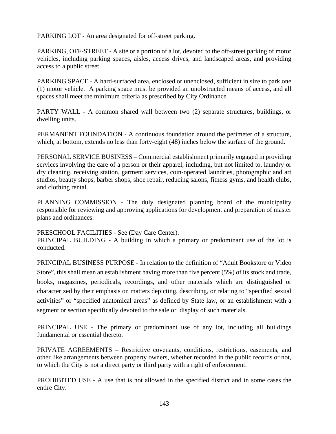PARKING LOT - An area designated for off-street parking.

PARKING, OFF-STREET - A site or a portion of a lot, devoted to the off-street parking of motor vehicles, including parking spaces, aisles, access drives, and landscaped areas, and providing access to a public street.

PARKING SPACE - A hard-surfaced area, enclosed or unenclosed, sufficient in size to park one (1) motor vehicle. A parking space must be provided an unobstructed means of access, and all spaces shall meet the minimum criteria as prescribed by City Ordinance.

PARTY WALL - A common shared wall between two (2) separate structures, buildings, or dwelling units.

PERMANENT FOUNDATION - A continuous foundation around the perimeter of a structure, which, at bottom, extends no less than forty-eight (48) inches below the surface of the ground.

PERSONAL SERVICE BUSINESS – Commercial establishment primarily engaged in providing services involving the care of a person or their apparel, including, but not limited to, laundry or dry cleaning, receiving station, garment services, coin-operated laundries, photographic and art studios, beauty shops, barber shops, shoe repair, reducing salons, fitness gyms, and health clubs, and clothing rental.

PLANNING COMMISSION - The duly designated planning board of the municipality responsible for reviewing and approving applications for development and preparation of master plans and ordinances.

PRESCHOOL FACILITIES - See (Day Care Center).

PRINCIPAL BUILDING - A building in which a primary or predominant use of the lot is conducted.

PRINCIPAL BUSINESS PURPOSE - In relation to the definition of "Adult Bookstore or Video Store", this shall mean an establishment having more than five percent (5%) of its stock and trade, books, magazines, periodicals, recordings, and other materials which are distinguished or characterized by their emphasis on matters depicting, describing, or relating to "specified sexual activities" or "specified anatomical areas" as defined by State law, or an establishment with a segment or section specifically devoted to the sale or display of such materials.

PRINCIPAL USE - The primary or predominant use of any lot, including all buildings fundamental or essential thereto.

PRIVATE AGREEMENTS – Restrictive covenants, conditions, restrictions, easements, and other like arrangements between property owners, whether recorded in the public records or not, to which the City is not a direct party or third party with a right of enforcement.

PROHIBITED USE - A use that is not allowed in the specified district and in some cases the entire City.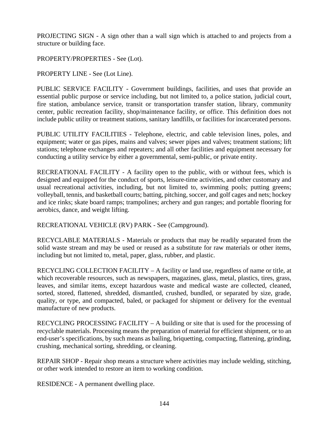PROJECTING SIGN - A sign other than a wall sign which is attached to and projects from a structure or building face.

PROPERTY/PROPERTIES - See (Lot).

PROPERTY LINE - See (Lot Line).

PUBLIC SERVICE FACILITY - Government buildings, facilities, and uses that provide an essential public purpose or service including, but not limited to, a police station, judicial court, fire station, ambulance service, transit or transportation transfer station, library, community center, public recreation facility, shop/maintenance facility, or office. This definition does not include public utility or treatment stations, sanitary landfills, or facilities for incarcerated persons.

PUBLIC UTILITY FACILITIES - Telephone, electric, and cable television lines, poles, and equipment; water or gas pipes, mains and valves; sewer pipes and valves; treatment stations; lift stations; telephone exchanges and repeaters; and all other facilities and equipment necessary for conducting a utility service by either a governmental, semi-public, or private entity.

RECREATIONAL FACILITY - A facility open to the public, with or without fees, which is designed and equipped for the conduct of sports, leisure-time activities, and other customary and usual recreational activities, including, but not limited to, swimming pools; putting greens; volleyball, tennis, and basketball courts; batting, pitching, soccer, and golf cages and nets; hockey and ice rinks; skate board ramps; trampolines; archery and gun ranges; and portable flooring for aerobics, dance, and weight lifting.

RECREATIONAL VEHICLE (RV) PARK - See (Campground).

RECYCLABLE MATERIALS - Materials or products that may be readily separated from the solid waste stream and may be used or reused as a substitute for raw materials or other items, including but not limited to, metal, paper, glass, rubber, and plastic.

RECYCLING COLLECTION FACILITY – A facility or land use, regardless of name or title, at which recoverable resources, such as newspapers, magazines, glass, metal, plastics, tires, grass, leaves, and similar items, except hazardous waste and medical waste are collected, cleaned, sorted, stored, flattened, shredded, dismantled, crushed, bundled, or separated by size, grade, quality, or type, and compacted, baled, or packaged for shipment or delivery for the eventual manufacture of new products.

RECYCLING PROCESSING FACILITY – A building or site that is used for the processing of recyclable materials. Processing means the preparation of material for efficient shipment, or to an end-user's specifications, by such means as bailing, briquetting, compacting, flattening, grinding, crushing, mechanical sorting, shredding, or cleaning.

REPAIR SHOP - Repair shop means a structure where activities may include welding, stitching, or other work intended to restore an item to working condition.

RESIDENCE - A permanent dwelling place.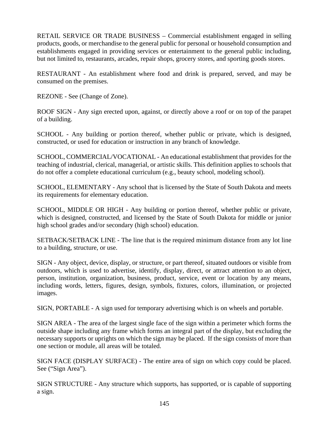RETAIL SERVICE OR TRADE BUSINESS – Commercial establishment engaged in selling products, goods, or merchandise to the general public for personal or household consumption and establishments engaged in providing services or entertainment to the general public including, but not limited to, restaurants, arcades, repair shops, grocery stores, and sporting goods stores.

RESTAURANT - An establishment where food and drink is prepared, served, and may be consumed on the premises.

REZONE - See (Change of Zone).

ROOF SIGN - Any sign erected upon, against, or directly above a roof or on top of the parapet of a building.

SCHOOL - Any building or portion thereof, whether public or private, which is designed, constructed, or used for education or instruction in any branch of knowledge.

SCHOOL, COMMERCIAL/VOCATIONAL - An educational establishment that provides for the teaching of industrial, clerical, managerial, or artistic skills. This definition applies to schools that do not offer a complete educational curriculum (e.g., beauty school, modeling school).

SCHOOL, ELEMENTARY - Any school that is licensed by the State of South Dakota and meets its requirements for elementary education.

SCHOOL, MIDDLE OR HIGH - Any building or portion thereof, whether public or private, which is designed, constructed, and licensed by the State of South Dakota for middle or junior high school grades and/or secondary (high school) education.

SETBACK/SETBACK LINE - The line that is the required minimum distance from any lot line to a building, structure, or use.

SIGN - Any object, device, display, or structure, or part thereof, situated outdoors or visible from outdoors, which is used to advertise, identify, display, direct, or attract attention to an object, person, institution, organization, business, product, service, event or location by any means, including words, letters, figures, design, symbols, fixtures, colors, illumination, or projected images.

SIGN, PORTABLE - A sign used for temporary advertising which is on wheels and portable.

SIGN AREA - The area of the largest single face of the sign within a perimeter which forms the outside shape including any frame which forms an integral part of the display, but excluding the necessary supports or uprights on which the sign may be placed. If the sign consists of more than one section or module, all areas will be totaled.

SIGN FACE (DISPLAY SURFACE) - The entire area of sign on which copy could be placed. See ("Sign Area").

SIGN STRUCTURE - Any structure which supports, has supported, or is capable of supporting a sign.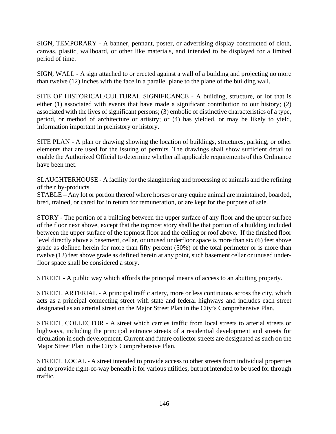SIGN, TEMPORARY - A banner, pennant, poster, or advertising display constructed of cloth, canvas, plastic, wallboard, or other like materials, and intended to be displayed for a limited period of time.

SIGN, WALL - A sign attached to or erected against a wall of a building and projecting no more than twelve (12) inches with the face in a parallel plane to the plane of the building wall.

SITE OF HISTORICAL/CULTURAL SIGNIFICANCE - A building, structure, or lot that is either (1) associated with events that have made a significant contribution to our history; (2) associated with the lives of significant persons; (3) embolic of distinctive characteristics of a type, period, or method of architecture or artistry; or (4) has yielded, or may be likely to yield, information important in prehistory or history.

SITE PLAN - A plan or drawing showing the location of buildings, structures, parking, or other elements that are used for the issuing of permits. The drawings shall show sufficient detail to enable the Authorized Official to determine whether all applicable requirements of this Ordinance have been met.

SLAUGHTERHOUSE - A facility for the slaughtering and processing of animals and the refining of their by-products.

STABLE – Any lot or portion thereof where horses or any equine animal are maintained, boarded, bred, trained, or cared for in return for remuneration, or are kept for the purpose of sale.

STORY - The portion of a building between the upper surface of any floor and the upper surface of the floor next above, except that the topmost story shall be that portion of a building included between the upper surface of the topmost floor and the ceiling or roof above. If the finished floor level directly above a basement, cellar, or unused underfloor space is more than six (6) feet above grade as defined herein for more than fifty percent (50%) of the total perimeter or is more than twelve (12) feet above grade as defined herein at any point, such basement cellar or unused underfloor space shall be considered a story.

STREET - A public way which affords the principal means of access to an abutting property.

STREET, ARTERIAL - A principal traffic artery, more or less continuous across the city, which acts as a principal connecting street with state and federal highways and includes each street designated as an arterial street on the Major Street Plan in the City's Comprehensive Plan.

STREET, COLLECTOR - A street which carries traffic from local streets to arterial streets or highways, including the principal entrance streets of a residential development and streets for circulation in such development. Current and future collector streets are designated as such on the Major Street Plan in the City's Comprehensive Plan.

STREET, LOCAL - A street intended to provide access to other streets from individual properties and to provide right-of-way beneath it for various utilities, but not intended to be used for through traffic.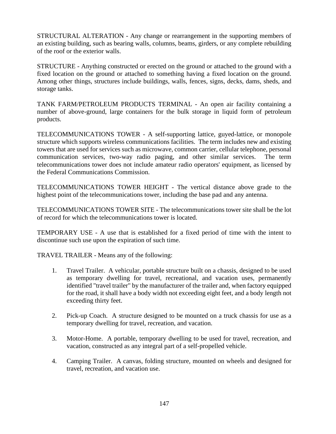STRUCTURAL ALTERATION - Any change or rearrangement in the supporting members of an existing building, such as bearing walls, columns, beams, girders, or any complete rebuilding of the roof or the exterior walls.

STRUCTURE - Anything constructed or erected on the ground or attached to the ground with a fixed location on the ground or attached to something having a fixed location on the ground. Among other things, structures include buildings, walls, fences, signs, decks, dams, sheds, and storage tanks.

TANK FARM/PETROLEUM PRODUCTS TERMINAL - An open air facility containing a number of above-ground, large containers for the bulk storage in liquid form of petroleum products.

TELECOMMUNICATIONS TOWER - A self-supporting lattice, guyed-lattice, or monopole structure which supports wireless communications facilities. The term includes new and existing towers that are used for services such as microwave, common carrier, cellular telephone, personal communication services, two-way radio paging, and other similar services. The term telecommunications tower does not include amateur radio operators' equipment, as licensed by the Federal Communications Commission.

TELECOMMUNICATIONS TOWER HEIGHT - The vertical distance above grade to the highest point of the telecommunications tower, including the base pad and any antenna.

TELECOMMUNICATIONS TOWER SITE - The telecommunications tower site shall be the lot of record for which the telecommunications tower is located.

TEMPORARY USE - A use that is established for a fixed period of time with the intent to discontinue such use upon the expiration of such time.

TRAVEL TRAILER - Means any of the following:

- 1. Travel Trailer. A vehicular, portable structure built on a chassis, designed to be used as temporary dwelling for travel, recreational, and vacation uses, permanently identified "travel trailer" by the manufacturer of the trailer and, when factory equipped for the road, it shall have a body width not exceeding eight feet, and a body length not exceeding thirty feet.
- 2. Pick-up Coach. A structure designed to be mounted on a truck chassis for use as a temporary dwelling for travel, recreation, and vacation.
- 3. Motor-Home. A portable, temporary dwelling to be used for travel, recreation, and vacation, constructed as any integral part of a self-propelled vehicle.
- 4. Camping Trailer. A canvas, folding structure, mounted on wheels and designed for travel, recreation, and vacation use.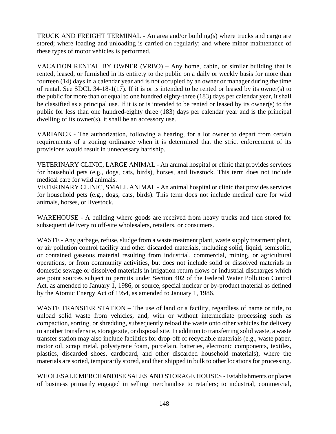TRUCK AND FREIGHT TERMINAL - An area and/or building(s) where trucks and cargo are stored; where loading and unloading is carried on regularly; and where minor maintenance of these types of motor vehicles is performed.

VACATION RENTAL BY OWNER (VRBO) – Any home, cabin, or similar building that is rented, leased, or furnished in its entirety to the public on a daily or weekly basis for more than fourteen (14) days in a calendar year and is not occupied by an owner or manager during the time of rental. See SDCL 34-18-1(17). If it is or is intended to be rented or leased by its owner(s) to the public for more than or equal to one hundred eighty-three (183) days per calendar year, it shall be classified as a principal use. If it is or is intended to be rented or leased by its owner(s) to the public for less than one hundred-eighty three (183) days per calendar year and is the principal dwelling of its owner(s), it shall be an accessory use.

VARIANCE - The authorization, following a hearing, for a lot owner to depart from certain requirements of a zoning ordinance when it is determined that the strict enforcement of its provisions would result in unnecessary hardship.

VETERINARY CLINIC, LARGE ANIMAL - An animal hospital or clinic that provides services for household pets (e.g., dogs, cats, birds), horses, and livestock. This term does not include medical care for wild animals.

VETERINARY CLINIC, SMALL ANIMAL - An animal hospital or clinic that provides services for household pets (e.g., dogs, cats, birds). This term does not include medical care for wild animals, horses, or livestock.

WAREHOUSE - A building where goods are received from heavy trucks and then stored for subsequent delivery to off-site wholesalers, retailers, or consumers.

WASTE - Any garbage, refuse, sludge from a waste treatment plant, waste supply treatment plant, or air pollution control facility and other discarded materials, including solid, liquid, semisolid, or contained gaseous material resulting from industrial, commercial, mining, or agricultural operations, or from community activities, but does not include solid or dissolved materials in domestic sewage or dissolved materials in irrigation return flows or industrial discharges which are point sources subject to permits under Section 402 of the Federal Water Pollution Control Act, as amended to January 1, 1986, or source, special nuclear or by-product material as defined by the Atomic Energy Act of 1954, as amended to January 1, 1986.

WASTE TRANSFER STATION – The use of land or a facility, regardless of name or title, to unload solid waste from vehicles, and, with or without intermediate processing such as compaction, sorting, or shredding, subsequently reload the waste onto other vehicles for delivery to another transfer site, storage site, or disposal site. In addition to transferring solid waste, a waste transfer station may also include facilities for drop-off of recyclable materials (e.g., waste paper, motor oil, scrap metal, polystyrene foam, porcelain, batteries, electronic components, textiles, plastics, discarded shoes, cardboard, and other discarded household materials), where the materials are sorted, temporarily stored, and then shipped in bulk to other locations for processing.

WHOLESALE MERCHANDISE SALES AND STORAGE HOUSES - Establishments or places of business primarily engaged in selling merchandise to retailers; to industrial, commercial,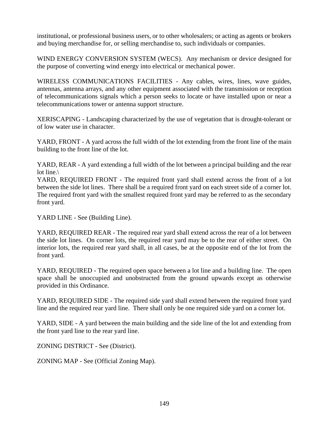institutional, or professional business users, or to other wholesalers; or acting as agents or brokers and buying merchandise for, or selling merchandise to, such individuals or companies.

WIND ENERGY CONVERSION SYSTEM (WECS). Any mechanism or device designed for the purpose of converting wind energy into electrical or mechanical power.

WIRELESS COMMUNICATIONS FACILITIES - Any cables, wires, lines, wave guides, antennas, antenna arrays, and any other equipment associated with the transmission or reception of telecommunications signals which a person seeks to locate or have installed upon or near a telecommunications tower or antenna support structure.

XERISCAPING - Landscaping characterized by the use of vegetation that is drought-tolerant or of low water use in character.

YARD, FRONT - A yard across the full width of the lot extending from the front line of the main building to the front line of the lot.

YARD, REAR - A yard extending a full width of the lot between a principal building and the rear lot line.\

YARD, REQUIRED FRONT - The required front yard shall extend across the front of a lot between the side lot lines. There shall be a required front yard on each street side of a corner lot. The required front yard with the smallest required front yard may be referred to as the secondary front yard.

YARD LINE - See (Building Line).

YARD, REQUIRED REAR - The required rear yard shall extend across the rear of a lot between the side lot lines. On corner lots, the required rear yard may be to the rear of either street. On interior lots, the required rear yard shall, in all cases, be at the opposite end of the lot from the front yard.

YARD, REQUIRED - The required open space between a lot line and a building line. The open space shall be unoccupied and unobstructed from the ground upwards except as otherwise provided in this Ordinance.

YARD, REQUIRED SIDE - The required side yard shall extend between the required front yard line and the required rear yard line. There shall only be one required side yard on a corner lot.

YARD, SIDE - A yard between the main building and the side line of the lot and extending from the front yard line to the rear yard line.

ZONING DISTRICT - See (District).

ZONING MAP - See (Official Zoning Map).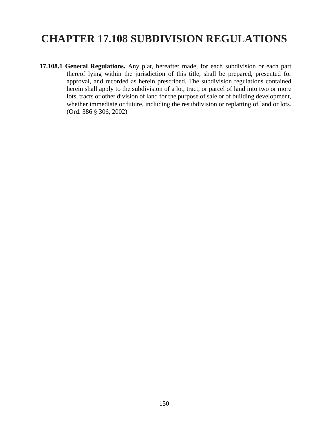# **CHAPTER 17.108 SUBDIVISION REGULATIONS**

**17.108.1 General Regulations.** Any plat, hereafter made, for each subdivision or each part thereof lying within the jurisdiction of this title, shall be prepared, presented for approval, and recorded as herein prescribed. The subdivision regulations contained herein shall apply to the subdivision of a lot, tract, or parcel of land into two or more lots, tracts or other division of land for the purpose of sale or of building development, whether immediate or future, including the resubdivision or replatting of land or lots. (Ord. 386 § 306, 2002)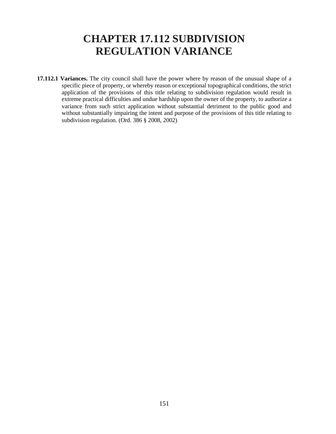### **CHAPTER 17.112 SUBDIVISION REGULATION VARIANCE**

**17.112.1 Variances.** The city council shall have the power where by reason of the unusual shape of a specific piece of property, or whereby reason or exceptional topographical conditions, the strict application of the provisions of this title relating to subdivision regulation would result in extreme practical difficulties and undue hardship upon the owner of the property, to authorize a variance from such strict application without substantial detriment to the public good and without substantially impairing the intent and purpose of the provisions of this title relating to subdivision regulation. (Ord. 386 § 2008, 2002)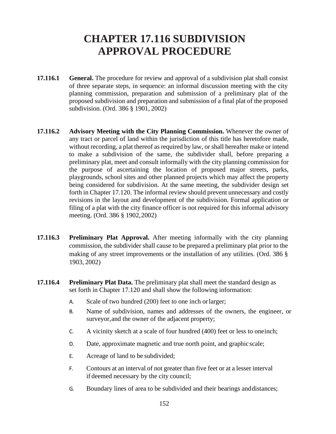# **CHAPTER 17.116 SUBDIVISION APPROVAL PROCEDURE**

- **17.116.1 General.** The procedure for review and approval of a subdivision plat shall consist of three separate steps, in sequence: an informal discussion meeting with the city planning commission, preparation and submission of a preliminary plat of the proposed subdivision and preparation and submission of a final plat of the proposed subdivision. (Ord. 386 § 1901, 2002)
- **17.116.2 Advisory Meeting with the City Planning Commission.** Whenever the owner of any tract or parcel of land within the jurisdiction of this title has heretofore made, without recording, a plat thereof as required by law, or shall hereafter make or intend to make a subdivision of the same, the subdivider shall, before preparing a preliminary plat, meet and consult informally with the city planning commission for the purpose of ascertaining the location of proposed major streets, parks, playgrounds, school sites and other planned projects which may affect the property being considered for subdivision. At the same meeting, the subdivider design set forth in Chapter 17.120. The informal review should prevent unnecessary and costly revisions in the layout and development of the subdivision. Formal application or filing of a plat with the city finance officer is not required for this informal advisory meeting. (Ord. 386 § 1902,2002)
- **17.116.3 Preliminary Plat Approval.** After meeting informally with the city planning commission, the subdivider shall cause to be prepared a preliminary plat prior to the making of any street improvements or the installation of any utilities. (Ord. 386 § 1903, 2002)
- **17.116.4 Preliminary Plat Data.** The preliminary plat shall meet the standard design as set forth in Chapter 17.120 and shall show the following information:
	- A. Scale of two hundred (200) feet to one inch orlarger;
	- B. Name of subdivision, names and addresses of the owners, the engineer, or surveyor,and the owner of the adjacent property;
	- C. A vicinity sketch at a scale of four hundred (400) feet or less to oneinch;
	- D. Date, approximate magnetic and true north point, and graphic scale;
	- E. Acreage of land to be subdivided;
	- F. Contours at an interval of not greater than five feet or at a lesser interval if deemed necessary by the city council;
	- G. Boundary lines of area to be subdivided and their bearings anddistances;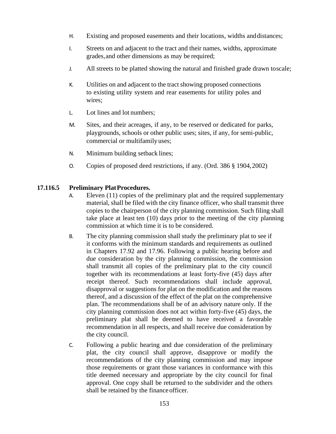- H. Existing and proposed easements and their locations, widths anddistances;
- I. Streets on and adjacent to the tract and their names, widths, approximate grades,and other dimensions as may be required;
- J. All streets to be platted showing the natural and finished grade drawn toscale;
- K. Utilities on and adjacent to the tract showing proposed connections to existing utility system and rear easements for utility poles and wires;
- L. Lot lines and lot numbers;
- M. Sites, and their acreages, if any, to be reserved or dedicated for parks, playgrounds, schools or other public uses; sites, if any, for semi-public, commercial or multifamily uses;
- N. Minimum building setback lines;
- O. Copies of proposed deed restrictions, if any. (Ord. 386 § 1904,2002)

### **17.116.5 Preliminary PlatProcedures.**

- A. Eleven (11) copies of the preliminary plat and the required supplementary material, shall be filed with the city finance officer, who shall transmit three copies to the chairperson of the city planning commission. Such filing shall take place at least ten (10) days prior to the meeting of the city planning commission at which time it is to be considered.
- B. The city planning commission shall study the preliminary plat to see if it conforms with the minimum standards and requirements as outlined in Chapters 17.92 and 17.96. Following a public hearing before and due consideration by the city planning commission, the commission shall transmit all copies of the preliminary plat to the city council together with its recommendations at least forty-five (45) days after receipt thereof. Such recommendations shall include approval, disapproval or suggestions for plat on the modification and the reasons thereof, and a discussion of the effect of the plat on the comprehensive plan. The recommendations shall be of an advisory nature only. If the city planning commission does not act within forty-five (45) days, the preliminary plat shall be deemed to have received a favorable recommendation in all respects, and shall receive due consideration by the city council.
- C. Following a public hearing and due consideration of the preliminary plat, the city council shall approve, disapprove or modify the recommendations of the city planning commission and may impose those requirements or grant those variances in conformance with this title deemed necessary and appropriate by the city council for final approval. One copy shall be returned to the subdivider and the others shall be retained by the finance officer.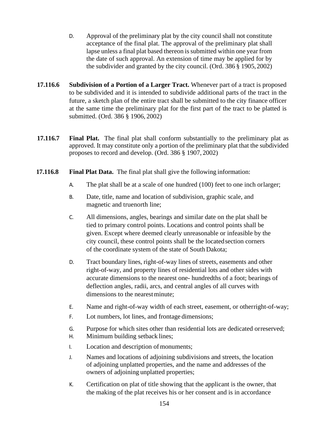- D. Approval of the preliminary plat by the city council shall not constitute acceptance of the final plat. The approval of the preliminary plat shall lapse unless a final plat based thereon is submitted within one year from the date of such approval. An extension of time may be applied for by the subdivider and granted by the city council. (Ord. 386 § 1905,2002)
- **17.116.6 Subdivision of a Portion of a Larger Tract.** Whenever part of a tract is proposed to be subdivided and it is intended to subdivide additional parts of the tract in the future, a sketch plan of the entire tract shall be submitted to the city finance officer at the same time the preliminary plat for the first part of the tract to be platted is submitted. (Ord. 386 § 1906, 2002)
- **17.116.7 Final Plat.** The final plat shall conform substantially to the preliminary plat as approved. It may constitute only a portion of the preliminary plat that the subdivided proposes to record and develop. (Ord. 386 § 1907, 2002)
- **17.116.8 Final Plat Data.** The final plat shall give the following information:
	- A. The plat shall be at a scale of one hundred (100) feet to one inch orlarger;
	- B. Date, title, name and location of subdivision, graphic scale, and magnetic and truenorth line;
	- C. All dimensions, angles, bearings and similar date on the plat shall be tied to primary control points. Locations and control points shall be given. Except where deemed clearly unreasonable or infeasible by the city council, these control points shall be the locatedsection corners of the coordinate system of the state of South Dakota;
	- D. Tract boundary lines, right-of-way lines of streets, easements and other right-of-way, and property lines of residential lots and other sides with accurate dimensions to the nearest one- hundredths of a foot; bearings of deflection angles, radii, arcs, and central angles of all curves with dimensions to the nearest minute:
	- E. Name and right-of-way width of each street, easement, or otherright-of-way;
	- F. Lot numbers, lot lines, and frontage dimensions;
	- G. Purpose for which sites other than residential lots are dedicated orreserved;
	- H. Minimum building setback lines;
	- I. Location and description of monuments;
	- J. Names and locations of adjoining subdivisions and streets, the location of adjoining unplatted properties, and the name and addresses of the owners of adjoining unplatted properties;
	- K. Certification on plat of title showing that the applicant is the owner, that the making of the plat receives his or her consent and is in accordance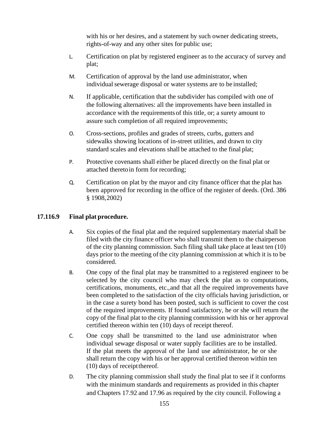with his or her desires, and a statement by such owner dedicating streets, rights-of-way and any other sites for public use;

- L. Certification on plat by registered engineer as to the accuracy of survey and plat;
- M. Certification of approval by the land use administrator, when individual sewerage disposal or water systems are to be installed;
- N. If applicable, certification that the subdivider has compiled with one of the following alternatives: all the improvements have been installed in accordance with the requirementsof this title, or; a surety amount to assure such completion of all required improvements;
- O. Cross-sections, profiles and grades of streets, curbs, gutters and sidewalks showing locations of in-street utilities, and drawn to city standard scales and elevations shall be attached to the final plat;
- P. Protective covenants shall either be placed directly on the final plat or attached theretoin form for recording;
- Q. Certification on plat by the mayor and city finance officer that the plat has been approved for recording in the office of the register of deeds. (Ord. 386 § 1908,2002)

### **17.116.9 Final plat procedure.**

- A. Six copies of the final plat and the required supplementary material shall be filed with the city finance officer who shall transmit them to the chairperson of the city planning commission. Such filing shall take place at least ten (10) days prior to the meeting of the city planning commission at which it is to be considered.
- B. One copy of the final plat may be transmitted to a registered engineer to be selected by the city council who may check the plat as to computations, certifications, monuments, etc.,and that all the required improvements have been completed to the satisfaction of the city officials having jurisdiction, or in the case a surety bond has been posted, such is sufficient to cover the cost of the required improvements. If found satisfactory, he or she will return the copy of the final plat to the city planning commission with his or her approval certified thereon within ten (10) days of receipt thereof.
- C. One copy shall be transmitted to the land use administrator when individual sewage disposal or water supply facilities are to be installed. If the plat meets the approval of the land use administrator, he or she shall return the copy with his or her approval certified thereon within ten (10) days of receiptthereof.
- D. The city planning commission shall study the final plat to see if it conforms with the minimum standards and requirements as provided in this chapter and Chapters 17.92 and 17.96 as required by the city council. Following a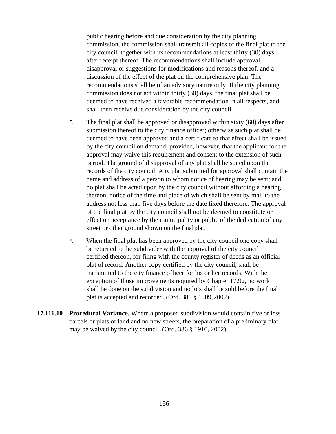public hearing before and due consideration by the city planning commission, the commission shall transmit all copies of the final plat to the city council, together with its recommendations at least thirty (30) days after receipt thereof. The recommendations shall include approval, disapproval or suggestions for modifications and reasons thereof, and a discussion of the effect of the plat on the comprehensive plan. The recommendations shall be of an advisory nature only. If the city planning commission does not act within thirty (30) days, the final plat shall be deemed to have received a favorable recommendation in all respects, and shall then receive due consideration by the city council.

- E. The final plat shall be approved or disapproved within sixty (60) days after submission thereof to the city finance officer; otherwise such plat shall be deemed to have been approved and a certificate to that effect shall be issued by the city council on demand; provided, however, that the applicant for the approval may waive this requirement and consent to the extension of such period. The ground of disapproval of any plat shall be stated upon the records of the city council. Any plat submitted for approval shall contain the name and address of a person to whom notice of hearing may be sent; and no plat shall be acted upon by the city council without affording a hearing thereon, notice of the time and place of which shall be sent by mail to the address not less than five days before the date fixed therefore. The approval of the final plat by the city council shall not be deemed to constitute or effect on acceptance by the municipality or public of the dedication of any street or other ground shown on the finalplat.
- F. When the final plat has been approved by the city council one copy shall be returned to the subdivider with the approval of the city council certified thereon, for filing with the county register of deeds as an official plat of record. Another copy certified by the city council, shall be transmitted to the city finance officer for his or her records. With the exception of those improvements required by Chapter 17.92, no work shall be done on the subdivision and no lots shall be sold before the final plat is accepted and recorded. (Ord. 386 § 1909,2002)
- **17.116.10 Procedural Variance.** Where a proposed subdivision would contain five or less parcels or plats of land and no new streets, the preparation of a preliminary plat may be waived by the city council. (Ord. 386 § 1910, 2002)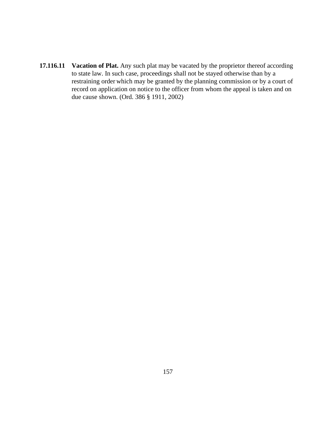**17.116.11 Vacation of Plat.** Any such plat may be vacated by the proprietor thereof according to state law. In such case, proceedings shall not be stayed otherwise than by a restraining order which may be granted by the planning commission or by a court of record on application on notice to the officer from whom the appeal is taken and on due cause shown. (Ord. 386 § 1911, 2002)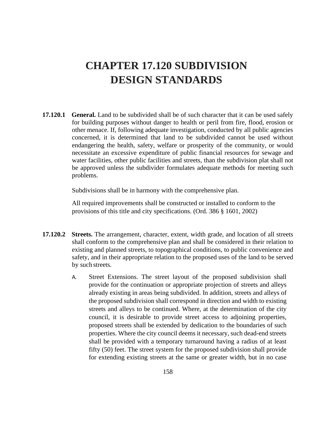# **CHAPTER 17.120 SUBDIVISION DESIGN STANDARDS**

**17.120.1 General.** Land to be subdivided shall be of such character that it can be used safely for building purposes without danger to health or peril from fire, flood, erosion or other menace. If, following adequate investigation, conducted by all public agencies concerned, it is determined that land to be subdivided cannot be used without endangering the health, safety, welfare or prosperity of the community, or would necessitate an excessive expenditure of public financial resources for sewage and water facilities, other public facilities and streets, than the subdivision plat shall not be approved unless the subdivider formulates adequate methods for meeting such problems.

Subdivisions shall be in harmony with the comprehensive plan.

All required improvements shall be constructed or installed to conform to the provisions of this title and city specifications. (Ord. 386 § 1601, 2002)

- **17.120.2 Streets.** The arrangement, character, extent, width grade, and location of all streets shall conform to the comprehensive plan and shall be considered in their relation to existing and planned streets, to topographical conditions, to public convenience and safety, and in their appropriate relation to the proposed uses of the land to be served by such streets.
	- A. Street Extensions. The street layout of the proposed subdivision shall provide for the continuation or appropriate projection of streets and alleys already existing in areas being subdivided. In addition, streets and alleys of the proposed subdivision shall correspond in direction and width to existing streets and alleys to be continued. Where, at the determination of the city council, it is desirable to provide street access to adjoining properties, proposed streets shall be extended by dedication to the boundaries of such properties. Where the city council deems it necessary, such dead-end streets shall be provided with a temporary turnaround having a radius of at least fifty (50) feet. The street system for the proposed subdivision shall provide for extending existing streets at the same or greater width, but in no case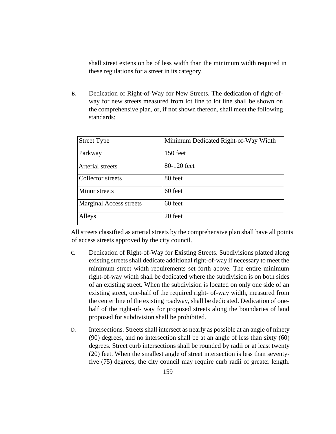shall street extension be of less width than the minimum width required in these regulations for a street in its category.

B. Dedication of Right-of-Way for New Streets. The dedication of right-ofway for new streets measured from lot line to lot line shall be shown on the comprehensive plan, or, if not shown thereon, shall meet the following standards:

| <b>Street Type</b>             | Minimum Dedicated Right-of-Way Width |
|--------------------------------|--------------------------------------|
| Parkway                        | 150 feet                             |
| Arterial streets               | 80-120 feet                          |
| Collector streets              | 80 feet                              |
| Minor streets                  | 60 feet                              |
| <b>Marginal Access streets</b> | 60 feet                              |
| Alleys                         | 20 feet                              |

All streets classified as arterial streets by the comprehensive plan shall have all points of access streets approved by the city council.

- C. Dedication of Right-of-Way for Existing Streets. Subdivisions platted along existing streets shall dedicate additional right-of-way if necessary to meet the minimum street width requirements set forth above. The entire minimum right-of-way width shall be dedicated where the subdivision is on both sides of an existing street. When the subdivision is located on only one side of an existing street, one-half of the required right- of-way width, measured from the center line of the existing roadway, shall be dedicated. Dedication of onehalf of the right-of- way for proposed streets along the boundaries of land proposed for subdivision shall be prohibited.
- D. Intersections. Streets shall intersect as nearly as possible at an angle of ninety (90) degrees, and no intersection shall be at an angle of less than sixty (60) degrees. Street curb intersections shall be rounded by radii or at least twenty (20) feet. When the smallest angle of street intersection is less than seventyfive (75) degrees, the city council may require curb radii of greater length.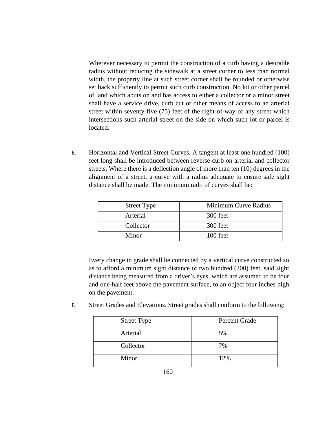Wherever necessary to permit the construction of a curb having a desirable radius without reducing the sidewalk at a street corner to less than normal width, the property line at such street corner shall be rounded or otherwise set back sufficiently to permit such curb construction. No lot or other parcel of land which abuts on and has access to either a collector or a minor street shall have a service drive, curb cut or other means of access to an arterial street within seventy-five (75) feet of the right-of-way of any street which intersections such arterial street on the side on which such lot or parcel is located.

E. Horizontal and Vertical Street Curves. A tangent at least one hundred (100) feet long shall be introduced between reverse curb on arterial and collector streets. Where there is a deflection angle of more than ten (10) degrees in the alignment of a street, a curve with a radius adequate to ensure safe sight distance shall be made. The minimum radii of curves shall be:

| <b>Street Type</b> | Minimum Curve Radius |
|--------------------|----------------------|
| Arterial           | 300 feet             |
| Collector          | 300 feet             |
| Minor              | 100 feet             |

Every change in grade shall be connected by a vertical curve constructed so as to afford a minimum sight distance of two hundred (200) feet, said sight distance being measured from a driver's eyes, which are assumed to be four and one-half feet above the pavement surface, to an object four inches high on the pavement.

F. Street Grades and Elevations. Street grades shall conform to the following:

| <b>Street Type</b> | Percent Grade |
|--------------------|---------------|
| Arterial           | 5%            |
| Collector          | 7%            |
| Minor              | 12%           |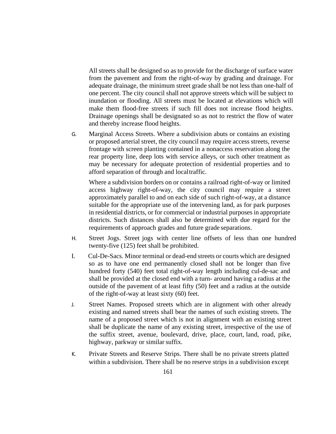All streets shall be designed so as to provide for the discharge of surface water from the pavement and from the right-of-way by grading and drainage. For adequate drainage, the minimum street grade shall be not less than one-half of one percent. The city council shall not approve streets which will be subject to inundation or flooding. All streets must be located at elevations which will make them flood-free streets if such fill does not increase flood heights. Drainage openings shall be designated so as not to restrict the flow of water and thereby increase flood heights.

G. Marginal Access Streets. Where a subdivision abuts or contains an existing or proposed arterial street, the city council may require access streets, reverse frontage with screen planting contained in a nonaccess reservation along the rear property line, deep lots with service alleys, or such other treatment as may be necessary for adequate protection of residential properties and to afford separation of through and localtraffic.

Where a subdivision borders on or contains a railroad right-of-way or limited access highway right-of-way, the city council may require a street approximately parallel to and on each side of such right-of-way, at a distance suitable for the appropriate use of the intervening land, as for park purposes in residential districts, or for commercial or industrial purposes in appropriate districts. Such distances shall also be determined with due regard for the requirements of approach grades and future grade separations.

- H. Street Jogs. Street jogs with center line offsets of less than one hundred twenty-five (125) feet shall be prohibited.
- I. Cul-De-Sacs. Minor terminal or dead-end streets or courts which are designed so as to have one end permanently closed shall not be longer than five hundred forty (540) feet total right-of-way length including cul-de-sac and shall be provided at the closed end with a turn- around having a radius at the outside of the pavement of at least fifty (50) feet and a radius at the outside of the right-of-way at least sixty (60) feet.
- J. Street Names. Proposed streets which are in alignment with other already existing and named streets shall bear the names of such existing streets. The name of a proposed street which is not in alignment with an existing street shall be duplicate the name of any existing street, irrespective of the use of the suffix street, avenue, boulevard, drive, place, court, land, road, pike, highway, parkway or similar suffix.
- K. Private Streets and Reserve Strips. There shall be no private streets platted within a subdivision. There shall be no reserve strips in a subdivision except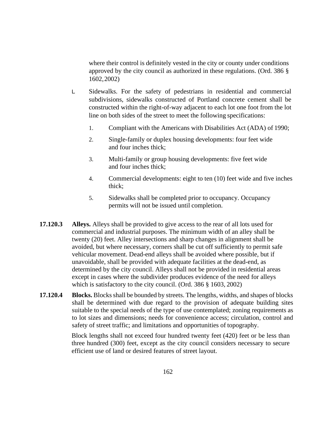where their control is definitely vested in the city or county under conditions approved by the city council as authorized in these regulations. (Ord. 386 § 1602,2002)

- L. Sidewalks. For the safety of pedestrians in residential and commercial subdivisions, sidewalks constructed of Portland concrete cement shall be constructed within the right-of-way adjacent to each lot one foot from the lot line on both sides of the street to meet the following specifications:
	- 1. Compliant with the Americans with Disabilities Act (ADA) of 1990;
	- 2. Single-family or duplex housing developments: four feet wide and four inches thick;
	- 3. Multi-family or group housing developments: five feet wide and four inches thick;
	- 4. Commercial developments: eight to ten (10) feet wide and five inches thick;
	- 5. Sidewalks shall be completed prior to occupancy. Occupancy permits will not be issued until completion.
- **17.120.3 Alleys.** Alleys shall be provided to give access to the rear of all lots used for commercial and industrial purposes. The minimum width of an alley shall be twenty (20) feet. Alley intersections and sharp changes in alignment shall be avoided, but where necessary, corners shall be cut off sufficiently to permit safe vehicular movement. Dead-end alleys shall be avoided where possible, but if unavoidable, shall be provided with adequate facilities at the dead-end, as determined by the city council. Alleys shall not be provided in residential areas except in cases where the subdivider produces evidence of the need for alleys which is satisfactory to the city council. (Ord. 386 § 1603, 2002)
- **17.120.4 Blocks.** Blocks shall be bounded by streets. The lengths, widths, and shapes of blocks shall be determined with due regard to the provision of adequate building sites suitable to the special needs of the type of use contemplated; zoning requirements as to lot sizes and dimensions; needs for convenience access; circulation, control and safety of street traffic; and limitations and opportunities of topography.

Block lengths shall not exceed four hundred twenty feet (420) feet or be less than three hundred (300) feet, except as the city council considers necessary to secure efficient use of land or desired features of street layout.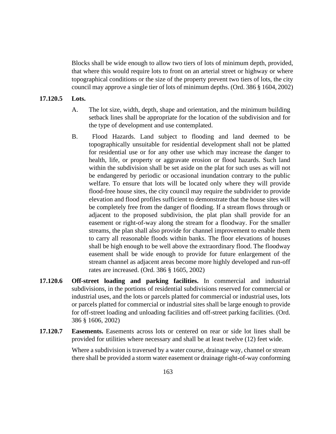Blocks shall be wide enough to allow two tiers of lots of minimum depth, provided, that where this would require lots to front on an arterial street or highway or where topographical conditions or the size of the property prevent two tiers of lots, the city council may approve a single tier of lots of minimum depths. (Ord. 386 § 1604, 2002)

#### **17.120.5 Lots.**

- A. The lot size, width, depth, shape and orientation, and the minimum building setback lines shall be appropriate for the location of the subdivision and for the type of development and use contemplated.
- B. Flood Hazards. Land subject to flooding and land deemed to be topographically unsuitable for residential development shall not be platted for residential use or for any other use which may increase the danger to health, life, or property or aggravate erosion or flood hazards. Such land within the subdivision shall be set aside on the plat for such uses as will not be endangered by periodic or occasional inundation contrary to the public welfare. To ensure that lots will be located only where they will provide flood-free house sites, the city council may require the subdivider to provide elevation and flood profiles sufficient to demonstrate that the house sites will be completely free from the danger of flooding. If a stream flows through or adjacent to the proposed subdivision, the plat plan shall provide for an easement or right-of-way along the stream for a floodway. For the smaller streams, the plan shall also provide for channel improvement to enable them to carry all reasonable floods within banks. The floor elevations of houses shall be high enough to be well above the extraordinary flood. The floodway easement shall be wide enough to provide for future enlargement of the stream channel as adjacent areas become more highly developed and run-off rates are increased. (Ord. 386 § 1605, 2002)
- **17.120.6 Off-street loading and parking facilities.** In commercial and industrial subdivisions, in the portions of residential subdivisions reserved for commercial or industrial uses, and the lots or parcels platted for commercial or industrial uses, lots or parcels platted for commercial or industrial sites shall be large enough to provide for off-street loading and unloading facilities and off-street parking facilities. (Ord. 386 § 1606, 2002)
- **17.120.7 Easements.** Easements across lots or centered on rear or side lot lines shall be provided for utilities where necessary and shall be at least twelve (12) feet wide.

Where a subdivision is traversed by a water course, drainage way, channel or stream there shall be provided a storm water easement or drainage right-of-way conforming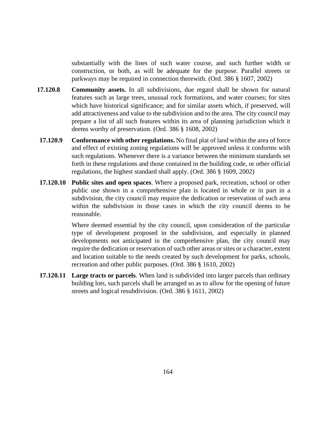substantially with the lines of such water course, and such further width or construction, or both, as will be adequate for the purpose. Parallel streets or parkways may be required in connection therewith. (Ord. 386 § 1607, 2002)

- **17.120.8 Community assets.** In all subdivisions, due regard shall be shown for natural features such as large trees, unusual rock formations, and water courses; for sites which have historical significance; and for similar assets which, if preserved, will add attractiveness and value to the subdivision and to the area. The city council may prepare a list of all such features within its area of planning jurisdiction which it deems worthy of preservation. (Ord. 386 § 1608, 2002)
- **17.120.9 Conformance with other regulations.** No final plat of land within the area of force and effect of existing zoning regulations will be approved unless it conforms with such regulations. Whenever there is a variance between the minimum standards set forth in these regulations and those contained in the building code, or other official regulations, the highest standard shall apply. (Ord. 386 § 1609, 2002)
- **17.120.10 Public sites and open spaces**. Where a proposed park, recreation, school or other public use shown in a comprehensive plan is located in whole or in part in a subdivision, the city council may require the dedication or reservation of such area within the subdivision in those cases in which the city council deems to be reasonable.

Where deemed essential by the city council, upon consideration of the particular type of development proposed in the subdivision, and especially in planned developments not anticipated in the comprehensive plan, the city council may require the dedication or reservation of such other areas or sites or a character, extent and location suitable to the needs created by such development for parks, schools, recreation and other public purposes. (Ord. 386 § 1610, 2002)

**17.120.11 Large tracts or parcels**. When land is subdivided into larger parcels than ordinary building lots, such parcels shall be arranged so as to allow for the opening of future streets and logical resubdivision. (Ord. 386 § 1611, 2002)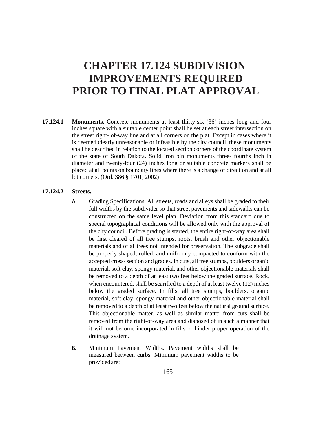### **CHAPTER 17.124 SUBDIVISION IMPROVEMENTS REQUIRED PRIOR TO FINAL PLAT APPROVAL**

**17.124.1 Monuments.** Concrete monuments at least thirty-six (36) inches long and four inches square with a suitable center point shall be set at each street intersection on the street right- of-way line and at all corners on the plat. Except in cases where it is deemed clearly unreasonable or infeasible by the city council, these monuments shall be described in relation to the located section corners of the coordinate system of the state of South Dakota. Solid iron pin monuments three- fourths inch in diameter and twenty-four (24) inches long or suitable concrete markers shall be placed at all points on boundary lines where there is a change of direction and at all lot corners. (Ord. 386 § 1701, 2002)

#### **17.124.2 Streets.**

- A. Grading Specifications. All streets, roads and alleys shall be graded to their full widths by the subdivider so that street pavements and sidewalks can be constructed on the same level plan. Deviation from this standard due to special topographical conditions will be allowed only with the approval of the city council. Before grading is started, the entire right-of-way area shall be first cleared of all tree stumps, roots, brush and other objectionable materials and of all trees not intended for preservation. The subgrade shall be properly shaped, rolled, and uniformly compacted to conform with the accepted cross-section and grades. In cuts, all tree stumps, boulders organic material, soft clay, spongy material, and other objectionable materials shall be removed to a depth of at least two feet below the graded surface. Rock, when encountered, shall be scarified to a depth of at least twelve (12) inches below the graded surface. In fills, all tree stumps, boulders, organic material, soft clay, spongy material and other objectionable material shall be removed to a depth of at least two feet below the natural ground surface. This objectionable matter, as well as similar matter from cuts shall be removed from the right-of-way area and disposed of in such a manner that it will not become incorporated in fills or hinder proper operation of the drainage system.
- B. Minimum Pavement Widths. Pavement widths shall be measured between curbs. Minimum pavement widths to be providedare: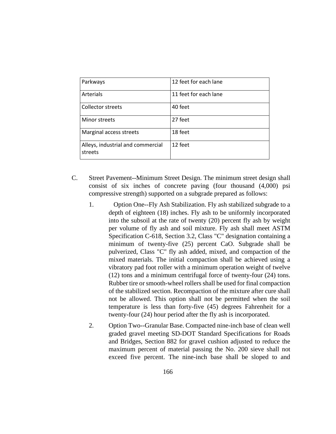| Parkways                                     | 12 feet for each lane |
|----------------------------------------------|-----------------------|
| Arterials                                    | 11 feet for each lane |
| <b>Collector streets</b>                     | 40 feet               |
| Minor streets                                | 27 feet               |
| Marginal access streets                      | 18 feet               |
| Alleys, industrial and commercial<br>streets | 12 feet               |

- C. Street Pavement--Minimum Street Design. The minimum street design shall consist of six inches of concrete paving (four thousand (4,000) psi compressive strength) supported on a subgrade prepared as follows:
	- 1. Option One--Fly Ash Stabilization. Fly ash stabilized subgrade to a depth of eighteen (18) inches. Fly ash to be uniformly incorporated into the subsoil at the rate of twenty (20) percent fly ash by weight per volume of fly ash and soil mixture. Fly ash shall meet ASTM Specification C-618, Section 3.2, Class "C" designation containing a minimum of twenty-five (25) percent CaO. Subgrade shall be pulverized, Class "C" fly ash added, mixed, and compaction of the mixed materials. The initial compaction shall be achieved using a vibratory pad foot roller with a minimum operation weight of twelve (12) tons and a minimum centrifugal force of twenty-four (24) tons. Rubber tire or smooth-wheel rollers shall be used for final compaction of the stabilized section. Recompaction of the mixture after cure shall not be allowed. This option shall not be permitted when the soil temperature is less than forty-five (45) degrees Fahrenheit for a twenty-four (24) hour period after the fly ash is incorporated.
	- 2. Option Two--Granular Base. Compacted nine-inch base of clean well graded gravel meeting SD-DOT Standard Specifications for Roads and Bridges, Section 882 for gravel cushion adjusted to reduce the maximum percent of material passing the No. 200 sieve shall not exceed five percent. The nine-inch base shall be sloped to and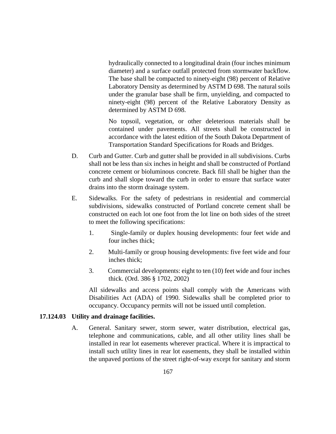hydraulically connected to a longitudinal drain (four inches minimum diameter) and a surface outfall protected from stormwater backflow. The base shall be compacted to ninety-eight (98) percent of Relative Laboratory Density as determined by ASTM D 698. The natural soils under the granular base shall be firm, unyielding, and compacted to ninety-eight (98) percent of the Relative Laboratory Density as determined by ASTM D 698.

No topsoil, vegetation, or other deleterious materials shall be contained under pavements. All streets shall be constructed in accordance with the latest edition of the South Dakota Department of Transportation Standard Specifications for Roads and Bridges.

- D. Curb and Gutter. Curb and gutter shall be provided in all subdivisions. Curbs shall not be less than six inches in height and shall be constructed of Portland concrete cement or bioluminous concrete. Back fill shall be higher than the curb and shall slope toward the curb in order to ensure that surface water drains into the storm drainage system.
- E. Sidewalks. For the safety of pedestrians in residential and commercial subdivisions, sidewalks constructed of Portland concrete cement shall be constructed on each lot one foot from the lot line on both sides of the street to meet the following specifications:
	- 1. Single-family or duplex housing developments: four feet wide and four inches thick;
	- 2. Multi-family or group housing developments: five feet wide and four inches thick;
	- 3. Commercial developments: eight to ten (10) feet wide and four inches thick. (Ord. 386 § 1702, 2002)

All sidewalks and access points shall comply with the Americans with Disabilities Act (ADA) of 1990. Sidewalks shall be completed prior to occupancy. Occupancy permits will not be issued until completion.

### **17.124.03 Utility and drainage facilities.**

A. General. Sanitary sewer, storm sewer, water distribution, electrical gas, telephone and communications, cable, and all other utility lines shall be installed in rear lot easements wherever practical. Where it is impractical to install such utility lines in rear lot easements, they shall be installed within the unpaved portions of the street right-of-way except for sanitary and storm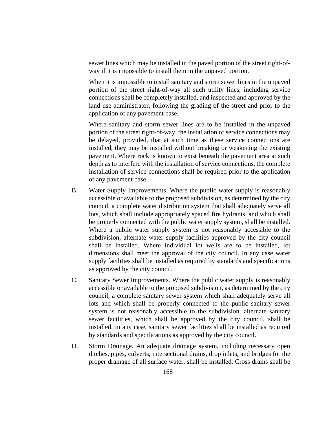sewer lines which may be installed in the paved portion of the street right-ofway if it is impossible to install them in the unpaved portion.

When it is impossible to install sanitary and storm sewer lines in the unpaved portion of the street right-of-way all such utility lines, including service connections shall be completely installed, and inspected and approved by the land use administrator, following the grading of the street and prior to the application of any pavement base.

Where sanitary and storm sewer lines are to be installed in the unpaved portion of the street right-of-way, the installation of service connections may be delayed, provided, that at such time as these service connections are installed, they may be installed without breaking or weakening the existing pavement. Where rock is known to exist beneath the pavement area at such depth as to interfere with the installation of service connections, the complete installation of service connections shall be required prior to the application of any pavement base.

- B. Water Supply Improvements. Where the public water supply is reasonably accessible or available to the proposed subdivision, as determined by the city council, a complete water distribution system that shall adequately serve all lots, which shall include appropriately spaced fire hydrants, and which shall be properly connected with the public water supply system, shall be installed. Where a public water supply system is not reasonably accessible to the subdivision, alternate water supply facilities approved by the city council shall be installed. Where individual lot wells are to be installed, lot dimensions shall meet the approval of the city council. In any case water supply facilities shall be installed as required by standards and specifications as approved by the city council.
- C. Sanitary Sewer Improvements. Where the public water supply is reasonably accessible or available to the proposed subdivision, as determined by the city council, a complete sanitary sewer system which shall adequately serve all lots and which shall be properly connected to the public sanitary sewer system is not reasonably accessible to the subdivision, alternate sanitary sewer facilities, which shall be approved by the city council, shall be installed. In any case, sanitary sewer facilities shall be installed as required by standards and specifications as approved by the city council.
- D. Storm Drainage. An adequate drainage system, including necessary open ditches, pipes, culverts, intersectional drains, drop inlets, and bridges for the proper drainage of all surface water, shall be installed. Cross drains shall be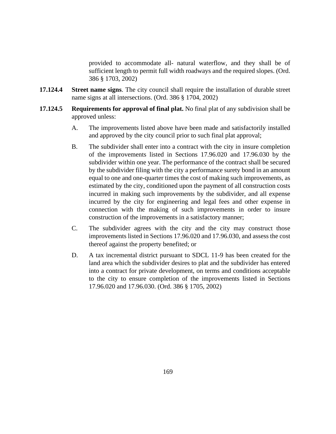provided to accommodate all- natural waterflow, and they shall be of sufficient length to permit full width roadways and the required slopes. (Ord. 386 § 1703, 2002)

- **17.124.4 Street name signs**. The city council shall require the installation of durable street name signs at all intersections. (Ord. 386 § 1704, 2002)
- **17.124.5 Requirements for approval of final plat.** No final plat of any subdivision shall be approved unless:
	- A. The improvements listed above have been made and satisfactorily installed and approved by the city council prior to such final plat approval;
	- B. The subdivider shall enter into a contract with the city in insure completion of the improvements listed in Sections 17.96.020 and 17.96.030 by the subdivider within one year. The performance of the contract shall be secured by the subdivider filing with the city a performance surety bond in an amount equal to one and one-quarter times the cost of making such improvements, as estimated by the city, conditioned upon the payment of all construction costs incurred in making such improvements by the subdivider, and all expense incurred by the city for engineering and legal fees and other expense in connection with the making of such improvements in order to insure construction of the improvements in a satisfactory manner;
	- C. The subdivider agrees with the city and the city may construct those improvements listed in Sections 17.96.020 and 17.96.030, and assess the cost thereof against the property benefited; or
	- D. A tax incremental district pursuant to SDCL 11-9 has been created for the land area which the subdivider desires to plat and the subdivider has entered into a contract for private development, on terms and conditions acceptable to the city to ensure completion of the improvements listed in Sections 17.96.020 and 17.96.030. (Ord. 386 § 1705, 2002)